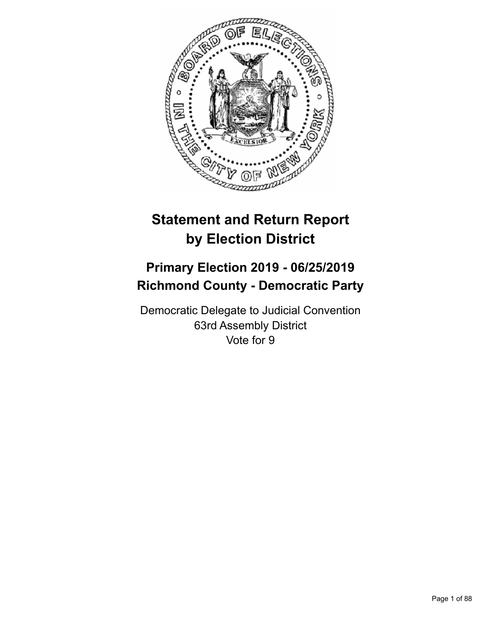

# **Statement and Return Report by Election District**

## **Primary Election 2019 - 06/25/2019 Richmond County - Democratic Party**

Democratic Delegate to Judicial Convention 63rd Assembly District Vote for 9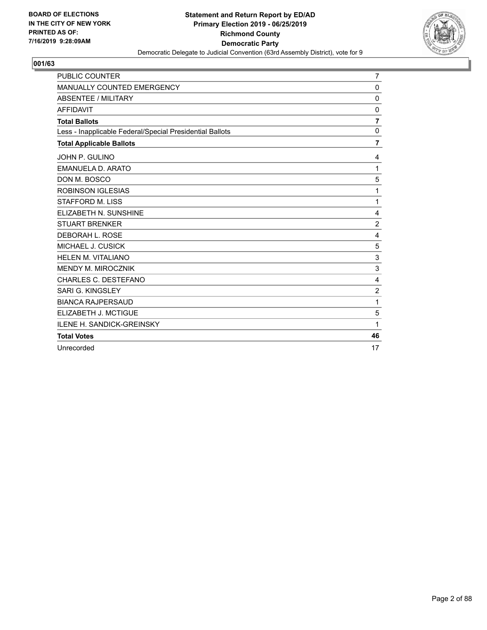

| PUBLIC COUNTER                                           | $\overline{7}$ |
|----------------------------------------------------------|----------------|
| MANUALLY COUNTED EMERGENCY                               | 0              |
| ABSENTEE / MILITARY                                      | 0              |
| <b>AFFIDAVIT</b>                                         | 0              |
| <b>Total Ballots</b>                                     | $\overline{7}$ |
| Less - Inapplicable Federal/Special Presidential Ballots | 0              |
| <b>Total Applicable Ballots</b>                          | $\overline{7}$ |
| JOHN P. GULINO                                           | 4              |
| EMANUELA D. ARATO                                        | 1              |
| DON M. BOSCO                                             | 5              |
| <b>ROBINSON IGLESIAS</b>                                 | 1              |
| <b>STAFFORD M. LISS</b>                                  | $\mathbf{1}$   |
| ELIZABETH N. SUNSHINE                                    | 4              |
| <b>STUART BRENKER</b>                                    | $\overline{c}$ |
| DEBORAH L. ROSE                                          | 4              |
| MICHAEL J. CUSICK                                        | 5              |
| HELEN M. VITALIANO                                       | 3              |
| <b>MENDY M. MIROCZNIK</b>                                | 3              |
| CHARLES C. DESTEFANO                                     | 4              |
| SARI G. KINGSLEY                                         | $\overline{2}$ |
| <b>BIANCA RAJPERSAUD</b>                                 | 1              |
| ELIZABETH J. MCTIGUE                                     | 5              |
| <b>ILENE H. SANDICK-GREINSKY</b>                         | 1              |
| <b>Total Votes</b>                                       | 46             |
| Unrecorded                                               | 17             |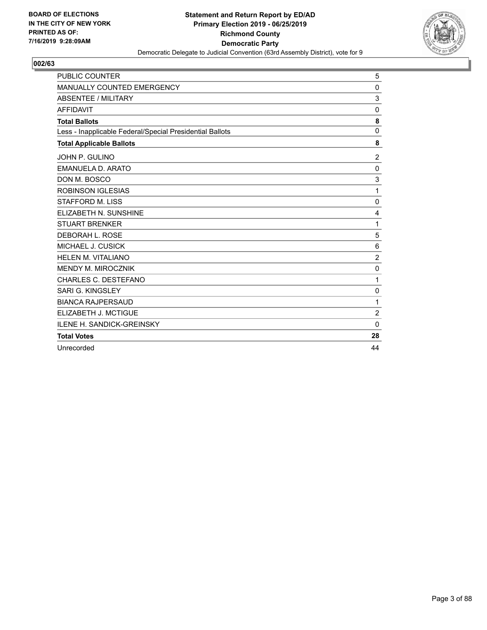

| PUBLIC COUNTER                                           | 5              |
|----------------------------------------------------------|----------------|
| <b>MANUALLY COUNTED EMERGENCY</b>                        | $\mathbf 0$    |
| <b>ABSENTEE / MILITARY</b>                               | 3              |
| <b>AFFIDAVIT</b>                                         | $\mathbf 0$    |
| <b>Total Ballots</b>                                     | 8              |
| Less - Inapplicable Federal/Special Presidential Ballots | $\mathbf 0$    |
| <b>Total Applicable Ballots</b>                          | 8              |
| JOHN P. GULINO                                           | $\overline{c}$ |
| <b>EMANUELA D. ARATO</b>                                 | 0              |
| DON M. BOSCO                                             | 3              |
| <b>ROBINSON IGLESIAS</b>                                 | 1              |
| <b>STAFFORD M. LISS</b>                                  | 0              |
| ELIZABETH N. SUNSHINE                                    | 4              |
| <b>STUART BRENKER</b>                                    | 1              |
| <b>DEBORAH L. ROSE</b>                                   | 5              |
| MICHAEL J. CUSICK                                        | 6              |
| HELEN M. VITALIANO                                       | $\overline{c}$ |
| <b>MENDY M. MIROCZNIK</b>                                | 0              |
| CHARLES C. DESTEFANO                                     | 1              |
| SARI G. KINGSLEY                                         | 0              |
| <b>BIANCA RAJPERSAUD</b>                                 | 1              |
| ELIZABETH J. MCTIGUE                                     | $\overline{c}$ |
| ILENE H. SANDICK-GREINSKY                                | $\mathbf{0}$   |
| <b>Total Votes</b>                                       | 28             |
| Unrecorded                                               | 44             |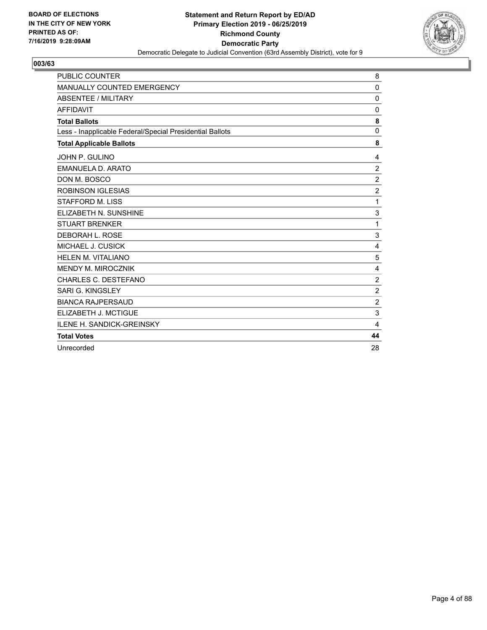

| <b>PUBLIC COUNTER</b>                                    | 8              |
|----------------------------------------------------------|----------------|
| MANUALLY COUNTED EMERGENCY                               | 0              |
| <b>ABSENTEE / MILITARY</b>                               | 0              |
| <b>AFFIDAVIT</b>                                         | 0              |
| <b>Total Ballots</b>                                     | 8              |
| Less - Inapplicable Federal/Special Presidential Ballots | 0              |
| <b>Total Applicable Ballots</b>                          | 8              |
| JOHN P. GULINO                                           | 4              |
| <b>EMANUELA D. ARATO</b>                                 | $\overline{2}$ |
| DON M. BOSCO                                             | $\overline{c}$ |
| <b>ROBINSON IGLESIAS</b>                                 | $\overline{c}$ |
| <b>STAFFORD M. LISS</b>                                  | 1              |
| ELIZABETH N. SUNSHINE                                    | 3              |
| <b>STUART BRENKER</b>                                    | 1              |
| DEBORAH L. ROSE                                          | 3              |
| MICHAEL J. CUSICK                                        | 4              |
| <b>HELEN M. VITALIANO</b>                                | 5              |
| MENDY M. MIROCZNIK                                       | 4              |
| <b>CHARLES C. DESTEFANO</b>                              | $\overline{c}$ |
| SARI G. KINGSLEY                                         | $\overline{c}$ |
| <b>BIANCA RAJPERSAUD</b>                                 | $\overline{2}$ |
| ELIZABETH J. MCTIGUE                                     | 3              |
| <b>ILENE H. SANDICK-GREINSKY</b>                         | 4              |
| <b>Total Votes</b>                                       | 44             |
| Unrecorded                                               | 28             |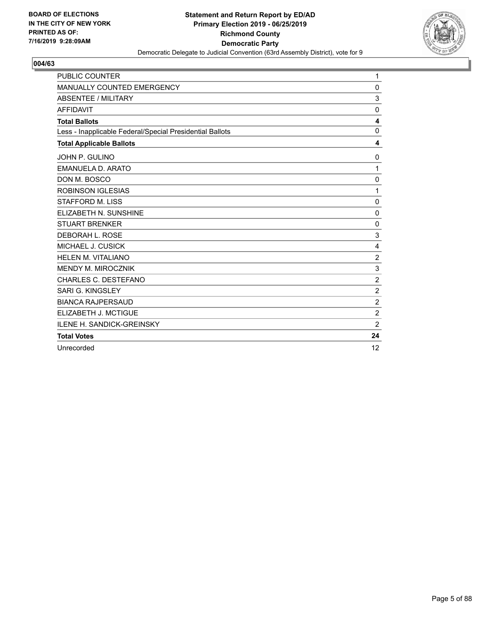

| <b>PUBLIC COUNTER</b>                                    | 1              |
|----------------------------------------------------------|----------------|
| MANUALLY COUNTED EMERGENCY                               | 0              |
| ABSENTEE / MILITARY                                      | 3              |
| <b>AFFIDAVIT</b>                                         | $\mathbf 0$    |
| <b>Total Ballots</b>                                     | 4              |
| Less - Inapplicable Federal/Special Presidential Ballots | $\mathbf 0$    |
| <b>Total Applicable Ballots</b>                          | 4              |
| JOHN P. GULINO                                           | $\Omega$       |
| EMANUELA D. ARATO                                        | 1              |
| DON M. BOSCO                                             | 0              |
| <b>ROBINSON IGLESIAS</b>                                 | 1              |
| <b>STAFFORD M. LISS</b>                                  | $\mathbf 0$    |
| ELIZABETH N. SUNSHINE                                    | 0              |
| <b>STUART BRENKER</b>                                    | 0              |
| DEBORAH L. ROSE                                          | $\mathbf{3}$   |
| MICHAEL J. CUSICK                                        | 4              |
| HELEN M. VITALIANO                                       | $\overline{c}$ |
| MENDY M. MIROCZNIK                                       | 3              |
| <b>CHARLES C. DESTEFANO</b>                              | $\overline{c}$ |
| SARI G. KINGSLEY                                         | $\overline{c}$ |
| <b>BIANCA RAJPERSAUD</b>                                 | $\overline{c}$ |
| ELIZABETH J. MCTIGUE                                     | $\overline{2}$ |
| <b>ILENE H. SANDICK-GREINSKY</b>                         | $\overline{2}$ |
| <b>Total Votes</b>                                       | 24             |
| Unrecorded                                               | 12             |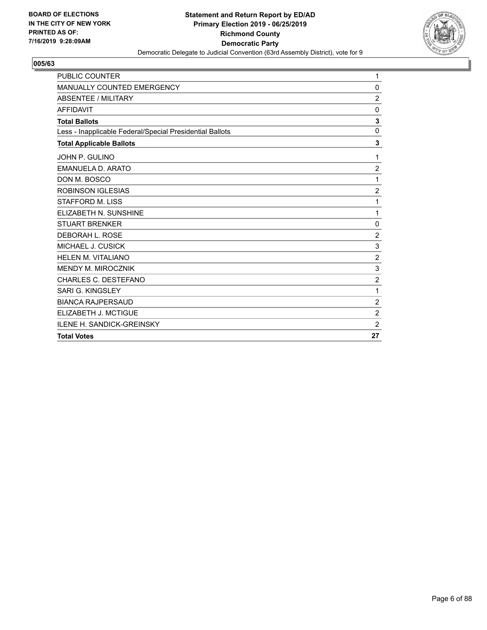

| PUBLIC COUNTER                                           | 1              |
|----------------------------------------------------------|----------------|
| <b>MANUALLY COUNTED EMERGENCY</b>                        | 0              |
| <b>ABSENTEE / MILITARY</b>                               | $\overline{2}$ |
| <b>AFFIDAVIT</b>                                         | $\mathbf 0$    |
| <b>Total Ballots</b>                                     | 3              |
| Less - Inapplicable Federal/Special Presidential Ballots | 0              |
| <b>Total Applicable Ballots</b>                          | 3              |
| JOHN P. GULINO                                           | 1              |
| <b>EMANUELA D. ARATO</b>                                 | $\overline{2}$ |
| DON M. BOSCO                                             | 1              |
| <b>ROBINSON IGLESIAS</b>                                 | $\overline{2}$ |
| <b>STAFFORD M. LISS</b>                                  | 1              |
| ELIZABETH N. SUNSHINE                                    | 1              |
| <b>STUART BRENKER</b>                                    | $\mathbf 0$    |
| DEBORAH L. ROSE                                          | $\overline{2}$ |
| MICHAEL J. CUSICK                                        | 3              |
| <b>HELEN M. VITALIANO</b>                                | $\overline{c}$ |
| <b>MENDY M. MIROCZNIK</b>                                | 3              |
| CHARLES C. DESTEFANO                                     | 2              |
| <b>SARI G. KINGSLEY</b>                                  | 1              |
| <b>BIANCA RAJPERSAUD</b>                                 | $\overline{2}$ |
| ELIZABETH J. MCTIGUE                                     | $\overline{2}$ |
| <b>ILENE H. SANDICK-GREINSKY</b>                         | $\overline{2}$ |
| <b>Total Votes</b>                                       | 27             |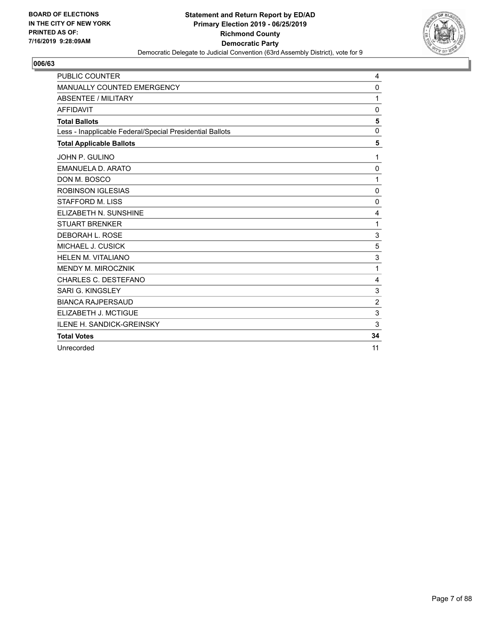

| PUBLIC COUNTER                                           | 4              |
|----------------------------------------------------------|----------------|
| MANUALLY COUNTED EMERGENCY                               | 0              |
| ABSENTEE / MILITARY                                      | 1              |
| <b>AFFIDAVIT</b>                                         | 0              |
| <b>Total Ballots</b>                                     | 5              |
| Less - Inapplicable Federal/Special Presidential Ballots | $\mathbf 0$    |
| <b>Total Applicable Ballots</b>                          | 5              |
| JOHN P. GULINO                                           | 1              |
| EMANUELA D. ARATO                                        | 0              |
| DON M. BOSCO                                             | 1              |
| <b>ROBINSON IGLESIAS</b>                                 | $\mathbf 0$    |
| <b>STAFFORD M. LISS</b>                                  | 0              |
| ELIZABETH N. SUNSHINE                                    | 4              |
| <b>STUART BRENKER</b>                                    | 1              |
| DEBORAH L. ROSE                                          | 3              |
| MICHAEL J. CUSICK                                        | 5              |
| HELEN M. VITALIANO                                       | 3              |
| MENDY M. MIROCZNIK                                       | 1              |
| CHARLES C. DESTEFANO                                     | 4              |
| SARI G. KINGSLEY                                         | 3              |
| <b>BIANCA RAJPERSAUD</b>                                 | $\overline{c}$ |
| ELIZABETH J. MCTIGUE                                     | 3              |
| <b>ILENE H. SANDICK-GREINSKY</b>                         | 3              |
| <b>Total Votes</b>                                       | 34             |
| Unrecorded                                               | 11             |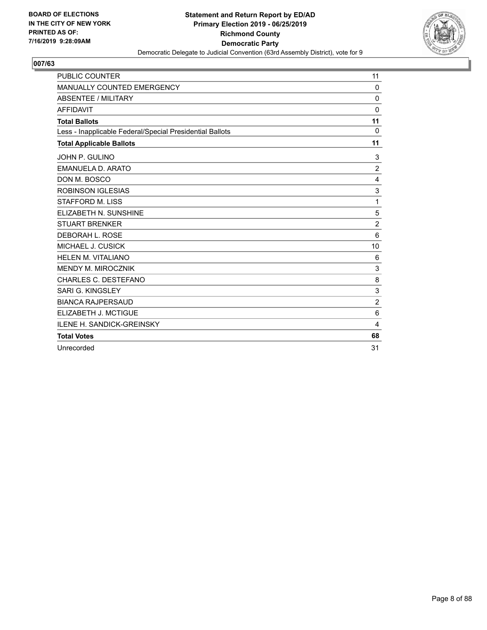

| <b>PUBLIC COUNTER</b>                                    | 11             |
|----------------------------------------------------------|----------------|
| MANUALLY COUNTED EMERGENCY                               | 0              |
| <b>ABSENTEE / MILITARY</b>                               | $\mathbf 0$    |
| <b>AFFIDAVIT</b>                                         | $\mathbf 0$    |
| <b>Total Ballots</b>                                     | 11             |
| Less - Inapplicable Federal/Special Presidential Ballots | $\Omega$       |
| <b>Total Applicable Ballots</b>                          | 11             |
| JOHN P. GULINO                                           | 3              |
| EMANUELA D. ARATO                                        | $\overline{2}$ |
| DON M. BOSCO                                             | 4              |
| <b>ROBINSON IGLESIAS</b>                                 | 3              |
| STAFFORD M. LISS                                         | 1              |
| ELIZABETH N. SUNSHINE                                    | 5              |
| <b>STUART BRENKER</b>                                    | $\overline{2}$ |
| DEBORAH L. ROSE                                          | 6              |
| MICHAEL J. CUSICK                                        | 10             |
| <b>HELEN M. VITALIANO</b>                                | 6              |
| MENDY M. MIROCZNIK                                       | 3              |
| <b>CHARLES C. DESTEFANO</b>                              | 8              |
| SARI G. KINGSLEY                                         | 3              |
| <b>BIANCA RAJPERSAUD</b>                                 | $\overline{2}$ |
| ELIZABETH J. MCTIGUE                                     | 6              |
| <b>ILENE H. SANDICK-GREINSKY</b>                         | 4              |
| <b>Total Votes</b>                                       | 68             |
| Unrecorded                                               | 31             |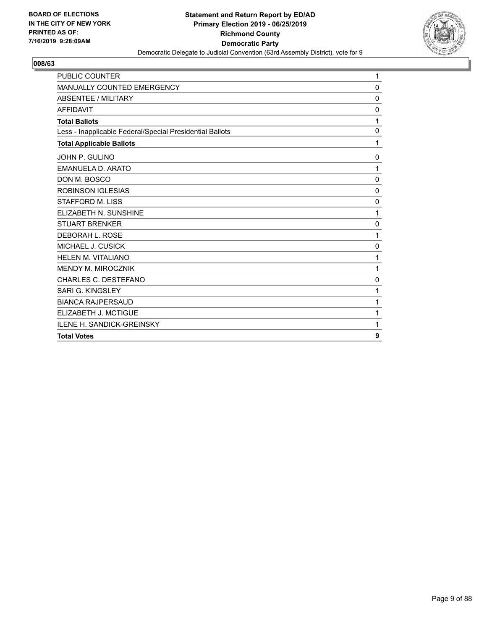

| <b>PUBLIC COUNTER</b>                                    | 1            |
|----------------------------------------------------------|--------------|
| MANUALLY COUNTED EMERGENCY                               | $\Omega$     |
| <b>ABSENTEE / MILITARY</b>                               | 0            |
| <b>AFFIDAVIT</b>                                         | 0            |
| <b>Total Ballots</b>                                     | 1            |
| Less - Inapplicable Federal/Special Presidential Ballots | $\mathbf{0}$ |
| <b>Total Applicable Ballots</b>                          | 1            |
| JOHN P. GULINO                                           | 0            |
| <b>EMANUELA D. ARATO</b>                                 | 1            |
| DON M. BOSCO                                             | 0            |
| <b>ROBINSON IGLESIAS</b>                                 | $\mathbf{0}$ |
| <b>STAFFORD M. LISS</b>                                  | 0            |
| ELIZABETH N. SUNSHINE                                    | 1            |
| <b>STUART BRENKER</b>                                    | 0            |
| DEBORAH L. ROSE                                          | 1            |
| MICHAEL J. CUSICK                                        | 0            |
| <b>HELEN M. VITALIANO</b>                                | 1            |
| MENDY M. MIROCZNIK                                       | 1            |
| CHARLES C. DESTEFANO                                     | $\mathbf 0$  |
| <b>SARI G. KINGSLEY</b>                                  | 1            |
| <b>BIANCA RAJPERSAUD</b>                                 | 1            |
| ELIZABETH J. MCTIGUE                                     | 1            |
| <b>ILENE H. SANDICK-GREINSKY</b>                         | 1            |
| <b>Total Votes</b>                                       | 9            |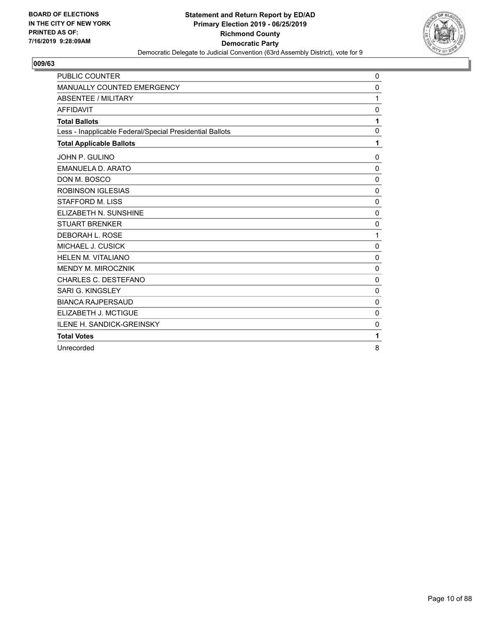

| <b>PUBLIC COUNTER</b>                                    | 0            |
|----------------------------------------------------------|--------------|
| <b>MANUALLY COUNTED EMERGENCY</b>                        | 0            |
| ABSENTEE / MILITARY                                      | 1            |
| <b>AFFIDAVIT</b>                                         | 0            |
| <b>Total Ballots</b>                                     | 1            |
| Less - Inapplicable Federal/Special Presidential Ballots | $\mathbf 0$  |
| <b>Total Applicable Ballots</b>                          | 1            |
| JOHN P. GULINO                                           | $\mathbf 0$  |
| EMANUELA D. ARATO                                        | $\mathbf 0$  |
| DON M. BOSCO                                             | 0            |
| <b>ROBINSON IGLESIAS</b>                                 | $\mathbf 0$  |
| <b>STAFFORD M. LISS</b>                                  | $\mathbf 0$  |
| ELIZABETH N. SUNSHINE                                    | $\mathbf 0$  |
| <b>STUART BRENKER</b>                                    | $\mathbf 0$  |
| DEBORAH L. ROSE                                          | 1            |
| MICHAEL J. CUSICK                                        | 0            |
| <b>HELEN M. VITALIANO</b>                                | $\mathbf 0$  |
| MENDY M. MIROCZNIK                                       | 0            |
| CHARLES C. DESTEFANO                                     | 0            |
| SARI G. KINGSLEY                                         | $\mathbf{0}$ |
| <b>BIANCA RAJPERSAUD</b>                                 | $\mathbf 0$  |
| ELIZABETH J. MCTIGUE                                     | 0            |
| <b>ILENE H. SANDICK-GREINSKY</b>                         | $\mathbf 0$  |
| <b>Total Votes</b>                                       | 1            |
| Unrecorded                                               | 8            |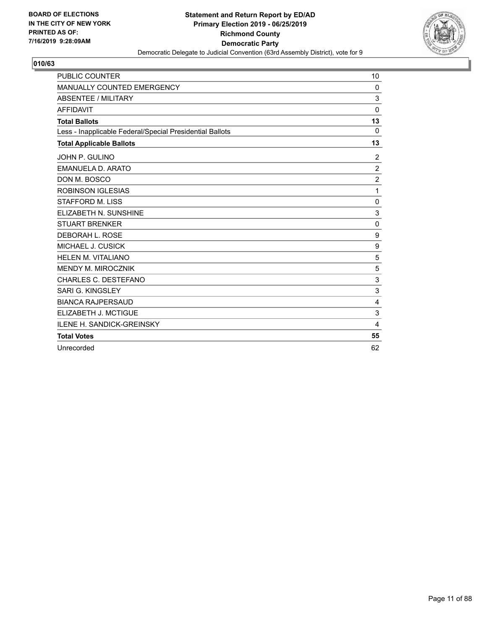

| <b>PUBLIC COUNTER</b>                                    | 10             |
|----------------------------------------------------------|----------------|
| MANUALLY COUNTED EMERGENCY                               | 0              |
| <b>ABSENTEE / MILITARY</b>                               | 3              |
| <b>AFFIDAVIT</b>                                         | $\Omega$       |
| <b>Total Ballots</b>                                     | 13             |
| Less - Inapplicable Federal/Special Presidential Ballots | $\Omega$       |
| <b>Total Applicable Ballots</b>                          | 13             |
| JOHN P. GULINO                                           | 2              |
| EMANUELA D. ARATO                                        | $\overline{c}$ |
| DON M. BOSCO                                             | $\overline{c}$ |
| <b>ROBINSON IGLESIAS</b>                                 | 1              |
| <b>STAFFORD M. LISS</b>                                  | 0              |
| ELIZABETH N. SUNSHINE                                    | 3              |
| <b>STUART BRENKER</b>                                    | $\mathbf 0$    |
| DEBORAH L. ROSE                                          | 9              |
| MICHAEL J. CUSICK                                        | 9              |
| <b>HELEN M. VITALIANO</b>                                | 5              |
| <b>MENDY M. MIROCZNIK</b>                                | 5              |
| CHARLES C. DESTEFANO                                     | 3              |
| SARI G. KINGSLEY                                         | 3              |
| <b>BIANCA RAJPERSAUD</b>                                 | 4              |
| ELIZABETH J. MCTIGUE                                     | 3              |
| ILENE H. SANDICK-GREINSKY                                | 4              |
| <b>Total Votes</b>                                       | 55             |
| Unrecorded                                               | 62             |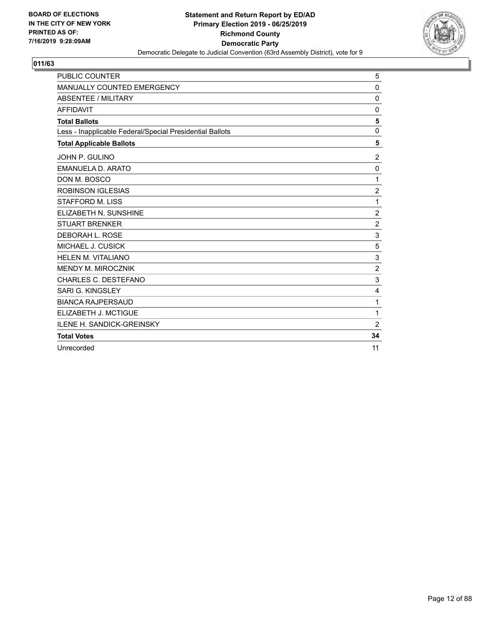

| PUBLIC COUNTER                                           | 5              |
|----------------------------------------------------------|----------------|
| MANUALLY COUNTED EMERGENCY                               | 0              |
| ABSENTEE / MILITARY                                      | $\mathbf 0$    |
| <b>AFFIDAVIT</b>                                         | 0              |
| <b>Total Ballots</b>                                     | 5              |
| Less - Inapplicable Federal/Special Presidential Ballots | $\mathbf 0$    |
| <b>Total Applicable Ballots</b>                          | 5              |
| JOHN P. GULINO                                           | $\overline{c}$ |
| <b>EMANUELA D. ARATO</b>                                 | 0              |
| DON M. BOSCO                                             | 1              |
| <b>ROBINSON IGLESIAS</b>                                 | $\overline{c}$ |
| <b>STAFFORD M. LISS</b>                                  | 1              |
| ELIZABETH N. SUNSHINE                                    | $\overline{2}$ |
| <b>STUART BRENKER</b>                                    | $\overline{c}$ |
| DEBORAH L. ROSE                                          | 3              |
| MICHAEL J. CUSICK                                        | 5              |
| HELEN M. VITALIANO                                       | 3              |
| MENDY M. MIROCZNIK                                       | $\overline{2}$ |
| CHARLES C. DESTEFANO                                     | 3              |
| SARI G. KINGSLEY                                         | 4              |
| <b>BIANCA RAJPERSAUD</b>                                 | 1              |
| ELIZABETH J. MCTIGUE                                     | 1              |
| <b>ILENE H. SANDICK-GREINSKY</b>                         | $\overline{2}$ |
| <b>Total Votes</b>                                       | 34             |
| Unrecorded                                               | 11             |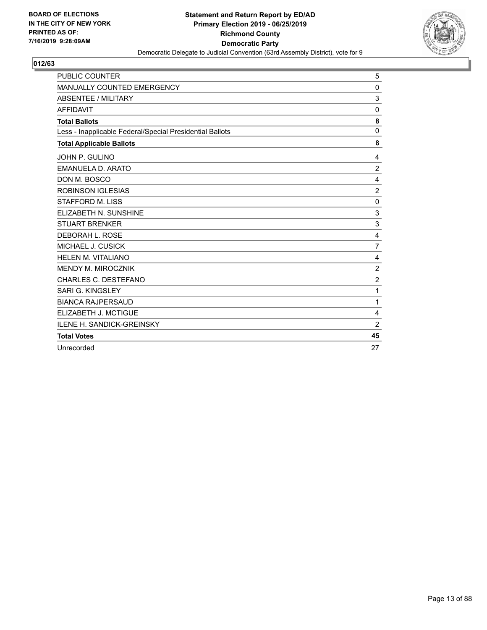

| PUBLIC COUNTER                                           | 5              |
|----------------------------------------------------------|----------------|
| MANUALLY COUNTED EMERGENCY                               | 0              |
| ABSENTEE / MILITARY                                      | 3              |
| <b>AFFIDAVIT</b>                                         | 0              |
| <b>Total Ballots</b>                                     | 8              |
| Less - Inapplicable Federal/Special Presidential Ballots | $\mathbf 0$    |
| <b>Total Applicable Ballots</b>                          | 8              |
| JOHN P. GULINO                                           | 4              |
| <b>EMANUELA D. ARATO</b>                                 | $\overline{c}$ |
| DON M. BOSCO                                             | 4              |
| <b>ROBINSON IGLESIAS</b>                                 | $\overline{c}$ |
| <b>STAFFORD M. LISS</b>                                  | 0              |
| ELIZABETH N. SUNSHINE                                    | 3              |
| <b>STUART BRENKER</b>                                    | 3              |
| DEBORAH L. ROSE                                          | 4              |
| MICHAEL J. CUSICK                                        | $\overline{7}$ |
| HELEN M. VITALIANO                                       | 4              |
| <b>MENDY M. MIROCZNIK</b>                                | $\overline{2}$ |
| CHARLES C. DESTEFANO                                     | $\overline{c}$ |
| SARI G. KINGSLEY                                         | 1              |
| <b>BIANCA RAJPERSAUD</b>                                 | 1              |
| ELIZABETH J. MCTIGUE                                     | 4              |
| <b>ILENE H. SANDICK-GREINSKY</b>                         | $\overline{2}$ |
| <b>Total Votes</b>                                       | 45             |
| Unrecorded                                               | 27             |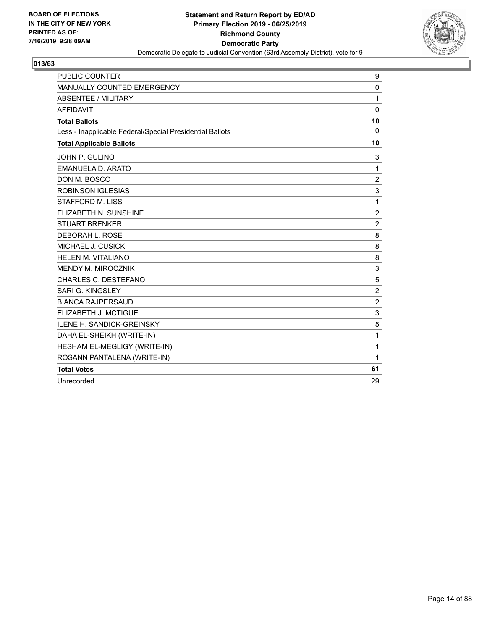

| <b>PUBLIC COUNTER</b>                                    | 9                       |
|----------------------------------------------------------|-------------------------|
| MANUALLY COUNTED EMERGENCY                               | 0                       |
| <b>ABSENTEE / MILITARY</b>                               | 1                       |
| <b>AFFIDAVIT</b>                                         | $\mathbf 0$             |
| <b>Total Ballots</b>                                     | 10                      |
| Less - Inapplicable Federal/Special Presidential Ballots | $\mathbf{0}$            |
| <b>Total Applicable Ballots</b>                          | 10                      |
| JOHN P. GULINO                                           | 3                       |
| EMANUELA D. ARATO                                        | $\mathbf{1}$            |
| DON M. BOSCO                                             | $\overline{\mathbf{c}}$ |
| <b>ROBINSON IGLESIAS</b>                                 | 3                       |
| STAFFORD M. LISS                                         | $\mathbf{1}$            |
| ELIZABETH N. SUNSHINE                                    | $\boldsymbol{2}$        |
| <b>STUART BRENKER</b>                                    | $\overline{c}$          |
| DEBORAH L. ROSE                                          | 8                       |
| MICHAEL J. CUSICK                                        | 8                       |
| <b>HELEN M. VITALIANO</b>                                | 8                       |
| MENDY M. MIROCZNIK                                       | 3                       |
| CHARLES C. DESTEFANO                                     | 5                       |
| SARI G. KINGSLEY                                         | $\overline{c}$          |
| <b>BIANCA RAJPERSAUD</b>                                 | $\overline{2}$          |
| ELIZABETH J. MCTIGUE                                     | 3                       |
| <b>ILENE H. SANDICK-GREINSKY</b>                         | 5                       |
| DAHA EL-SHEIKH (WRITE-IN)                                | 1                       |
| HESHAM EL-MEGLIGY (WRITE-IN)                             | 1                       |
| ROSANN PANTALENA (WRITE-IN)                              | $\mathbf{1}$            |
| <b>Total Votes</b>                                       | 61                      |
| Unrecorded                                               | 29                      |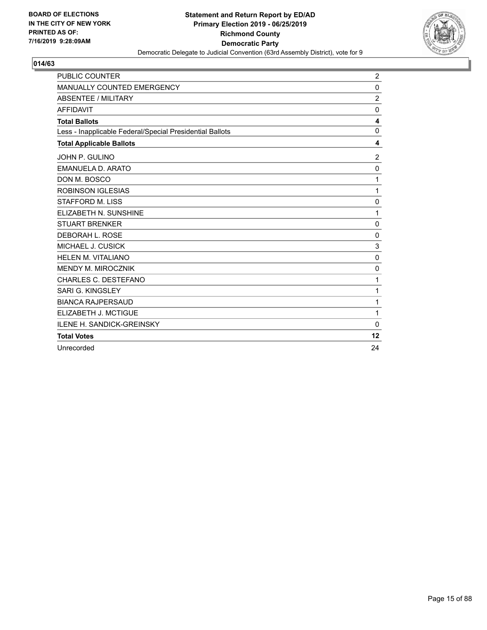

| PUBLIC COUNTER                                           | $\overline{c}$          |
|----------------------------------------------------------|-------------------------|
| MANUALLY COUNTED EMERGENCY                               | 0                       |
| ABSENTEE / MILITARY                                      | $\overline{c}$          |
| <b>AFFIDAVIT</b>                                         | $\mathbf 0$             |
| <b>Total Ballots</b>                                     | $\overline{\mathbf{4}}$ |
| Less - Inapplicable Federal/Special Presidential Ballots | $\mathbf 0$             |
| <b>Total Applicable Ballots</b>                          | 4                       |
| JOHN P. GULINO                                           | $\overline{c}$          |
| EMANUELA D. ARATO                                        | 0                       |
| DON M. BOSCO                                             | 1                       |
| <b>ROBINSON IGLESIAS</b>                                 | 1                       |
| <b>STAFFORD M. LISS</b>                                  | 0                       |
| ELIZABETH N. SUNSHINE                                    | 1                       |
| <b>STUART BRENKER</b>                                    | $\mathbf 0$             |
| DEBORAH L. ROSE                                          | 0                       |
| MICHAEL J. CUSICK                                        | 3                       |
| HELEN M. VITALIANO                                       | $\mathbf 0$             |
| MENDY M. MIROCZNIK                                       | 0                       |
| CHARLES C. DESTEFANO                                     | 1                       |
| SARI G. KINGSLEY                                         | 1                       |
| <b>BIANCA RAJPERSAUD</b>                                 | 1                       |
| ELIZABETH J. MCTIGUE                                     | 1                       |
| <b>ILENE H. SANDICK-GREINSKY</b>                         | 0                       |
| <b>Total Votes</b>                                       | 12                      |
| Unrecorded                                               | 24                      |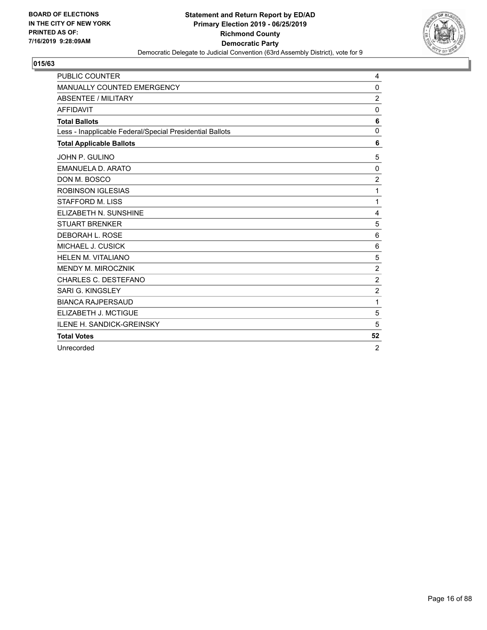

| PUBLIC COUNTER                                           | 4              |
|----------------------------------------------------------|----------------|
| MANUALLY COUNTED EMERGENCY                               | 0              |
| <b>ABSENTEE / MILITARY</b>                               | $\overline{2}$ |
| <b>AFFIDAVIT</b>                                         | 0              |
| <b>Total Ballots</b>                                     | 6              |
| Less - Inapplicable Federal/Special Presidential Ballots | $\mathbf 0$    |
| <b>Total Applicable Ballots</b>                          | 6              |
| JOHN P. GULINO                                           | 5              |
| <b>EMANUELA D. ARATO</b>                                 | 0              |
| DON M. BOSCO                                             | $\overline{2}$ |
| <b>ROBINSON IGLESIAS</b>                                 | 1              |
| <b>STAFFORD M. LISS</b>                                  | 1              |
| ELIZABETH N. SUNSHINE                                    | 4              |
| <b>STUART BRENKER</b>                                    | 5              |
| DEBORAH L. ROSE                                          | 6              |
| MICHAEL J. CUSICK                                        | 6              |
| <b>HELEN M. VITALIANO</b>                                | 5              |
| MENDY M. MIROCZNIK                                       | $\overline{c}$ |
| <b>CHARLES C. DESTEFANO</b>                              | $\overline{c}$ |
| SARI G. KINGSLEY                                         | $\overline{c}$ |
| <b>BIANCA RAJPERSAUD</b>                                 | 1              |
| ELIZABETH J. MCTIGUE                                     | 5              |
| <b>ILENE H. SANDICK-GREINSKY</b>                         | 5              |
| <b>Total Votes</b>                                       | 52             |
| Unrecorded                                               | $\overline{2}$ |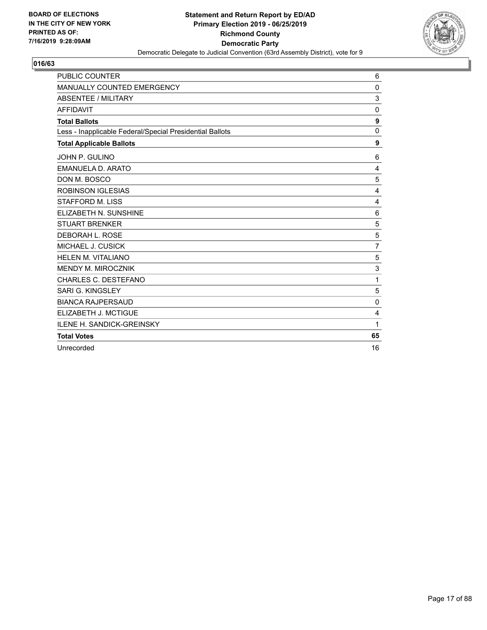

| PUBLIC COUNTER                                           | 6                |
|----------------------------------------------------------|------------------|
| MANUALLY COUNTED EMERGENCY                               | 0                |
| <b>ABSENTEE / MILITARY</b>                               | 3                |
| <b>AFFIDAVIT</b>                                         | 0                |
| <b>Total Ballots</b>                                     | $\boldsymbol{9}$ |
| Less - Inapplicable Federal/Special Presidential Ballots | $\mathbf 0$      |
| <b>Total Applicable Ballots</b>                          | 9                |
| JOHN P. GULINO                                           | 6                |
| <b>EMANUELA D. ARATO</b>                                 | 4                |
| DON M. BOSCO                                             | 5                |
| <b>ROBINSON IGLESIAS</b>                                 | 4                |
| <b>STAFFORD M. LISS</b>                                  | 4                |
| ELIZABETH N. SUNSHINE                                    | 6                |
| <b>STUART BRENKER</b>                                    | 5                |
| DEBORAH L. ROSE                                          | 5                |
| MICHAEL J. CUSICK                                        | $\overline{7}$   |
| HELEN M. VITALIANO                                       | 5                |
| <b>MENDY M. MIROCZNIK</b>                                | 3                |
| CHARLES C. DESTEFANO                                     | 1                |
| SARI G. KINGSLEY                                         | 5                |
| <b>BIANCA RAJPERSAUD</b>                                 | $\mathbf 0$      |
| ELIZABETH J. MCTIGUE                                     | 4                |
| <b>ILENE H. SANDICK-GREINSKY</b>                         | 1                |
| <b>Total Votes</b>                                       | 65               |
| Unrecorded                                               | 16               |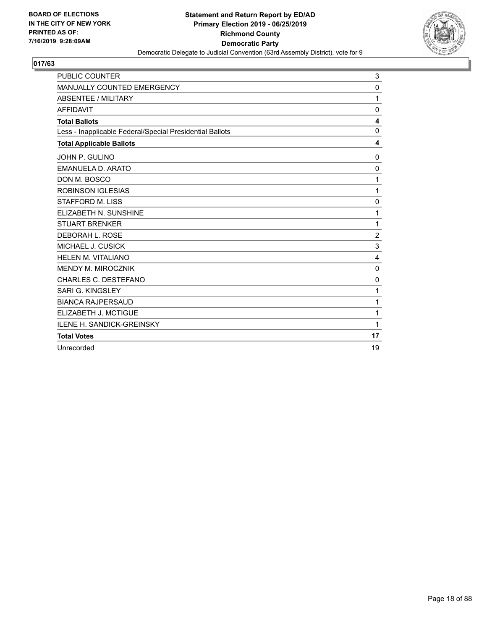

| PUBLIC COUNTER                                           | 3                       |
|----------------------------------------------------------|-------------------------|
| MANUALLY COUNTED EMERGENCY                               | 0                       |
| <b>ABSENTEE / MILITARY</b>                               | 1                       |
| <b>AFFIDAVIT</b>                                         | $\mathbf 0$             |
| <b>Total Ballots</b>                                     | $\overline{\mathbf{4}}$ |
| Less - Inapplicable Federal/Special Presidential Ballots | $\mathbf 0$             |
| <b>Total Applicable Ballots</b>                          | 4                       |
| JOHN P. GULINO                                           | $\mathbf 0$             |
| <b>EMANUELA D. ARATO</b>                                 | 0                       |
| DON M. BOSCO                                             | 1                       |
| <b>ROBINSON IGLESIAS</b>                                 | 1                       |
| <b>STAFFORD M. LISS</b>                                  | 0                       |
| ELIZABETH N. SUNSHINE                                    | 1                       |
| <b>STUART BRENKER</b>                                    | 1                       |
| DEBORAH L. ROSE                                          | $\overline{c}$          |
| MICHAEL J. CUSICK                                        | 3                       |
| <b>HELEN M. VITALIANO</b>                                | 4                       |
| MENDY M. MIROCZNIK                                       | 0                       |
| <b>CHARLES C. DESTEFANO</b>                              | $\mathbf 0$             |
| SARI G. KINGSLEY                                         | 1                       |
| <b>BIANCA RAJPERSAUD</b>                                 | 1                       |
| ELIZABETH J. MCTIGUE                                     | 1                       |
| <b>ILENE H. SANDICK-GREINSKY</b>                         | 1                       |
| <b>Total Votes</b>                                       | 17                      |
| Unrecorded                                               | 19                      |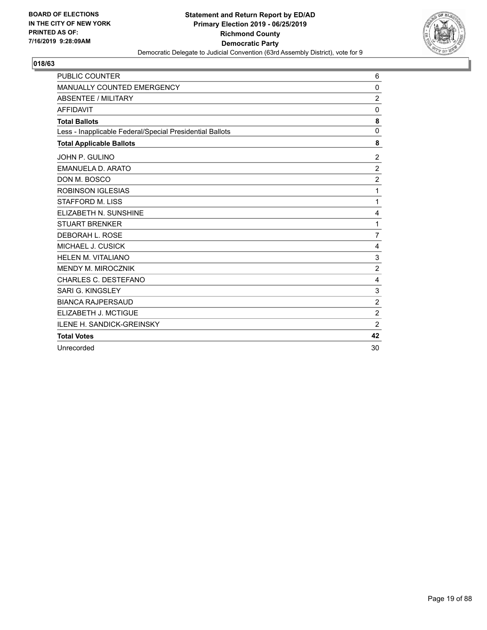

| <b>PUBLIC COUNTER</b>                                    | 6              |
|----------------------------------------------------------|----------------|
| MANUALLY COUNTED EMERGENCY                               | 0              |
| <b>ABSENTEE / MILITARY</b>                               | $\overline{c}$ |
| <b>AFFIDAVIT</b>                                         | 0              |
| <b>Total Ballots</b>                                     | 8              |
| Less - Inapplicable Federal/Special Presidential Ballots | $\mathbf 0$    |
| <b>Total Applicable Ballots</b>                          | 8              |
| JOHN P. GULINO                                           | $\overline{c}$ |
| <b>EMANUELA D. ARATO</b>                                 | $\overline{2}$ |
| DON M. BOSCO                                             | $\overline{c}$ |
| <b>ROBINSON IGLESIAS</b>                                 | 1              |
| <b>STAFFORD M. LISS</b>                                  | 1              |
| ELIZABETH N. SUNSHINE                                    | 4              |
| <b>STUART BRENKER</b>                                    | 1              |
| DEBORAH L. ROSE                                          | $\overline{7}$ |
| MICHAEL J. CUSICK                                        | 4              |
| <b>HELEN M. VITALIANO</b>                                | 3              |
| MENDY M. MIROCZNIK                                       | $\overline{c}$ |
| <b>CHARLES C. DESTEFANO</b>                              | 4              |
| SARI G. KINGSLEY                                         | 3              |
| <b>BIANCA RAJPERSAUD</b>                                 | $\overline{c}$ |
| ELIZABETH J. MCTIGUE                                     | $\overline{c}$ |
| <b>ILENE H. SANDICK-GREINSKY</b>                         | $\overline{2}$ |
| <b>Total Votes</b>                                       | 42             |
| Unrecorded                                               | 30             |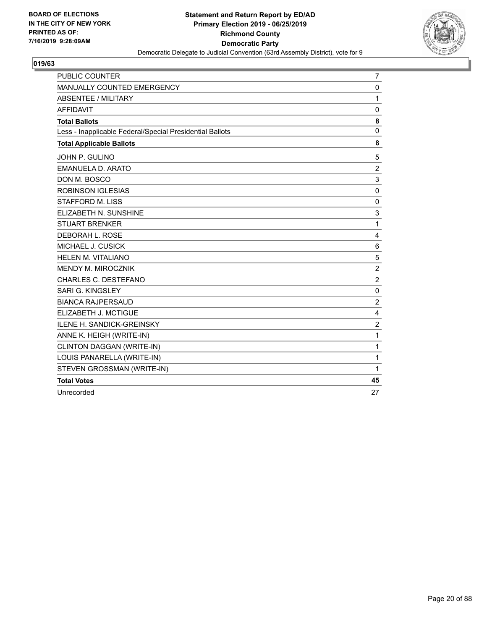

| <b>PUBLIC COUNTER</b>                                    | 7                       |
|----------------------------------------------------------|-------------------------|
| <b>MANUALLY COUNTED EMERGENCY</b>                        | $\mathbf 0$             |
| <b>ABSENTEE / MILITARY</b>                               | 1                       |
| <b>AFFIDAVIT</b>                                         | 0                       |
| <b>Total Ballots</b>                                     | 8                       |
| Less - Inapplicable Federal/Special Presidential Ballots | 0                       |
| <b>Total Applicable Ballots</b>                          | 8                       |
| JOHN P. GULINO                                           | 5                       |
| EMANUELA D. ARATO                                        | $\overline{2}$          |
| DON M. BOSCO                                             | 3                       |
| <b>ROBINSON IGLESIAS</b>                                 | $\mathbf 0$             |
| STAFFORD M. LISS                                         | 0                       |
| ELIZABETH N. SUNSHINE                                    | 3                       |
| <b>STUART BRENKER</b>                                    | 1                       |
| DEBORAH L. ROSE                                          | 4                       |
| MICHAEL J. CUSICK                                        | 6                       |
| <b>HELEN M. VITALIANO</b>                                | 5                       |
| <b>MENDY M. MIROCZNIK</b>                                | $\overline{2}$          |
| CHARLES C. DESTEFANO                                     | $\overline{2}$          |
| SARI G. KINGSLEY                                         | $\mathbf 0$             |
| <b>BIANCA RAJPERSAUD</b>                                 | $\overline{2}$          |
| ELIZABETH J. MCTIGUE                                     | 4                       |
| <b>ILENE H. SANDICK-GREINSKY</b>                         | $\overline{\mathbf{c}}$ |
| ANNE K. HEIGH (WRITE-IN)                                 | 1                       |
| CLINTON DAGGAN (WRITE-IN)                                | 1                       |
| LOUIS PANARELLA (WRITE-IN)                               | 1                       |
| STEVEN GROSSMAN (WRITE-IN)                               | 1                       |
| <b>Total Votes</b>                                       | 45                      |
| Unrecorded                                               | 27                      |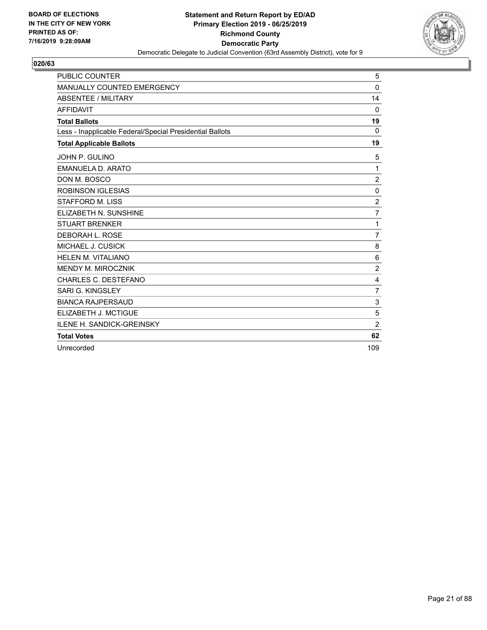

| <b>PUBLIC COUNTER</b>                                    | 5              |
|----------------------------------------------------------|----------------|
| MANUALLY COUNTED EMERGENCY                               | $\Omega$       |
| ABSENTEE / MILITARY                                      | 14             |
| <b>AFFIDAVIT</b>                                         | 0              |
| <b>Total Ballots</b>                                     | 19             |
| Less - Inapplicable Federal/Special Presidential Ballots | $\Omega$       |
| <b>Total Applicable Ballots</b>                          | 19             |
| JOHN P. GULINO                                           | 5              |
| EMANUELA D. ARATO                                        | 1              |
| DON M. BOSCO                                             | $\overline{c}$ |
| <b>ROBINSON IGLESIAS</b>                                 | 0              |
| <b>STAFFORD M. LISS</b>                                  | $\overline{c}$ |
| ELIZABETH N. SUNSHINE                                    | $\overline{7}$ |
| <b>STUART BRENKER</b>                                    | 1              |
| DEBORAH L. ROSE                                          | $\overline{7}$ |
| MICHAEL J. CUSICK                                        | 8              |
| HELEN M. VITALIANO                                       | 6              |
| MENDY M. MIROCZNIK                                       | $\overline{2}$ |
| <b>CHARLES C. DESTEFANO</b>                              | $\overline{4}$ |
| SARI G. KINGSLEY                                         | $\overline{7}$ |
| <b>BIANCA RAJPERSAUD</b>                                 | 3              |
| ELIZABETH J. MCTIGUE                                     | 5              |
| <b>ILENE H. SANDICK-GREINSKY</b>                         | $\overline{2}$ |
| <b>Total Votes</b>                                       | 62             |
| Unrecorded                                               | 109            |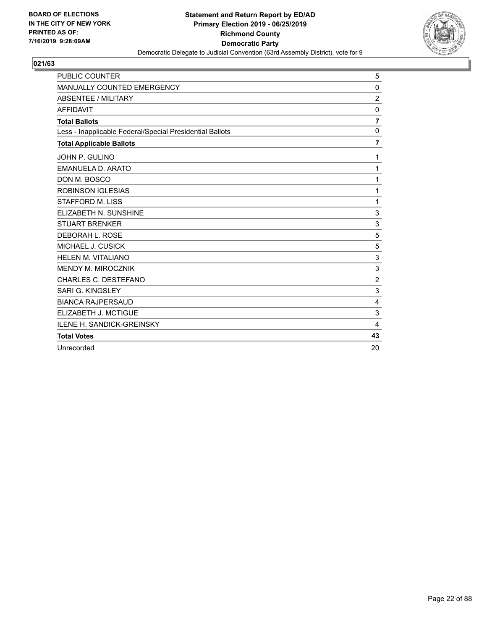

| PUBLIC COUNTER                                           | 5                       |
|----------------------------------------------------------|-------------------------|
| MANUALLY COUNTED EMERGENCY                               | 0                       |
| <b>ABSENTEE / MILITARY</b>                               | $\overline{2}$          |
| <b>AFFIDAVIT</b>                                         | 0                       |
| <b>Total Ballots</b>                                     | $\overline{\mathbf{r}}$ |
| Less - Inapplicable Federal/Special Presidential Ballots | $\mathbf 0$             |
| <b>Total Applicable Ballots</b>                          | $\overline{7}$          |
| JOHN P. GULINO                                           | 1                       |
| <b>EMANUELA D. ARATO</b>                                 | 1                       |
| DON M. BOSCO                                             | 1                       |
| <b>ROBINSON IGLESIAS</b>                                 | 1                       |
| <b>STAFFORD M. LISS</b>                                  | 1                       |
| ELIZABETH N. SUNSHINE                                    | 3                       |
| <b>STUART BRENKER</b>                                    | 3                       |
| <b>DEBORAH L. ROSE</b>                                   | 5                       |
| MICHAEL J. CUSICK                                        | 5                       |
| <b>HELEN M. VITALIANO</b>                                | 3                       |
| MENDY M. MIROCZNIK                                       | 3                       |
| <b>CHARLES C. DESTEFANO</b>                              | $\overline{c}$          |
| SARI G. KINGSLEY                                         | 3                       |
| <b>BIANCA RAJPERSAUD</b>                                 | 4                       |
| ELIZABETH J. MCTIGUE                                     | 3                       |
| <b>ILENE H. SANDICK-GREINSKY</b>                         | 4                       |
| <b>Total Votes</b>                                       | 43                      |
| Unrecorded                                               | 20                      |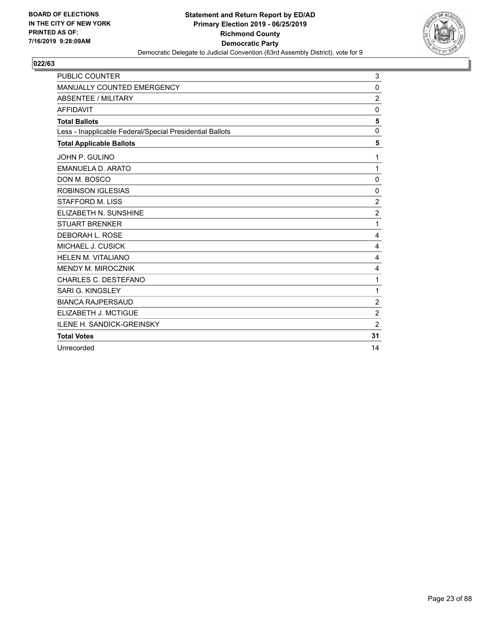

| PUBLIC COUNTER                                           | 3              |
|----------------------------------------------------------|----------------|
| MANUALLY COUNTED EMERGENCY                               | 0              |
| <b>ABSENTEE / MILITARY</b>                               | $\overline{2}$ |
| <b>AFFIDAVIT</b>                                         | 0              |
| <b>Total Ballots</b>                                     | 5              |
| Less - Inapplicable Federal/Special Presidential Ballots | $\mathbf 0$    |
| <b>Total Applicable Ballots</b>                          | 5              |
| JOHN P. GULINO                                           | 1              |
| <b>EMANUELA D. ARATO</b>                                 | 1              |
| DON M. BOSCO                                             | $\mathbf 0$    |
| <b>ROBINSON IGLESIAS</b>                                 | $\mathbf 0$    |
| <b>STAFFORD M. LISS</b>                                  | $\overline{2}$ |
| ELIZABETH N. SUNSHINE                                    | $\overline{c}$ |
| <b>STUART BRENKER</b>                                    | 1              |
| DEBORAH L. ROSE                                          | 4              |
| MICHAEL J. CUSICK                                        | 4              |
| <b>HELEN M. VITALIANO</b>                                | 4              |
| MENDY M. MIROCZNIK                                       | 4              |
| <b>CHARLES C. DESTEFANO</b>                              | 1              |
| SARI G. KINGSLEY                                         | 1              |
| <b>BIANCA RAJPERSAUD</b>                                 | $\overline{2}$ |
| ELIZABETH J. MCTIGUE                                     | $\overline{c}$ |
| <b>ILENE H. SANDICK-GREINSKY</b>                         | $\overline{2}$ |
| <b>Total Votes</b>                                       | 31             |
| Unrecorded                                               | 14             |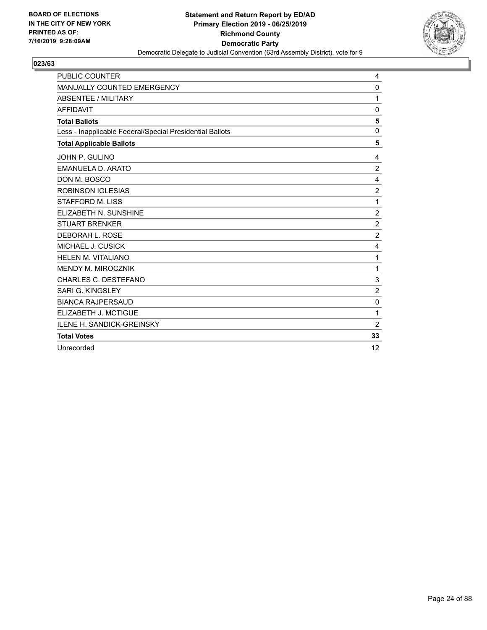

| PUBLIC COUNTER                                           | 4                         |
|----------------------------------------------------------|---------------------------|
| MANUALLY COUNTED EMERGENCY                               | 0                         |
| <b>ABSENTEE / MILITARY</b>                               | 1                         |
| <b>AFFIDAVIT</b>                                         | 0                         |
| <b>Total Ballots</b>                                     | 5                         |
| Less - Inapplicable Federal/Special Presidential Ballots | $\mathbf 0$               |
| <b>Total Applicable Ballots</b>                          | 5                         |
| JOHN P. GULINO                                           | 4                         |
| <b>EMANUELA D. ARATO</b>                                 | $\overline{2}$            |
| DON M. BOSCO                                             | $\overline{4}$            |
| <b>ROBINSON IGLESIAS</b>                                 | $\overline{c}$            |
| <b>STAFFORD M. LISS</b>                                  | 1                         |
| ELIZABETH N. SUNSHINE                                    | $\overline{c}$            |
| <b>STUART BRENKER</b>                                    | $\overline{2}$            |
| DEBORAH L. ROSE                                          | $\overline{c}$            |
| MICHAEL J. CUSICK                                        | 4                         |
| <b>HELEN M. VITALIANO</b>                                | 1                         |
| MENDY M. MIROCZNIK                                       | 1                         |
| <b>CHARLES C. DESTEFANO</b>                              | $\ensuremath{\mathsf{3}}$ |
| SARI G. KINGSLEY                                         | $\overline{c}$            |
| <b>BIANCA RAJPERSAUD</b>                                 | $\mathbf 0$               |
| ELIZABETH J. MCTIGUE                                     | 1                         |
| <b>ILENE H. SANDICK-GREINSKY</b>                         | 2                         |
| <b>Total Votes</b>                                       | 33                        |
| Unrecorded                                               | 12                        |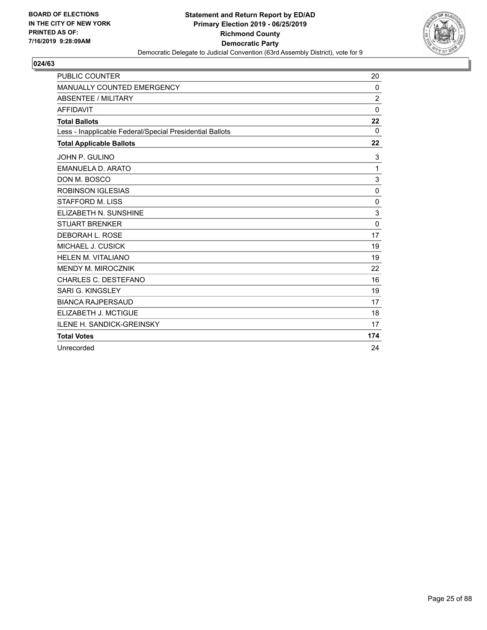

| <b>PUBLIC COUNTER</b>                                    | 20             |
|----------------------------------------------------------|----------------|
| <b>MANUALLY COUNTED EMERGENCY</b>                        | $\mathbf{0}$   |
| ABSENTEE / MILITARY                                      | $\overline{2}$ |
| <b>AFFIDAVIT</b>                                         | 0              |
| <b>Total Ballots</b>                                     | 22             |
| Less - Inapplicable Federal/Special Presidential Ballots | $\Omega$       |
| <b>Total Applicable Ballots</b>                          | 22             |
| JOHN P. GULINO                                           | 3              |
| EMANUELA D. ARATO                                        | 1              |
| DON M. BOSCO                                             | 3              |
| <b>ROBINSON IGLESIAS</b>                                 | $\mathbf 0$    |
| <b>STAFFORD M. LISS</b>                                  | $\mathbf 0$    |
| ELIZABETH N. SUNSHINE                                    | 3              |
| <b>STUART BRENKER</b>                                    | $\mathbf{0}$   |
| DEBORAH L. ROSE                                          | 17             |
| MICHAEL J. CUSICK                                        | 19             |
| <b>HELEN M. VITALIANO</b>                                | 19             |
| MENDY M. MIROCZNIK                                       | 22             |
| CHARLES C. DESTEFANO                                     | 16             |
| SARI G. KINGSLEY                                         | 19             |
| <b>BIANCA RAJPERSAUD</b>                                 | 17             |
| ELIZABETH J. MCTIGUE                                     | 18             |
| <b>ILENE H. SANDICK-GREINSKY</b>                         | 17             |
| <b>Total Votes</b>                                       | 174            |
| Unrecorded                                               | 24             |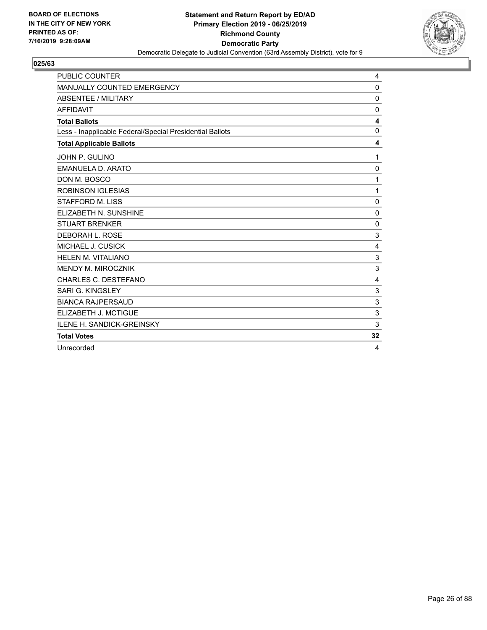

| PUBLIC COUNTER                                           | 4           |
|----------------------------------------------------------|-------------|
| MANUALLY COUNTED EMERGENCY                               | 0           |
| <b>ABSENTEE / MILITARY</b>                               | $\mathbf 0$ |
| <b>AFFIDAVIT</b>                                         | 0           |
| <b>Total Ballots</b>                                     | 4           |
| Less - Inapplicable Federal/Special Presidential Ballots | $\mathbf 0$ |
| <b>Total Applicable Ballots</b>                          | 4           |
| JOHN P. GULINO                                           | 1           |
| EMANUELA D. ARATO                                        | 0           |
| DON M. BOSCO                                             | 1           |
| <b>ROBINSON IGLESIAS</b>                                 | 1           |
| <b>STAFFORD M. LISS</b>                                  | 0           |
| ELIZABETH N. SUNSHINE                                    | $\mathbf 0$ |
| <b>STUART BRENKER</b>                                    | 0           |
| DEBORAH L. ROSE                                          | 3           |
| MICHAEL J. CUSICK                                        | 4           |
| HELEN M. VITALIANO                                       | 3           |
| MENDY M. MIROCZNIK                                       | 3           |
| CHARLES C. DESTEFANO                                     | 4           |
| SARI G. KINGSLEY                                         | 3           |
| <b>BIANCA RAJPERSAUD</b>                                 | 3           |
| ELIZABETH J. MCTIGUE                                     | 3           |
| <b>ILENE H. SANDICK-GREINSKY</b>                         | 3           |
| <b>Total Votes</b>                                       | 32          |
| Unrecorded                                               | 4           |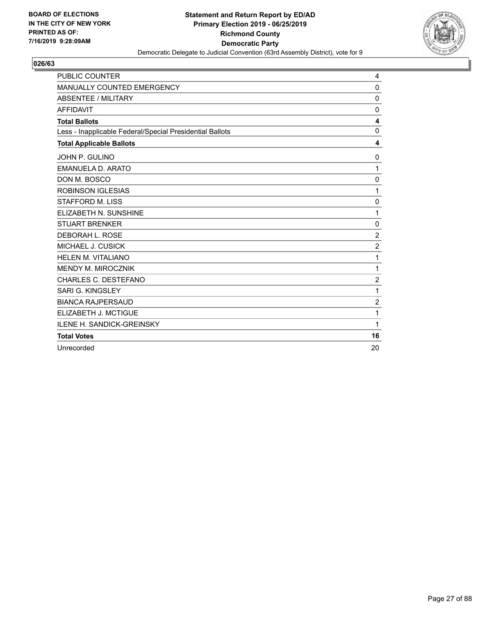

| <b>PUBLIC COUNTER</b>                                    | 4              |
|----------------------------------------------------------|----------------|
| MANUALLY COUNTED EMERGENCY                               | 0              |
| <b>ABSENTEE / MILITARY</b>                               | $\mathbf 0$    |
| <b>AFFIDAVIT</b>                                         | $\mathbf{0}$   |
| <b>Total Ballots</b>                                     | 4              |
| Less - Inapplicable Federal/Special Presidential Ballots | $\mathbf 0$    |
| <b>Total Applicable Ballots</b>                          | 4              |
| JOHN P. GULINO                                           | 0              |
| <b>EMANUELA D. ARATO</b>                                 | 1              |
| DON M. BOSCO                                             | $\mathbf 0$    |
| <b>ROBINSON IGLESIAS</b>                                 | 1              |
| <b>STAFFORD M. LISS</b>                                  | 0              |
| ELIZABETH N. SUNSHINE                                    | 1              |
| <b>STUART BRENKER</b>                                    | $\mathbf 0$    |
| DEBORAH L. ROSE                                          | $\overline{c}$ |
| MICHAEL J. CUSICK                                        | $\overline{2}$ |
| HELEN M. VITALIANO                                       | 1              |
| <b>MENDY M. MIROCZNIK</b>                                | 1              |
| CHARLES C. DESTEFANO                                     | $\overline{c}$ |
| SARI G. KINGSLEY                                         | 1              |
| <b>BIANCA RAJPERSAUD</b>                                 | $\overline{c}$ |
| ELIZABETH J. MCTIGUE                                     | 1              |
| ILENE H. SANDICK-GREINSKY                                | 1              |
| <b>Total Votes</b>                                       | 16             |
| Unrecorded                                               | 20             |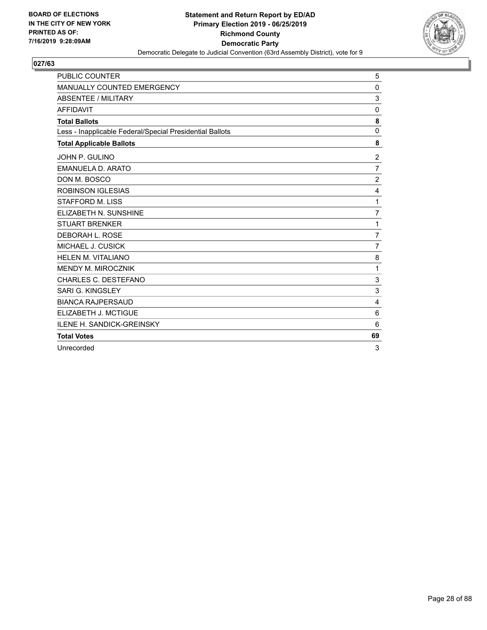

| PUBLIC COUNTER                                           | 5                         |
|----------------------------------------------------------|---------------------------|
| MANUALLY COUNTED EMERGENCY                               | 0                         |
| <b>ABSENTEE / MILITARY</b>                               | 3                         |
| <b>AFFIDAVIT</b>                                         | 0                         |
| <b>Total Ballots</b>                                     | 8                         |
| Less - Inapplicable Federal/Special Presidential Ballots | $\mathbf 0$               |
| <b>Total Applicable Ballots</b>                          | 8                         |
| JOHN P. GULINO                                           | $\overline{2}$            |
| <b>EMANUELA D. ARATO</b>                                 | $\overline{7}$            |
| DON M. BOSCO                                             | $\overline{c}$            |
| <b>ROBINSON IGLESIAS</b>                                 | 4                         |
| <b>STAFFORD M. LISS</b>                                  | 1                         |
| ELIZABETH N. SUNSHINE                                    | $\overline{7}$            |
| <b>STUART BRENKER</b>                                    | 1                         |
| <b>DEBORAH L. ROSE</b>                                   | $\overline{7}$            |
| MICHAEL J. CUSICK                                        | $\overline{7}$            |
| <b>HELEN M. VITALIANO</b>                                | 8                         |
| MENDY M. MIROCZNIK                                       | 1                         |
| <b>CHARLES C. DESTEFANO</b>                              | $\ensuremath{\mathsf{3}}$ |
| SARI G. KINGSLEY                                         | 3                         |
| <b>BIANCA RAJPERSAUD</b>                                 | 4                         |
| ELIZABETH J. MCTIGUE                                     | 6                         |
| <b>ILENE H. SANDICK-GREINSKY</b>                         | 6                         |
| <b>Total Votes</b>                                       | 69                        |
| Unrecorded                                               | 3                         |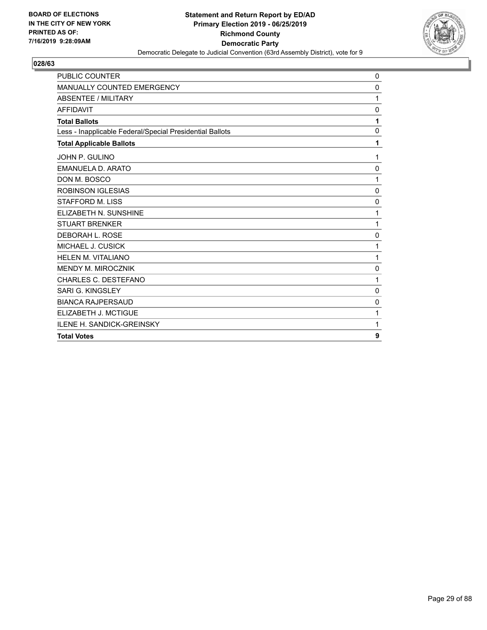

| PUBLIC COUNTER                                           | 0            |
|----------------------------------------------------------|--------------|
| MANUALLY COUNTED EMERGENCY                               | 0            |
| ABSENTEE / MILITARY                                      | 1            |
| <b>AFFIDAVIT</b>                                         | 0            |
| <b>Total Ballots</b>                                     | 1            |
| Less - Inapplicable Federal/Special Presidential Ballots | $\mathbf{0}$ |
| <b>Total Applicable Ballots</b>                          | 1            |
| JOHN P. GULINO                                           | 1            |
| <b>EMANUELA D. ARATO</b>                                 | $\mathbf{0}$ |
| DON M. BOSCO                                             | 1            |
| <b>ROBINSON IGLESIAS</b>                                 | $\mathbf{0}$ |
| STAFFORD M. LISS                                         | $\mathbf{0}$ |
| ELIZABETH N. SUNSHINE                                    | 1            |
| <b>STUART BRENKER</b>                                    | 1            |
| DEBORAH L. ROSE                                          | $\mathbf 0$  |
| MICHAEL J. CUSICK                                        | 1            |
| HELEN M. VITALIANO                                       | 1            |
| <b>MENDY M. MIROCZNIK</b>                                | 0            |
| CHARLES C. DESTEFANO                                     | 1            |
| <b>SARI G. KINGSLEY</b>                                  | $\mathbf{0}$ |
| <b>BIANCA RAJPERSAUD</b>                                 | $\mathbf 0$  |
| ELIZABETH J. MCTIGUE                                     | 1            |
| <b>ILENE H. SANDICK-GREINSKY</b>                         | 1            |
| <b>Total Votes</b>                                       | 9            |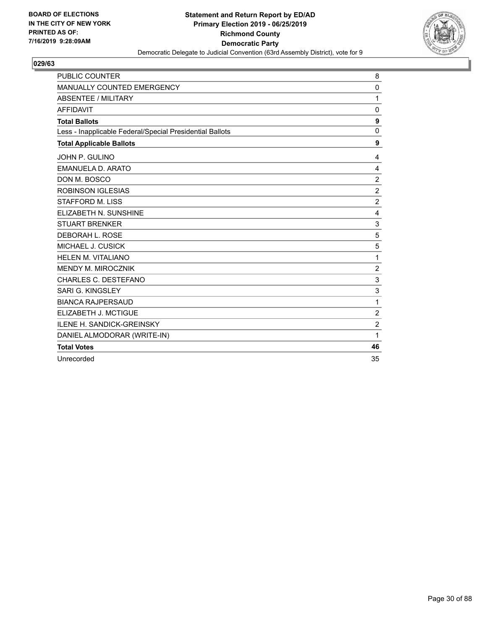

| <b>PUBLIC COUNTER</b>                                    | 8              |
|----------------------------------------------------------|----------------|
| MANUALLY COUNTED EMERGENCY                               | 0              |
| ABSENTEE / MILITARY                                      | 1              |
| <b>AFFIDAVIT</b>                                         | $\mathbf 0$    |
| <b>Total Ballots</b>                                     | 9              |
| Less - Inapplicable Federal/Special Presidential Ballots | $\Omega$       |
| <b>Total Applicable Ballots</b>                          | 9              |
| JOHN P. GULINO                                           | 4              |
| EMANUELA D. ARATO                                        | 4              |
| DON M. BOSCO                                             | $\overline{c}$ |
| <b>ROBINSON IGLESIAS</b>                                 | $\overline{2}$ |
| STAFFORD M. LISS                                         | $\overline{2}$ |
| ELIZABETH N. SUNSHINE                                    | 4              |
| <b>STUART BRENKER</b>                                    | 3              |
| DEBORAH L. ROSE                                          | 5              |
| MICHAEL J. CUSICK                                        | 5              |
| HELEN M. VITALIANO                                       | 1              |
| <b>MENDY M. MIROCZNIK</b>                                | $\overline{2}$ |
| CHARLES C. DESTEFANO                                     | 3              |
| SARI G. KINGSLEY                                         | 3              |
| <b>BIANCA RAJPERSAUD</b>                                 | 1              |
| ELIZABETH J. MCTIGUE                                     | $\overline{c}$ |
| ILENE H. SANDICK-GREINSKY                                | $\overline{2}$ |
| DANIEL ALMODORAR (WRITE-IN)                              | 1              |
| <b>Total Votes</b>                                       | 46             |
| Unrecorded                                               | 35             |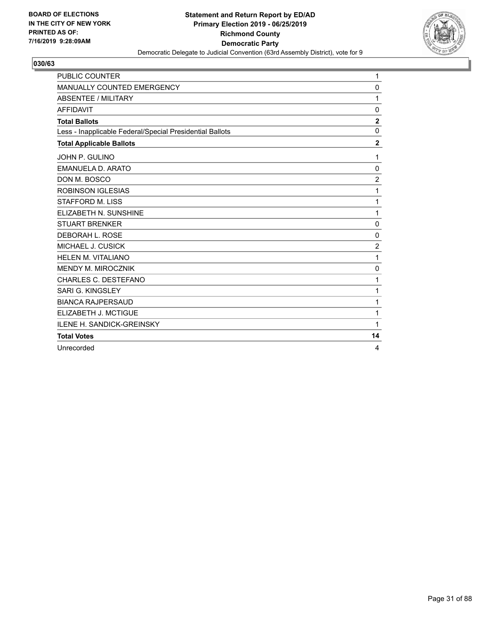

| PUBLIC COUNTER                                           | 1              |
|----------------------------------------------------------|----------------|
| MANUALLY COUNTED EMERGENCY                               | 0              |
| <b>ABSENTEE / MILITARY</b>                               | 1              |
| <b>AFFIDAVIT</b>                                         | 0              |
| <b>Total Ballots</b>                                     | $\mathbf 2$    |
| Less - Inapplicable Federal/Special Presidential Ballots | $\mathbf 0$    |
| <b>Total Applicable Ballots</b>                          | $\overline{2}$ |
| JOHN P. GULINO                                           | 1              |
| EMANUELA D. ARATO                                        | 0              |
| DON M. BOSCO                                             | $\overline{c}$ |
| <b>ROBINSON IGLESIAS</b>                                 | 1              |
| <b>STAFFORD M. LISS</b>                                  | 1              |
| ELIZABETH N. SUNSHINE                                    | 1              |
| <b>STUART BRENKER</b>                                    | 0              |
| DEBORAH L. ROSE                                          | 0              |
| MICHAEL J. CUSICK                                        | $\overline{c}$ |
| HELEN M. VITALIANO                                       | 1              |
| MENDY M. MIROCZNIK                                       | 0              |
| CHARLES C. DESTEFANO                                     | 1              |
| SARI G. KINGSLEY                                         | 1              |
| <b>BIANCA RAJPERSAUD</b>                                 | 1              |
| ELIZABETH J. MCTIGUE                                     | 1              |
| <b>ILENE H. SANDICK-GREINSKY</b>                         | 1              |
| <b>Total Votes</b>                                       | 14             |
| Unrecorded                                               | 4              |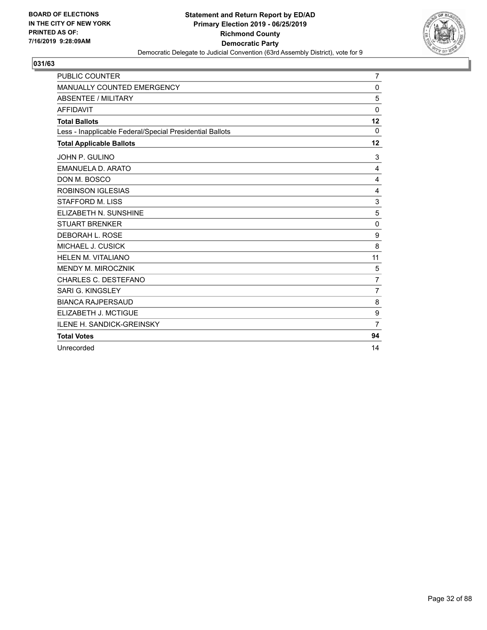

| PUBLIC COUNTER                                           | 7              |
|----------------------------------------------------------|----------------|
| MANUALLY COUNTED EMERGENCY                               | 0              |
| <b>ABSENTEE / MILITARY</b>                               | 5              |
| <b>AFFIDAVIT</b>                                         | 0              |
| <b>Total Ballots</b>                                     | 12             |
| Less - Inapplicable Federal/Special Presidential Ballots | $\Omega$       |
| <b>Total Applicable Ballots</b>                          | 12             |
| JOHN P. GULINO                                           | 3              |
| EMANUELA D. ARATO                                        | 4              |
| DON M. BOSCO                                             | 4              |
| <b>ROBINSON IGLESIAS</b>                                 | 4              |
| <b>STAFFORD M. LISS</b>                                  | $\mathbf{3}$   |
| ELIZABETH N. SUNSHINE                                    | 5              |
| <b>STUART BRENKER</b>                                    | $\mathbf 0$    |
| DEBORAH L. ROSE                                          | 9              |
| MICHAEL J. CUSICK                                        | 8              |
| HELEN M. VITALIANO                                       | 11             |
| <b>MENDY M. MIROCZNIK</b>                                | 5              |
| CHARLES C. DESTEFANO                                     | $\overline{7}$ |
| SARI G. KINGSLEY                                         | $\overline{7}$ |
| <b>BIANCA RAJPERSAUD</b>                                 | 8              |
| ELIZABETH J. MCTIGUE                                     | 9              |
| <b>ILENE H. SANDICK-GREINSKY</b>                         | $\overline{7}$ |
| <b>Total Votes</b>                                       | 94             |
| Unrecorded                                               | 14             |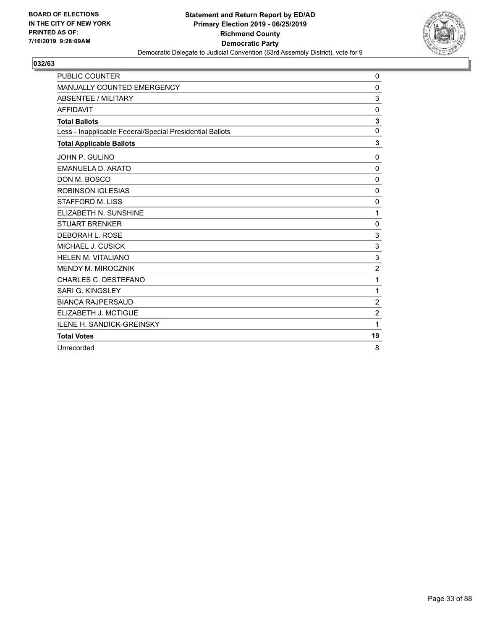

| PUBLIC COUNTER                                           | 0              |
|----------------------------------------------------------|----------------|
| MANUALLY COUNTED EMERGENCY                               | 0              |
| <b>ABSENTEE / MILITARY</b>                               | 3              |
| <b>AFFIDAVIT</b>                                         | 0              |
| <b>Total Ballots</b>                                     | 3              |
| Less - Inapplicable Federal/Special Presidential Ballots | $\mathbf 0$    |
| <b>Total Applicable Ballots</b>                          | 3              |
| JOHN P. GULINO                                           | 0              |
| <b>EMANUELA D. ARATO</b>                                 | 0              |
| DON M. BOSCO                                             | $\mathbf 0$    |
| <b>ROBINSON IGLESIAS</b>                                 | $\mathbf 0$    |
| <b>STAFFORD M. LISS</b>                                  | $\Omega$       |
| ELIZABETH N. SUNSHINE                                    | 1              |
| <b>STUART BRENKER</b>                                    | 0              |
| <b>DEBORAH L. ROSE</b>                                   | 3              |
| MICHAEL J. CUSICK                                        | 3              |
| <b>HELEN M. VITALIANO</b>                                | 3              |
| MENDY M. MIROCZNIK                                       | $\overline{c}$ |
| <b>CHARLES C. DESTEFANO</b>                              | 1              |
| SARI G. KINGSLEY                                         | 1              |
| <b>BIANCA RAJPERSAUD</b>                                 | $\overline{2}$ |
| ELIZABETH J. MCTIGUE                                     | $\overline{c}$ |
| <b>ILENE H. SANDICK-GREINSKY</b>                         | 1              |
| <b>Total Votes</b>                                       | 19             |
| Unrecorded                                               | 8              |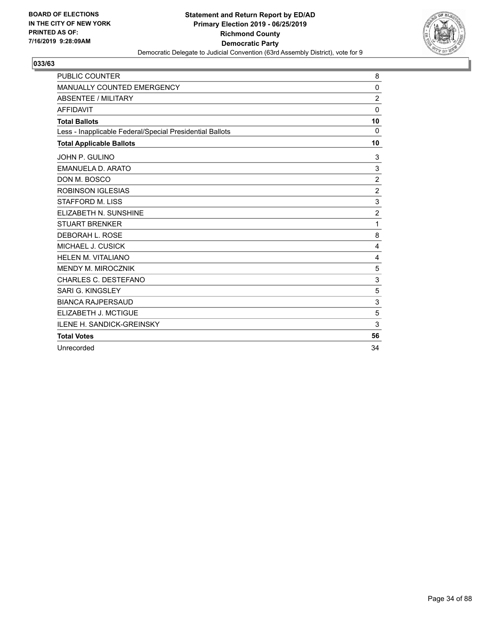

| <b>PUBLIC COUNTER</b>                                    | 8              |
|----------------------------------------------------------|----------------|
| MANUALLY COUNTED EMERGENCY                               | $\mathbf 0$    |
| <b>ABSENTEE / MILITARY</b>                               | $\overline{c}$ |
| <b>AFFIDAVIT</b>                                         | $\mathbf 0$    |
| <b>Total Ballots</b>                                     | 10             |
| Less - Inapplicable Federal/Special Presidential Ballots | $\Omega$       |
| <b>Total Applicable Ballots</b>                          | 10             |
| JOHN P. GULINO                                           | 3              |
| <b>EMANUELA D. ARATO</b>                                 | 3              |
| DON M. BOSCO                                             | $\overline{c}$ |
| <b>ROBINSON IGLESIAS</b>                                 | $\overline{2}$ |
| <b>STAFFORD M. LISS</b>                                  | 3              |
| ELIZABETH N. SUNSHINE                                    | $\overline{2}$ |
| <b>STUART BRENKER</b>                                    | 1              |
| DEBORAH L. ROSE                                          | 8              |
| MICHAEL J. CUSICK                                        | 4              |
| <b>HELEN M. VITALIANO</b>                                | 4              |
| <b>MENDY M. MIROCZNIK</b>                                | 5              |
| CHARLES C. DESTEFANO                                     | 3              |
| <b>SARI G. KINGSLEY</b>                                  | 5              |
| <b>BIANCA RAJPERSAUD</b>                                 | 3              |
| ELIZABETH J. MCTIGUE                                     | 5              |
| <b>ILENE H. SANDICK-GREINSKY</b>                         | 3              |
| <b>Total Votes</b>                                       | 56             |
| Unrecorded                                               | 34             |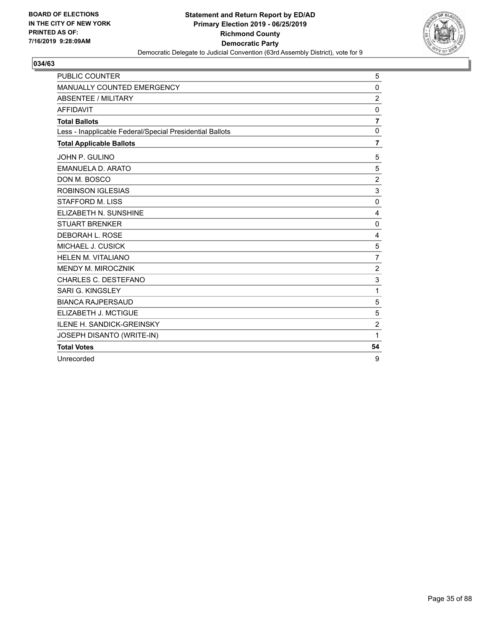

| <b>PUBLIC COUNTER</b>                                    | 5              |
|----------------------------------------------------------|----------------|
| MANUALLY COUNTED EMERGENCY                               | 0              |
| <b>ABSENTEE / MILITARY</b>                               | $\overline{2}$ |
| <b>AFFIDAVIT</b>                                         | $\mathbf{0}$   |
| <b>Total Ballots</b>                                     | $\overline{7}$ |
| Less - Inapplicable Federal/Special Presidential Ballots | $\mathbf{0}$   |
| <b>Total Applicable Ballots</b>                          | $\overline{7}$ |
| JOHN P. GULINO                                           | 5              |
| <b>EMANUELA D. ARATO</b>                                 | 5              |
| DON M. BOSCO                                             | $\overline{2}$ |
| <b>ROBINSON IGLESIAS</b>                                 | 3              |
| <b>STAFFORD M. LISS</b>                                  | $\mathbf{0}$   |
| ELIZABETH N. SUNSHINE                                    | 4              |
| <b>STUART BRENKER</b>                                    | $\mathbf{0}$   |
| DEBORAH L. ROSE                                          | 4              |
| MICHAEL J. CUSICK                                        | 5              |
| <b>HELEN M. VITALIANO</b>                                | $\overline{7}$ |
| MENDY M. MIROCZNIK                                       | $\overline{c}$ |
| CHARLES C. DESTEFANO                                     | 3              |
| <b>SARI G. KINGSLEY</b>                                  | 1              |
| <b>BIANCA RAJPERSAUD</b>                                 | 5              |
| ELIZABETH J. MCTIGUE                                     | 5              |
| <b>ILENE H. SANDICK-GREINSKY</b>                         | $\overline{c}$ |
| JOSEPH DISANTO (WRITE-IN)                                | 1              |
| <b>Total Votes</b>                                       | 54             |
| Unrecorded                                               | 9              |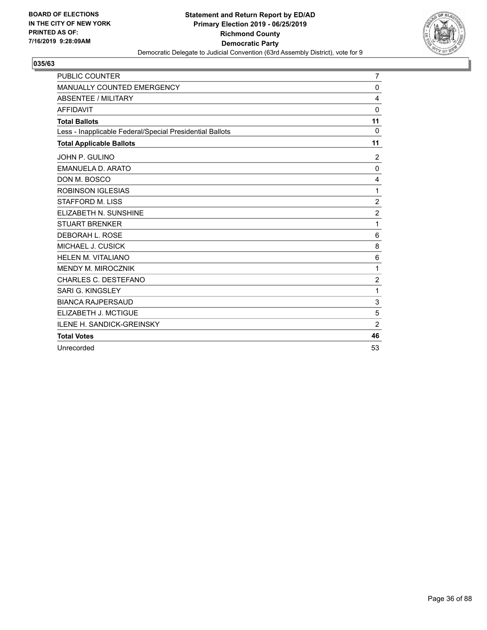

| PUBLIC COUNTER                                           | 7              |
|----------------------------------------------------------|----------------|
| MANUALLY COUNTED EMERGENCY                               | 0              |
| <b>ABSENTEE / MILITARY</b>                               | $\overline{4}$ |
| <b>AFFIDAVIT</b>                                         | 0              |
| <b>Total Ballots</b>                                     | 11             |
| Less - Inapplicable Federal/Special Presidential Ballots | $\Omega$       |
| <b>Total Applicable Ballots</b>                          | 11             |
| JOHN P. GULINO                                           | $\overline{c}$ |
| EMANUELA D. ARATO                                        | 0              |
| DON M. BOSCO                                             | 4              |
| <b>ROBINSON IGLESIAS</b>                                 | 1              |
| <b>STAFFORD M. LISS</b>                                  | $\overline{c}$ |
| ELIZABETH N. SUNSHINE                                    | $\overline{c}$ |
| <b>STUART BRENKER</b>                                    | 1              |
| DEBORAH L. ROSE                                          | 6              |
| MICHAEL J. CUSICK                                        | 8              |
| HELEN M. VITALIANO                                       | 6              |
| <b>MENDY M. MIROCZNIK</b>                                | 1              |
| CHARLES C. DESTEFANO                                     | $\overline{c}$ |
| SARI G. KINGSLEY                                         | 1              |
| <b>BIANCA RAJPERSAUD</b>                                 | 3              |
| ELIZABETH J. MCTIGUE                                     | 5              |
| <b>ILENE H. SANDICK-GREINSKY</b>                         | $\overline{2}$ |
| <b>Total Votes</b>                                       | 46             |
| Unrecorded                                               | 53             |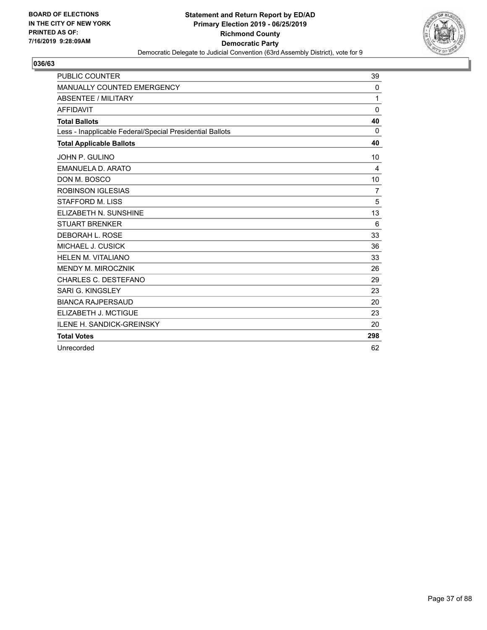

| <b>PUBLIC COUNTER</b>                                    | 39           |
|----------------------------------------------------------|--------------|
| MANUALLY COUNTED EMERGENCY                               | $\mathbf{0}$ |
| <b>ABSENTEE / MILITARY</b>                               | 1            |
| <b>AFFIDAVIT</b>                                         | $\mathbf 0$  |
| <b>Total Ballots</b>                                     | 40           |
| Less - Inapplicable Federal/Special Presidential Ballots | $\Omega$     |
| <b>Total Applicable Ballots</b>                          | 40           |
| JOHN P. GULINO                                           | 10           |
| EMANUELA D. ARATO                                        | 4            |
| DON M. BOSCO                                             | 10           |
| <b>ROBINSON IGLESIAS</b>                                 | 7            |
| <b>STAFFORD M. LISS</b>                                  | 5            |
| ELIZABETH N. SUNSHINE                                    | 13           |
| <b>STUART BRENKER</b>                                    | 6            |
| DEBORAH L. ROSE                                          | 33           |
| MICHAEL J. CUSICK                                        | 36           |
| HELEN M. VITALIANO                                       | 33           |
| MENDY M. MIROCZNIK                                       | 26           |
| <b>CHARLES C. DESTEFANO</b>                              | 29           |
| SARI G. KINGSLEY                                         | 23           |
| <b>BIANCA RAJPERSAUD</b>                                 | 20           |
| ELIZABETH J. MCTIGUE                                     | 23           |
| <b>ILENE H. SANDICK-GREINSKY</b>                         | 20           |
| <b>Total Votes</b>                                       | 298          |
| Unrecorded                                               | 62           |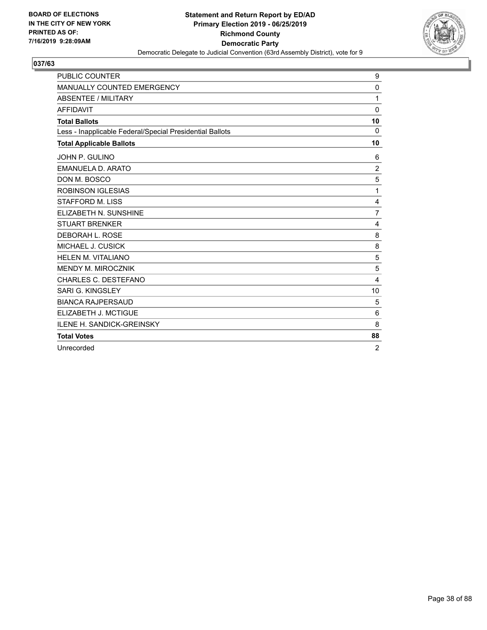

| <b>PUBLIC COUNTER</b>                                    | 9              |
|----------------------------------------------------------|----------------|
| MANUALLY COUNTED EMERGENCY                               | 0              |
| <b>ABSENTEE / MILITARY</b>                               | 1              |
| <b>AFFIDAVIT</b>                                         | $\mathbf 0$    |
| <b>Total Ballots</b>                                     | 10             |
| Less - Inapplicable Federal/Special Presidential Ballots | $\Omega$       |
| <b>Total Applicable Ballots</b>                          | 10             |
| JOHN P. GULINO                                           | 6              |
| <b>EMANUELA D. ARATO</b>                                 | $\overline{2}$ |
| DON M. BOSCO                                             | 5              |
| <b>ROBINSON IGLESIAS</b>                                 | 1              |
| STAFFORD M. LISS                                         | 4              |
| ELIZABETH N. SUNSHINE                                    | 7              |
| <b>STUART BRENKER</b>                                    | 4              |
| DEBORAH L. ROSE                                          | 8              |
| MICHAEL J. CUSICK                                        | 8              |
| <b>HELEN M. VITALIANO</b>                                | 5              |
| MENDY M. MIROCZNIK                                       | 5              |
| <b>CHARLES C. DESTEFANO</b>                              | 4              |
| SARI G. KINGSLEY                                         | 10             |
| <b>BIANCA RAJPERSAUD</b>                                 | 5              |
| ELIZABETH J. MCTIGUE                                     | 6              |
| <b>ILENE H. SANDICK-GREINSKY</b>                         | 8              |
| <b>Total Votes</b>                                       | 88             |
| Unrecorded                                               | $\overline{2}$ |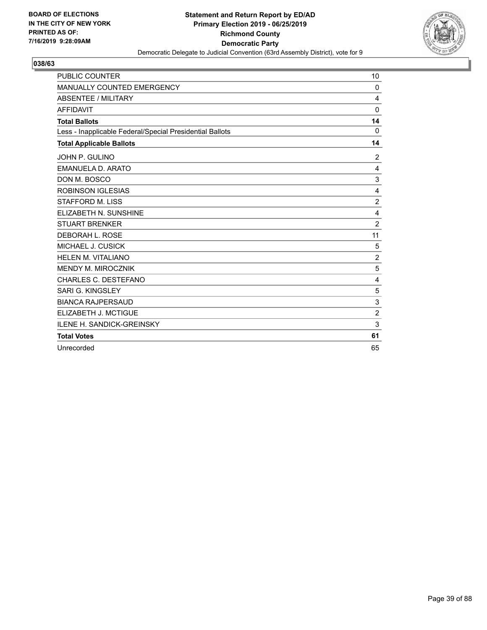

| <b>PUBLIC COUNTER</b>                                    | 10             |
|----------------------------------------------------------|----------------|
| MANUALLY COUNTED EMERGENCY                               | 0              |
| <b>ABSENTEE / MILITARY</b>                               | 4              |
| <b>AFFIDAVIT</b>                                         | $\Omega$       |
| <b>Total Ballots</b>                                     | 14             |
| Less - Inapplicable Federal/Special Presidential Ballots | $\mathbf 0$    |
| <b>Total Applicable Ballots</b>                          | 14             |
| JOHN P. GULINO                                           | 2              |
| <b>EMANUELA D. ARATO</b>                                 | 4              |
| DON M. BOSCO                                             | 3              |
| <b>ROBINSON IGLESIAS</b>                                 | 4              |
| <b>STAFFORD M. LISS</b>                                  | $\overline{c}$ |
| ELIZABETH N. SUNSHINE                                    | $\overline{4}$ |
| <b>STUART BRENKER</b>                                    | $\overline{2}$ |
| DEBORAH L. ROSE                                          | 11             |
| MICHAEL J. CUSICK                                        | 5              |
| HELEN M. VITALIANO                                       | $\overline{2}$ |
| <b>MENDY M. MIROCZNIK</b>                                | 5              |
| CHARLES C. DESTEFANO                                     | 4              |
| SARI G. KINGSLEY                                         | 5              |
| <b>BIANCA RAJPERSAUD</b>                                 | 3              |
| ELIZABETH J. MCTIGUE                                     | $\overline{2}$ |
| ILENE H. SANDICK-GREINSKY                                | 3              |
| <b>Total Votes</b>                                       | 61             |
| Unrecorded                                               | 65             |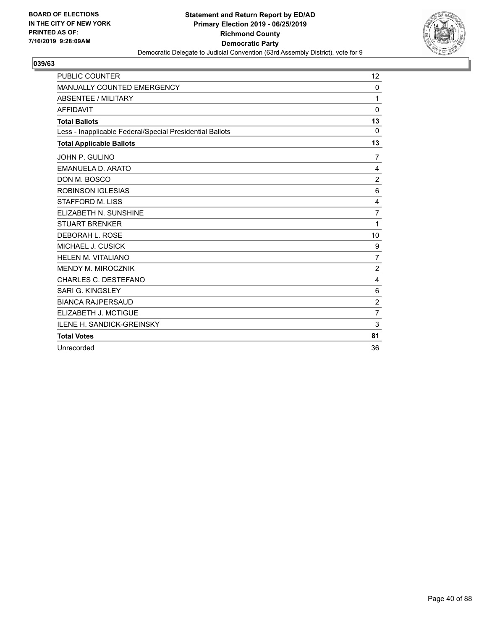

| <b>PUBLIC COUNTER</b>                                    | 12             |
|----------------------------------------------------------|----------------|
| MANUALLY COUNTED EMERGENCY                               | 0              |
| <b>ABSENTEE / MILITARY</b>                               | 1              |
| <b>AFFIDAVIT</b>                                         | $\Omega$       |
| <b>Total Ballots</b>                                     | 13             |
| Less - Inapplicable Federal/Special Presidential Ballots | $\Omega$       |
| <b>Total Applicable Ballots</b>                          | 13             |
| JOHN P. GULINO                                           | 7              |
| EMANUELA D. ARATO                                        | 4              |
| DON M. BOSCO                                             | $\overline{c}$ |
| <b>ROBINSON IGLESIAS</b>                                 | 6              |
| <b>STAFFORD M. LISS</b>                                  | 4              |
| ELIZABETH N. SUNSHINE                                    | $\overline{7}$ |
| <b>STUART BRENKER</b>                                    | 1              |
| DEBORAH L. ROSE                                          | 10             |
| MICHAEL J. CUSICK                                        | 9              |
| <b>HELEN M. VITALIANO</b>                                | $\overline{7}$ |
| <b>MENDY M. MIROCZNIK</b>                                | $\overline{2}$ |
| CHARLES C. DESTEFANO                                     | 4              |
| SARI G. KINGSLEY                                         | 6              |
| <b>BIANCA RAJPERSAUD</b>                                 | $\overline{c}$ |
| ELIZABETH J. MCTIGUE                                     | $\overline{7}$ |
| ILENE H. SANDICK-GREINSKY                                | 3              |
| <b>Total Votes</b>                                       | 81             |
| Unrecorded                                               | 36             |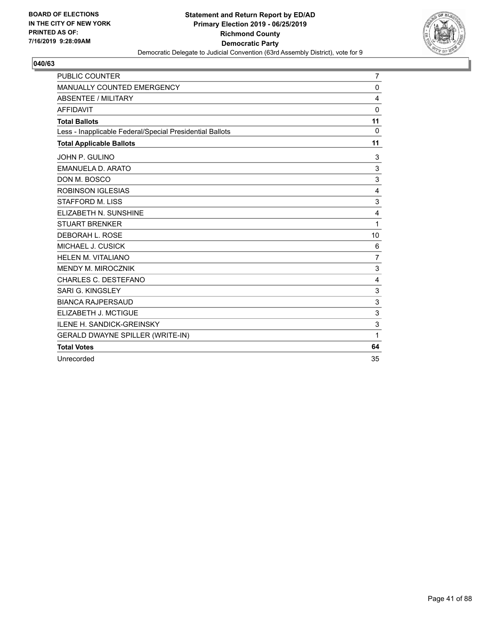

| <b>PUBLIC COUNTER</b>                                    | $\overline{7}$ |
|----------------------------------------------------------|----------------|
| MANUALLY COUNTED EMERGENCY                               | 0              |
| <b>ABSENTEE / MILITARY</b>                               | 4              |
| <b>AFFIDAVIT</b>                                         | $\mathbf 0$    |
| <b>Total Ballots</b>                                     | 11             |
| Less - Inapplicable Federal/Special Presidential Ballots | $\Omega$       |
| <b>Total Applicable Ballots</b>                          | 11             |
| JOHN P. GULINO                                           | 3              |
| <b>EMANUELA D. ARATO</b>                                 | 3              |
| DON M. BOSCO                                             | 3              |
| <b>ROBINSON IGLESIAS</b>                                 | 4              |
| STAFFORD M. LISS                                         | 3              |
| ELIZABETH N. SUNSHINE                                    | 4              |
| <b>STUART BRENKER</b>                                    | 1              |
| DEBORAH L. ROSE                                          | 10             |
| MICHAEL J. CUSICK                                        | 6              |
| HELEN M. VITALIANO                                       | $\overline{7}$ |
| <b>MENDY M. MIROCZNIK</b>                                | 3              |
| CHARLES C. DESTEFANO                                     | 4              |
| SARI G. KINGSLEY                                         | 3              |
| <b>BIANCA RAJPERSAUD</b>                                 | 3              |
| ELIZABETH J. MCTIGUE                                     | 3              |
| ILENE H. SANDICK-GREINSKY                                | 3              |
| GERALD DWAYNE SPILLER (WRITE-IN)                         | 1              |
| <b>Total Votes</b>                                       | 64             |
| Unrecorded                                               | 35             |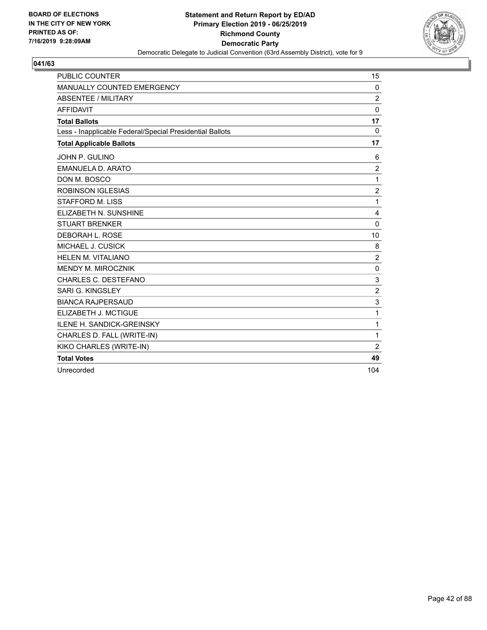

| <b>PUBLIC COUNTER</b>                                    | 15               |
|----------------------------------------------------------|------------------|
| MANUALLY COUNTED EMERGENCY                               | 0                |
| <b>ABSENTEE / MILITARY</b>                               | $\overline{2}$   |
| <b>AFFIDAVIT</b>                                         | $\mathbf{0}$     |
| <b>Total Ballots</b>                                     | 17               |
| Less - Inapplicable Federal/Special Presidential Ballots | 0                |
| <b>Total Applicable Ballots</b>                          | 17               |
| JOHN P. GULINO                                           | 6                |
| <b>EMANUELA D. ARATO</b>                                 | $\overline{c}$   |
| DON M. BOSCO                                             | $\mathbf{1}$     |
| <b>ROBINSON IGLESIAS</b>                                 | $\overline{2}$   |
| <b>STAFFORD M. LISS</b>                                  | 1                |
| ELIZABETH N. SUNSHINE                                    | 4                |
| <b>STUART BRENKER</b>                                    | 0                |
| DEBORAH L. ROSE                                          | 10               |
| MICHAEL J. CUSICK                                        | 8                |
| <b>HELEN M. VITALIANO</b>                                | $\boldsymbol{2}$ |
| <b>MENDY M. MIROCZNIK</b>                                | 0                |
| CHARLES C. DESTEFANO                                     | 3                |
| SARI G. KINGSLEY                                         | $\overline{c}$   |
| <b>BIANCA RAJPERSAUD</b>                                 | 3                |
| ELIZABETH J. MCTIGUE                                     | 1                |
| ILENE H. SANDICK-GREINSKY                                | 1                |
| CHARLES D. FALL (WRITE-IN)                               | 1                |
| KIKO CHARLES (WRITE-IN)                                  | $\overline{2}$   |
| <b>Total Votes</b>                                       | 49               |
| Unrecorded                                               | 104              |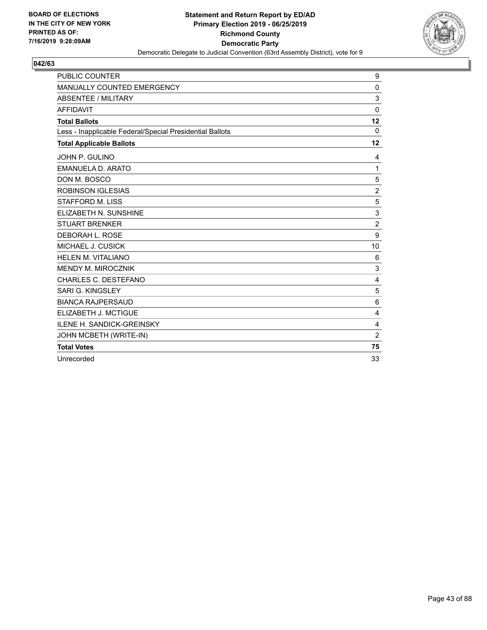

| <b>PUBLIC COUNTER</b>                                    | 9              |
|----------------------------------------------------------|----------------|
| <b>MANUALLY COUNTED EMERGENCY</b>                        | 0              |
| <b>ABSENTEE / MILITARY</b>                               | 3              |
| <b>AFFIDAVIT</b>                                         | $\mathbf{0}$   |
| <b>Total Ballots</b>                                     | 12             |
| Less - Inapplicable Federal/Special Presidential Ballots | $\Omega$       |
| <b>Total Applicable Ballots</b>                          | 12             |
| JOHN P. GULINO                                           | 4              |
| EMANUELA D. ARATO                                        | $\mathbf{1}$   |
| DON M. BOSCO                                             | 5              |
| <b>ROBINSON IGLESIAS</b>                                 | $\overline{2}$ |
| <b>STAFFORD M. LISS</b>                                  | 5              |
| ELIZABETH N. SUNSHINE                                    | 3              |
| <b>STUART BRENKER</b>                                    | $\overline{2}$ |
| <b>DEBORAH L. ROSE</b>                                   | 9              |
| MICHAEL J. CUSICK                                        | 10             |
| <b>HELEN M. VITALIANO</b>                                | 6              |
| MENDY M. MIROCZNIK                                       | 3              |
| CHARLES C. DESTEFANO                                     | 4              |
| SARI G. KINGSLEY                                         | 5              |
| <b>BIANCA RAJPERSAUD</b>                                 | 6              |
| ELIZABETH J. MCTIGUE                                     | 4              |
| <b>ILENE H. SANDICK-GREINSKY</b>                         | 4              |
| JOHN MCBETH (WRITE-IN)                                   | $\overline{2}$ |
| <b>Total Votes</b>                                       | 75             |
| Unrecorded                                               | 33             |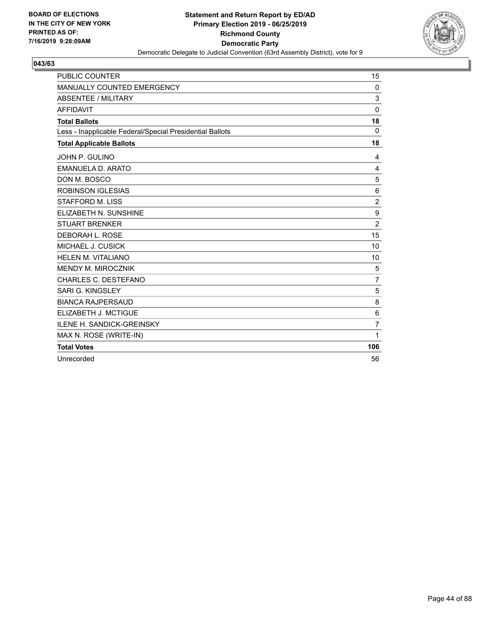

| <b>PUBLIC COUNTER</b>                                    | 15             |
|----------------------------------------------------------|----------------|
| MANUALLY COUNTED EMERGENCY                               | $\mathbf{0}$   |
| <b>ABSENTEE / MILITARY</b>                               | 3              |
| <b>AFFIDAVIT</b>                                         | $\mathbf{0}$   |
| <b>Total Ballots</b>                                     | 18             |
| Less - Inapplicable Federal/Special Presidential Ballots | $\Omega$       |
| <b>Total Applicable Ballots</b>                          | 18             |
| JOHN P. GULINO                                           | 4              |
| EMANUELA D. ARATO                                        | 4              |
| DON M. BOSCO                                             | 5              |
| <b>ROBINSON IGLESIAS</b>                                 | 6              |
| <b>STAFFORD M. LISS</b>                                  | $\overline{2}$ |
| ELIZABETH N. SUNSHINE                                    | 9              |
| <b>STUART BRENKER</b>                                    | 2              |
| <b>DEBORAH L. ROSE</b>                                   | 15             |
| MICHAEL J. CUSICK                                        | 10             |
| HELEN M. VITALIANO                                       | 10             |
| MENDY M. MIROCZNIK                                       | 5              |
| CHARLES C. DESTEFANO                                     | $\overline{7}$ |
| SARI G. KINGSLEY                                         | 5              |
| <b>BIANCA RAJPERSAUD</b>                                 | 8              |
| ELIZABETH J. MCTIGUE                                     | 6              |
| <b>ILENE H. SANDICK-GREINSKY</b>                         | $\overline{7}$ |
| MAX N. ROSE (WRITE-IN)                                   | 1              |
| <b>Total Votes</b>                                       | 106            |
| Unrecorded                                               | 56             |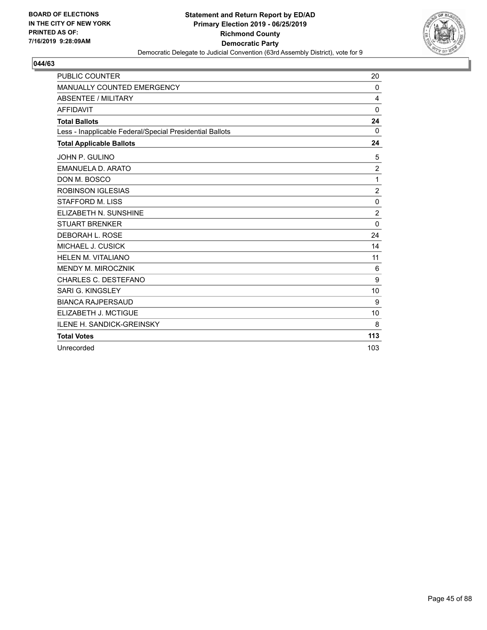

| <b>PUBLIC COUNTER</b>                                    | 20             |
|----------------------------------------------------------|----------------|
| MANUALLY COUNTED EMERGENCY                               | 0              |
| <b>ABSENTEE / MILITARY</b>                               | 4              |
| <b>AFFIDAVIT</b>                                         | $\Omega$       |
| <b>Total Ballots</b>                                     | 24             |
| Less - Inapplicable Federal/Special Presidential Ballots | $\Omega$       |
| <b>Total Applicable Ballots</b>                          | 24             |
| JOHN P. GULINO                                           | 5              |
| <b>EMANUELA D. ARATO</b>                                 | $\overline{2}$ |
| DON M. BOSCO                                             | 1              |
| <b>ROBINSON IGLESIAS</b>                                 | $\overline{c}$ |
| <b>STAFFORD M. LISS</b>                                  | $\mathbf 0$    |
| ELIZABETH N. SUNSHINE                                    | $\overline{2}$ |
| <b>STUART BRENKER</b>                                    | $\mathbf{0}$   |
| <b>DEBORAH L. ROSE</b>                                   | 24             |
| MICHAEL J. CUSICK                                        | 14             |
| <b>HELEN M. VITALIANO</b>                                | 11             |
| <b>MENDY M. MIROCZNIK</b>                                | 6              |
| CHARLES C. DESTEFANO                                     | 9              |
| SARI G. KINGSLEY                                         | 10             |
| <b>BIANCA RAJPERSAUD</b>                                 | 9              |
| ELIZABETH J. MCTIGUE                                     | 10             |
| <b>ILENE H. SANDICK-GREINSKY</b>                         | 8              |
| <b>Total Votes</b>                                       | 113            |
| Unrecorded                                               | 103            |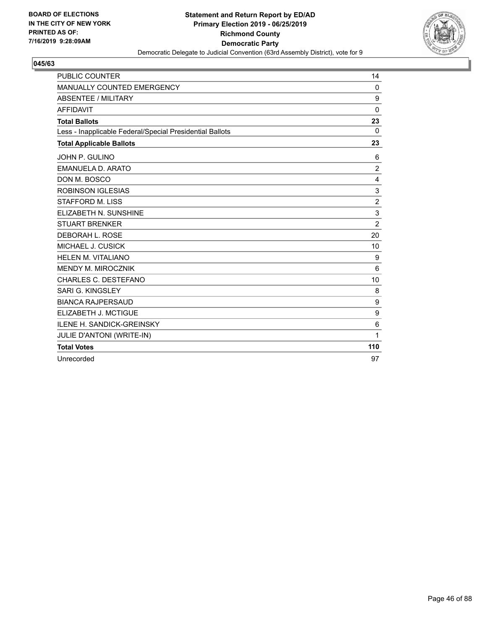

| <b>PUBLIC COUNTER</b>                                    | 14             |
|----------------------------------------------------------|----------------|
| MANUALLY COUNTED EMERGENCY                               | 0              |
| ABSENTEE / MILITARY                                      | 9              |
| <b>AFFIDAVIT</b>                                         | $\mathbf{0}$   |
| <b>Total Ballots</b>                                     | 23             |
| Less - Inapplicable Federal/Special Presidential Ballots | $\Omega$       |
| <b>Total Applicable Ballots</b>                          | 23             |
| JOHN P. GULINO                                           | 6              |
| EMANUELA D. ARATO                                        | $\overline{2}$ |
| DON M. BOSCO                                             | 4              |
| <b>ROBINSON IGLESIAS</b>                                 | 3              |
| STAFFORD M. LISS                                         | $\overline{2}$ |
| ELIZABETH N. SUNSHINE                                    | 3              |
| <b>STUART BRENKER</b>                                    | $\overline{2}$ |
| DEBORAH L. ROSE                                          | 20             |
| MICHAEL J. CUSICK                                        | 10             |
| HELEN M. VITALIANO                                       | 9              |
| <b>MENDY M. MIROCZNIK</b>                                | 6              |
| CHARLES C. DESTEFANO                                     | 10             |
| SARI G. KINGSLEY                                         | 8              |
| <b>BIANCA RAJPERSAUD</b>                                 | 9              |
| ELIZABETH J. MCTIGUE                                     | 9              |
| <b>ILENE H. SANDICK-GREINSKY</b>                         | 6              |
| JULIE D'ANTONI (WRITE-IN)                                | 1              |
| <b>Total Votes</b>                                       | 110            |
| Unrecorded                                               | 97             |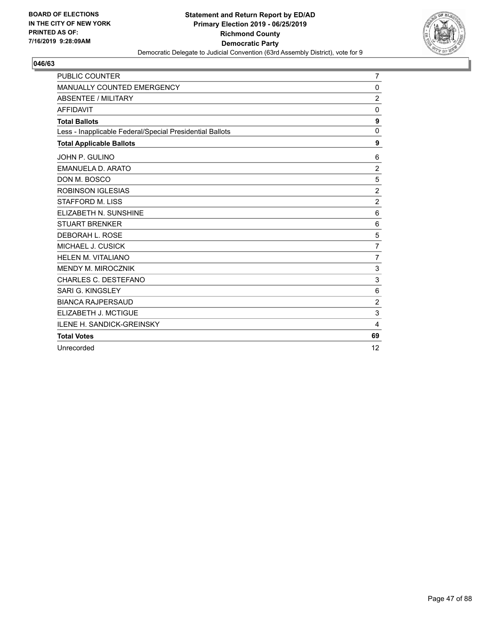

| <b>PUBLIC COUNTER</b>                                    | $\overline{7}$            |
|----------------------------------------------------------|---------------------------|
| MANUALLY COUNTED EMERGENCY                               | 0                         |
| <b>ABSENTEE / MILITARY</b>                               | $\overline{2}$            |
| <b>AFFIDAVIT</b>                                         | 0                         |
| <b>Total Ballots</b>                                     | $\boldsymbol{9}$          |
| Less - Inapplicable Federal/Special Presidential Ballots | $\mathbf 0$               |
| <b>Total Applicable Ballots</b>                          | 9                         |
| JOHN P. GULINO                                           | 6                         |
| <b>EMANUELA D. ARATO</b>                                 | $\overline{2}$            |
| DON M. BOSCO                                             | 5                         |
| <b>ROBINSON IGLESIAS</b>                                 | $\overline{c}$            |
| STAFFORD M. LISS                                         | $\overline{2}$            |
| ELIZABETH N. SUNSHINE                                    | 6                         |
| <b>STUART BRENKER</b>                                    | 6                         |
| DEBORAH L. ROSE                                          | 5                         |
| MICHAEL J. CUSICK                                        | $\overline{7}$            |
| <b>HELEN M. VITALIANO</b>                                | $\overline{7}$            |
| MENDY M. MIROCZNIK                                       | 3                         |
| <b>CHARLES C. DESTEFANO</b>                              | $\ensuremath{\mathsf{3}}$ |
| SARI G. KINGSLEY                                         | 6                         |
| <b>BIANCA RAJPERSAUD</b>                                 | $\overline{2}$            |
| ELIZABETH J. MCTIGUE                                     | 3                         |
| <b>ILENE H. SANDICK-GREINSKY</b>                         | 4                         |
| <b>Total Votes</b>                                       | 69                        |
| Unrecorded                                               | 12                        |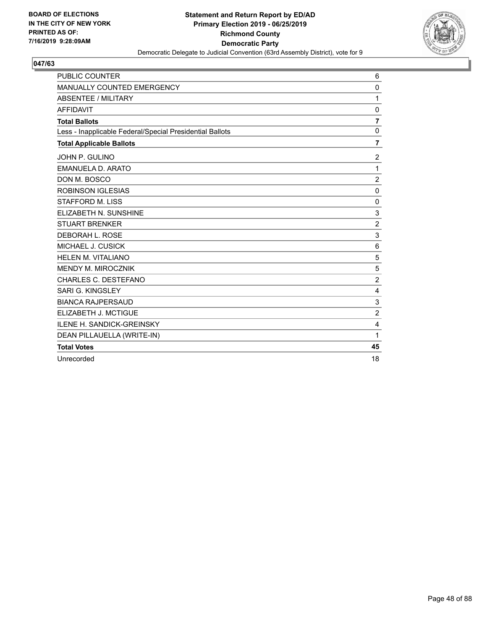

| PUBLIC COUNTER                                           | 6              |
|----------------------------------------------------------|----------------|
| MANUALLY COUNTED EMERGENCY                               | $\mathbf{0}$   |
| <b>ABSENTEE / MILITARY</b>                               | 1              |
| <b>AFFIDAVIT</b>                                         | $\mathbf 0$    |
| <b>Total Ballots</b>                                     | $\overline{7}$ |
| Less - Inapplicable Federal/Special Presidential Ballots | $\mathbf{0}$   |
| <b>Total Applicable Ballots</b>                          | $\overline{7}$ |
| JOHN P. GULINO                                           | $\overline{2}$ |
| EMANUELA D. ARATO                                        | 1              |
| DON M. BOSCO                                             | $\overline{2}$ |
| <b>ROBINSON IGLESIAS</b>                                 | $\mathbf{0}$   |
| <b>STAFFORD M. LISS</b>                                  | $\mathbf 0$    |
| ELIZABETH N. SUNSHINE                                    | 3              |
| <b>STUART BRENKER</b>                                    | $\overline{2}$ |
| DEBORAH L. ROSE                                          | 3              |
| MICHAEL J. CUSICK                                        | 6              |
| <b>HELEN M. VITALIANO</b>                                | 5              |
| MENDY M. MIROCZNIK                                       | 5              |
| CHARLES C. DESTEFANO                                     | $\overline{2}$ |
| SARI G. KINGSLEY                                         | 4              |
| <b>BIANCA RAJPERSAUD</b>                                 | 3              |
| ELIZABETH J. MCTIGUE                                     | $\overline{2}$ |
| <b>ILENE H. SANDICK-GREINSKY</b>                         | 4              |
| DEAN PILLAUELLA (WRITE-IN)                               | 1              |
| <b>Total Votes</b>                                       | 45             |
| Unrecorded                                               | 18             |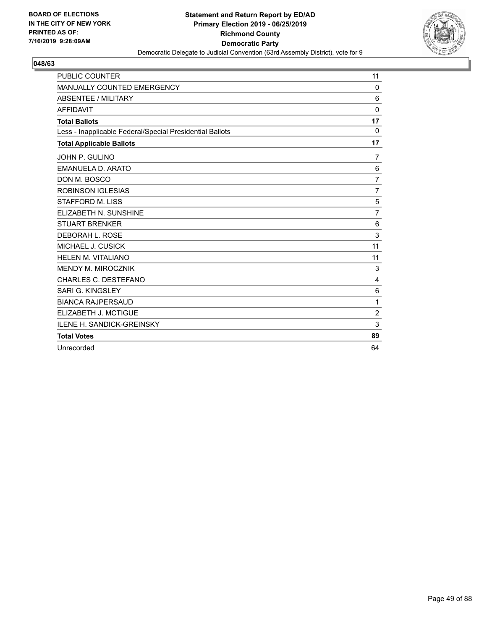

| <b>PUBLIC COUNTER</b>                                    | 11             |
|----------------------------------------------------------|----------------|
| MANUALLY COUNTED EMERGENCY                               | 0              |
| <b>ABSENTEE / MILITARY</b>                               | 6              |
| <b>AFFIDAVIT</b>                                         | $\Omega$       |
| <b>Total Ballots</b>                                     | 17             |
| Less - Inapplicable Federal/Special Presidential Ballots | $\Omega$       |
| <b>Total Applicable Ballots</b>                          | 17             |
| JOHN P. GULINO                                           | 7              |
| EMANUELA D. ARATO                                        | 6              |
| DON M. BOSCO                                             | 7              |
| <b>ROBINSON IGLESIAS</b>                                 | $\overline{7}$ |
| <b>STAFFORD M. LISS</b>                                  | 5              |
| ELIZABETH N. SUNSHINE                                    | $\overline{7}$ |
| <b>STUART BRENKER</b>                                    | 6              |
| DEBORAH L. ROSE                                          | 3              |
| MICHAEL J. CUSICK                                        | 11             |
| <b>HELEN M. VITALIANO</b>                                | 11             |
| <b>MENDY M. MIROCZNIK</b>                                | 3              |
| CHARLES C. DESTEFANO                                     | 4              |
| SARI G. KINGSLEY                                         | 6              |
| <b>BIANCA RAJPERSAUD</b>                                 | 1              |
| ELIZABETH J. MCTIGUE                                     | $\overline{2}$ |
| ILENE H. SANDICK-GREINSKY                                | 3              |
| <b>Total Votes</b>                                       | 89             |
| Unrecorded                                               | 64             |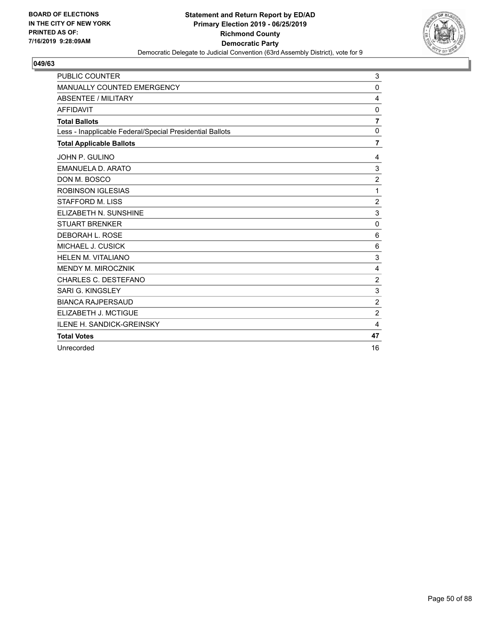

| PUBLIC COUNTER                                           | 3                       |
|----------------------------------------------------------|-------------------------|
| MANUALLY COUNTED EMERGENCY                               | 0                       |
| <b>ABSENTEE / MILITARY</b>                               | 4                       |
| <b>AFFIDAVIT</b>                                         | 0                       |
| <b>Total Ballots</b>                                     | $\overline{\mathbf{r}}$ |
| Less - Inapplicable Federal/Special Presidential Ballots | $\mathbf 0$             |
| <b>Total Applicable Ballots</b>                          | $\overline{7}$          |
| JOHN P. GULINO                                           | 4                       |
| EMANUELA D. ARATO                                        | 3                       |
| DON M. BOSCO                                             | $\overline{c}$          |
| <b>ROBINSON IGLESIAS</b>                                 | 1                       |
| <b>STAFFORD M. LISS</b>                                  | $\overline{c}$          |
| ELIZABETH N. SUNSHINE                                    | 3                       |
| <b>STUART BRENKER</b>                                    | $\mathbf 0$             |
| DEBORAH L. ROSE                                          | 6                       |
| MICHAEL J. CUSICK                                        | 6                       |
| HELEN M. VITALIANO                                       | 3                       |
| <b>MENDY M. MIROCZNIK</b>                                | 4                       |
| CHARLES C. DESTEFANO                                     | $\overline{c}$          |
| SARI G. KINGSLEY                                         | 3                       |
| <b>BIANCA RAJPERSAUD</b>                                 | $\overline{c}$          |
| ELIZABETH J. MCTIGUE                                     | $\overline{c}$          |
| <b>ILENE H. SANDICK-GREINSKY</b>                         | 4                       |
| <b>Total Votes</b>                                       | 47                      |
| Unrecorded                                               | 16                      |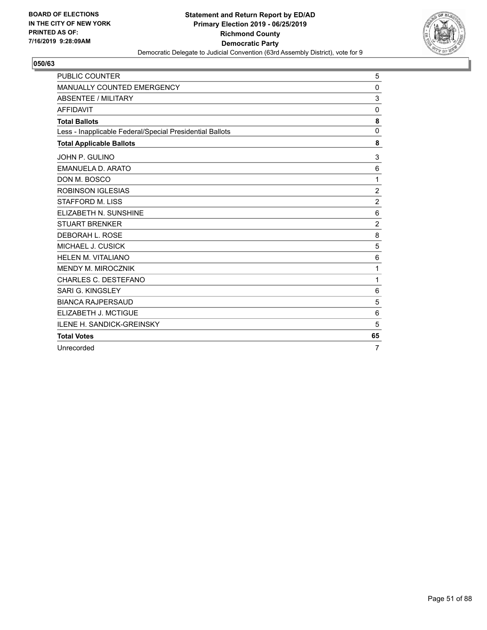

| <b>PUBLIC COUNTER</b>                                    | 5              |
|----------------------------------------------------------|----------------|
| <b>MANUALLY COUNTED EMERGENCY</b>                        | 0              |
| ABSENTEE / MILITARY                                      | $\sqrt{3}$     |
| <b>AFFIDAVIT</b>                                         | 0              |
| <b>Total Ballots</b>                                     | 8              |
| Less - Inapplicable Federal/Special Presidential Ballots | $\mathbf 0$    |
| <b>Total Applicable Ballots</b>                          | 8              |
| JOHN P. GULINO                                           | 3              |
| EMANUELA D. ARATO                                        | 6              |
| DON M. BOSCO                                             | 1              |
| <b>ROBINSON IGLESIAS</b>                                 | $\sqrt{2}$     |
| <b>STAFFORD M. LISS</b>                                  | $\overline{c}$ |
| ELIZABETH N. SUNSHINE                                    | 6              |
| <b>STUART BRENKER</b>                                    | $\overline{2}$ |
| DEBORAH L. ROSE                                          | 8              |
| MICHAEL J. CUSICK                                        | 5              |
| <b>HELEN M. VITALIANO</b>                                | 6              |
| MENDY M. MIROCZNIK                                       | 1              |
| CHARLES C. DESTEFANO                                     | 1              |
| SARI G. KINGSLEY                                         | 6              |
| <b>BIANCA RAJPERSAUD</b>                                 | 5              |
| ELIZABETH J. MCTIGUE                                     | 6              |
| <b>ILENE H. SANDICK-GREINSKY</b>                         | 5              |
| <b>Total Votes</b>                                       | 65             |
| Unrecorded                                               | 7              |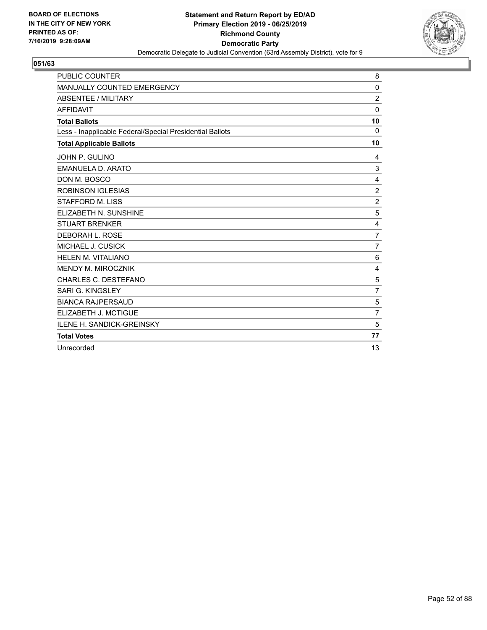

| <b>PUBLIC COUNTER</b>                                    | 8              |
|----------------------------------------------------------|----------------|
| MANUALLY COUNTED EMERGENCY                               | 0              |
| <b>ABSENTEE / MILITARY</b>                               | $\overline{c}$ |
| <b>AFFIDAVIT</b>                                         | $\mathbf 0$    |
| <b>Total Ballots</b>                                     | 10             |
| Less - Inapplicable Federal/Special Presidential Ballots | $\Omega$       |
| <b>Total Applicable Ballots</b>                          | 10             |
| JOHN P. GULINO                                           | 4              |
| <b>EMANUELA D. ARATO</b>                                 | 3              |
| DON M. BOSCO                                             | 4              |
| <b>ROBINSON IGLESIAS</b>                                 | $\overline{c}$ |
| STAFFORD M. LISS                                         | $\overline{2}$ |
| ELIZABETH N. SUNSHINE                                    | 5              |
| <b>STUART BRENKER</b>                                    | 4              |
| DEBORAH L. ROSE                                          | $\overline{7}$ |
| MICHAEL J. CUSICK                                        | $\overline{7}$ |
| <b>HELEN M. VITALIANO</b>                                | 6              |
| MENDY M. MIROCZNIK                                       | 4              |
| <b>CHARLES C. DESTEFANO</b>                              | 5              |
| SARI G. KINGSLEY                                         | 7              |
| <b>BIANCA RAJPERSAUD</b>                                 | 5              |
| ELIZABETH J. MCTIGUE                                     | 7              |
| <b>ILENE H. SANDICK-GREINSKY</b>                         | 5              |
| <b>Total Votes</b>                                       | 77             |
| Unrecorded                                               | 13             |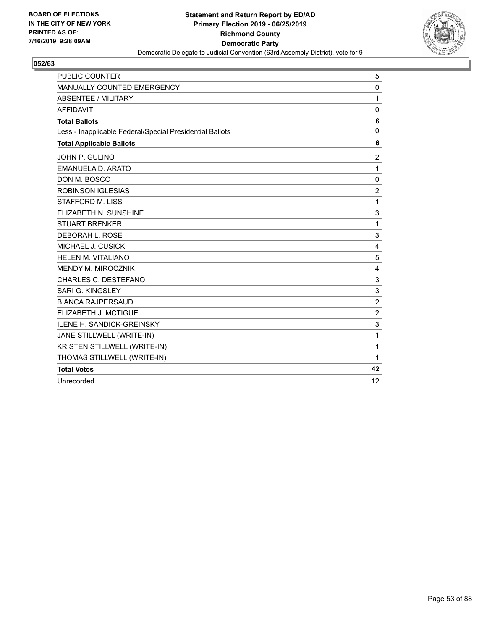

| <b>PUBLIC COUNTER</b>                                    | 5              |
|----------------------------------------------------------|----------------|
| <b>MANUALLY COUNTED EMERGENCY</b>                        | $\mathbf 0$    |
| <b>ABSENTEE / MILITARY</b>                               | 1              |
| <b>AFFIDAVIT</b>                                         | 0              |
| <b>Total Ballots</b>                                     | 6              |
| Less - Inapplicable Federal/Special Presidential Ballots | $\mathbf 0$    |
| <b>Total Applicable Ballots</b>                          | 6              |
| JOHN P. GULINO                                           | $\overline{c}$ |
| <b>EMANUELA D. ARATO</b>                                 | $\mathbf{1}$   |
| DON M. BOSCO                                             | 0              |
| <b>ROBINSON IGLESIAS</b>                                 | $\overline{2}$ |
| <b>STAFFORD M. LISS</b>                                  | 1              |
| ELIZABETH N. SUNSHINE                                    | 3              |
| <b>STUART BRENKER</b>                                    | 1              |
| <b>DEBORAH L. ROSE</b>                                   | 3              |
| MICHAEL J. CUSICK                                        | 4              |
| <b>HELEN M. VITALIANO</b>                                | 5              |
| <b>MENDY M. MIROCZNIK</b>                                | 4              |
| CHARLES C. DESTEFANO                                     | 3              |
| SARI G. KINGSLEY                                         | 3              |
| <b>BIANCA RAJPERSAUD</b>                                 | $\overline{c}$ |
| ELIZABETH J. MCTIGUE                                     | $\overline{2}$ |
| <b>ILENE H. SANDICK-GREINSKY</b>                         | 3              |
| JANE STILLWELL (WRITE-IN)                                | 1              |
| KRISTEN STILLWELL (WRITE-IN)                             | 1              |
| THOMAS STILLWELL (WRITE-IN)                              | 1              |
| <b>Total Votes</b>                                       | 42             |
| Unrecorded                                               | 12             |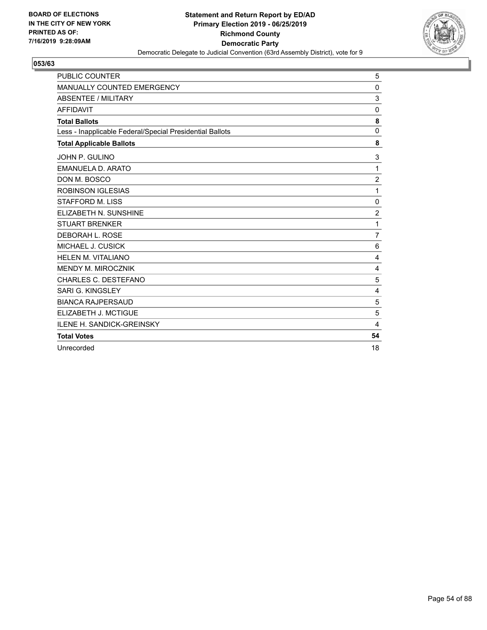

| <b>PUBLIC COUNTER</b>                                    | 5              |
|----------------------------------------------------------|----------------|
| MANUALLY COUNTED EMERGENCY                               | 0              |
| <b>ABSENTEE / MILITARY</b>                               | 3              |
| <b>AFFIDAVIT</b>                                         | 0              |
| <b>Total Ballots</b>                                     | 8              |
| Less - Inapplicable Federal/Special Presidential Ballots | 0              |
| <b>Total Applicable Ballots</b>                          | 8              |
| JOHN P. GULINO                                           | 3              |
| <b>EMANUELA D. ARATO</b>                                 | $\mathbf{1}$   |
| DON M. BOSCO                                             | $\overline{c}$ |
| <b>ROBINSON IGLESIAS</b>                                 | 1              |
| STAFFORD M. LISS                                         | 0              |
| ELIZABETH N. SUNSHINE                                    | $\overline{c}$ |
| <b>STUART BRENKER</b>                                    | 1              |
| DEBORAH L. ROSE                                          | $\overline{7}$ |
| MICHAEL J. CUSICK                                        | 6              |
| <b>HELEN M. VITALIANO</b>                                | 4              |
| MENDY M. MIROCZNIK                                       | 4              |
| <b>CHARLES C. DESTEFANO</b>                              | 5              |
| SARI G. KINGSLEY                                         | 4              |
| <b>BIANCA RAJPERSAUD</b>                                 | 5              |
| ELIZABETH J. MCTIGUE                                     | 5              |
| <b>ILENE H. SANDICK-GREINSKY</b>                         | 4              |
| <b>Total Votes</b>                                       | 54             |
| Unrecorded                                               | 18             |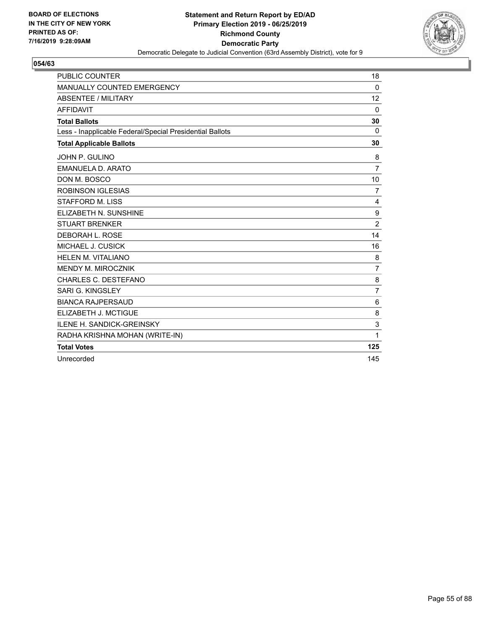

| <b>PUBLIC COUNTER</b>                                    | 18             |
|----------------------------------------------------------|----------------|
| MANUALLY COUNTED EMERGENCY                               | $\mathbf{0}$   |
| ABSENTEE / MILITARY                                      | 12             |
| <b>AFFIDAVIT</b>                                         | $\Omega$       |
| <b>Total Ballots</b>                                     | 30             |
| Less - Inapplicable Federal/Special Presidential Ballots | $\Omega$       |
| <b>Total Applicable Ballots</b>                          | 30             |
| JOHN P. GULINO                                           | 8              |
| EMANUELA D. ARATO                                        | $\overline{7}$ |
| DON M. BOSCO                                             | 10             |
| <b>ROBINSON IGLESIAS</b>                                 | $\overline{7}$ |
| STAFFORD M. LISS                                         | 4              |
| ELIZABETH N. SUNSHINE                                    | 9              |
| <b>STUART BRENKER</b>                                    | $\overline{2}$ |
| DEBORAH L. ROSE                                          | 14             |
| MICHAEL J. CUSICK                                        | 16             |
| <b>HELEN M. VITALIANO</b>                                | 8              |
| MENDY M. MIROCZNIK                                       | $\overline{7}$ |
| CHARLES C. DESTEFANO                                     | 8              |
| SARI G. KINGSLEY                                         | $\overline{7}$ |
| <b>BIANCA RAJPERSAUD</b>                                 | 6              |
| ELIZABETH J. MCTIGUE                                     | 8              |
| <b>ILENE H. SANDICK-GREINSKY</b>                         | 3              |
| RADHA KRISHNA MOHAN (WRITE-IN)                           | 1              |
| <b>Total Votes</b>                                       | 125            |
| Unrecorded                                               | 145            |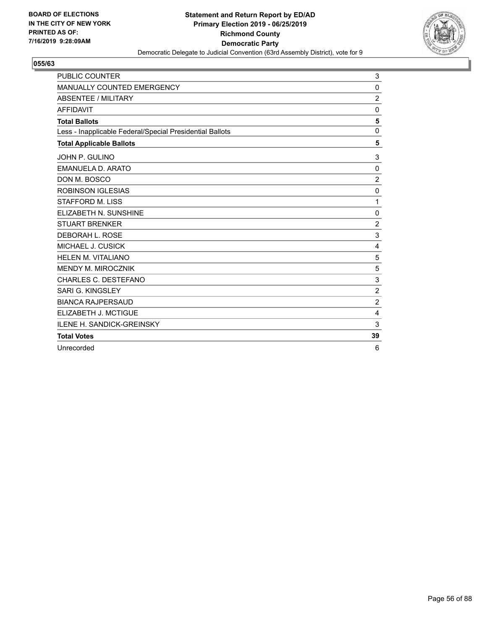

| <b>PUBLIC COUNTER</b>                                    | 3                |
|----------------------------------------------------------|------------------|
| MANUALLY COUNTED EMERGENCY                               | $\mathbf 0$      |
| <b>ABSENTEE / MILITARY</b>                               | $\overline{c}$   |
| <b>AFFIDAVIT</b>                                         | 0                |
| <b>Total Ballots</b>                                     | 5                |
| Less - Inapplicable Federal/Special Presidential Ballots | $\mathbf 0$      |
| <b>Total Applicable Ballots</b>                          | 5                |
| JOHN P. GULINO                                           | 3                |
| <b>EMANUELA D. ARATO</b>                                 | 0                |
| DON M. BOSCO                                             | $\overline{c}$   |
| <b>ROBINSON IGLESIAS</b>                                 | $\mathbf 0$      |
| <b>STAFFORD M. LISS</b>                                  | 1                |
| ELIZABETH N. SUNSHINE                                    | 0                |
| <b>STUART BRENKER</b>                                    | $\overline{c}$   |
| DEBORAH L. ROSE                                          | 3                |
| MICHAEL J. CUSICK                                        | 4                |
| <b>HELEN M. VITALIANO</b>                                | 5                |
| <b>MENDY M. MIROCZNIK</b>                                | 5                |
| CHARLES C. DESTEFANO                                     | 3                |
| <b>SARI G. KINGSLEY</b>                                  | $\boldsymbol{2}$ |
| <b>BIANCA RAJPERSAUD</b>                                 | $\overline{c}$   |
| ELIZABETH J. MCTIGUE                                     | 4                |
| <b>ILENE H. SANDICK-GREINSKY</b>                         | 3                |
| <b>Total Votes</b>                                       | 39               |
| Unrecorded                                               | 6                |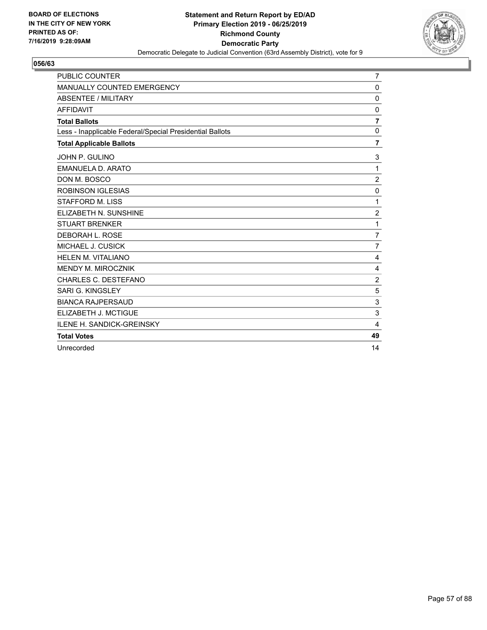

| PUBLIC COUNTER                                           | 7                       |
|----------------------------------------------------------|-------------------------|
| MANUALLY COUNTED EMERGENCY                               | 0                       |
| <b>ABSENTEE / MILITARY</b>                               | 0                       |
| <b>AFFIDAVIT</b>                                         | 0                       |
| <b>Total Ballots</b>                                     | $\overline{\mathbf{r}}$ |
| Less - Inapplicable Federal/Special Presidential Ballots | $\mathbf 0$             |
| <b>Total Applicable Ballots</b>                          | $\overline{7}$          |
| JOHN P. GULINO                                           | 3                       |
| EMANUELA D. ARATO                                        | 1                       |
| DON M. BOSCO                                             | $\overline{2}$          |
| <b>ROBINSON IGLESIAS</b>                                 | $\mathbf 0$             |
| <b>STAFFORD M. LISS</b>                                  | 1                       |
| ELIZABETH N. SUNSHINE                                    | $\overline{c}$          |
| <b>STUART BRENKER</b>                                    | 1                       |
| DEBORAH L. ROSE                                          | $\overline{7}$          |
| MICHAEL J. CUSICK                                        | $\overline{7}$          |
| HELEN M. VITALIANO                                       | 4                       |
| <b>MENDY M. MIROCZNIK</b>                                | 4                       |
| CHARLES C. DESTEFANO                                     | $\overline{c}$          |
| SARI G. KINGSLEY                                         | 5                       |
| <b>BIANCA RAJPERSAUD</b>                                 | 3                       |
| ELIZABETH J. MCTIGUE                                     | 3                       |
| <b>ILENE H. SANDICK-GREINSKY</b>                         | 4                       |
| <b>Total Votes</b>                                       | 49                      |
| Unrecorded                                               | 14                      |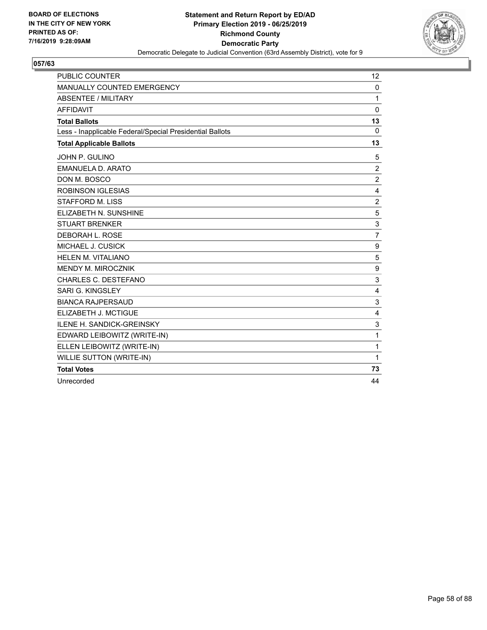

| <b>PUBLIC COUNTER</b>                                    | 12             |
|----------------------------------------------------------|----------------|
| MANUALLY COUNTED EMERGENCY                               | 0              |
| <b>ABSENTEE / MILITARY</b>                               | 1              |
| <b>AFFIDAVIT</b>                                         | 0              |
| <b>Total Ballots</b>                                     | 13             |
| Less - Inapplicable Federal/Special Presidential Ballots | $\Omega$       |
| <b>Total Applicable Ballots</b>                          | 13             |
| JOHN P. GULINO                                           | 5              |
| EMANUELA D. ARATO                                        | $\overline{2}$ |
| DON M. BOSCO                                             | $\overline{2}$ |
| <b>ROBINSON IGLESIAS</b>                                 | 4              |
| STAFFORD M. LISS                                         | $\overline{c}$ |
| ELIZABETH N. SUNSHINE                                    | 5              |
| <b>STUART BRENKER</b>                                    | 3              |
| DEBORAH L. ROSE                                          | $\overline{7}$ |
| MICHAEL J. CUSICK                                        | 9              |
| <b>HELEN M. VITALIANO</b>                                | 5              |
| <b>MENDY M. MIROCZNIK</b>                                | 9              |
| CHARLES C. DESTEFANO                                     | 3              |
| SARI G. KINGSLEY                                         | 4              |
| <b>BIANCA RAJPERSAUD</b>                                 | 3              |
| ELIZABETH J. MCTIGUE                                     | 4              |
| ILENE H. SANDICK-GREINSKY                                | 3              |
| EDWARD LEIBOWITZ (WRITE-IN)                              | 1              |
| ELLEN LEIBOWITZ (WRITE-IN)                               | 1              |
| WILLIE SUTTON (WRITE-IN)                                 | 1              |
| <b>Total Votes</b>                                       | 73             |
| Unrecorded                                               | 44             |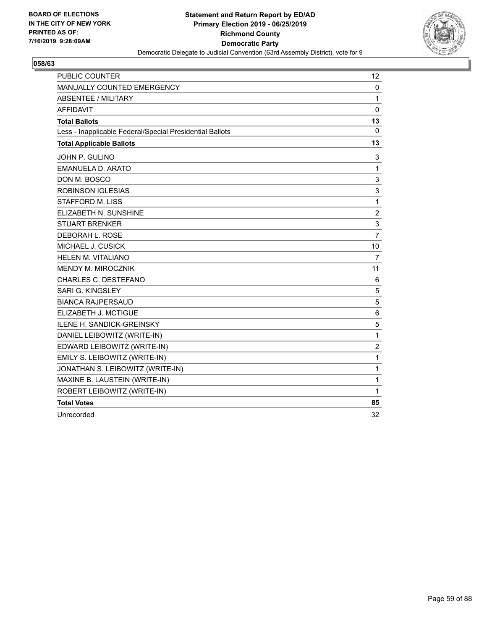

| <b>PUBLIC COUNTER</b>                                    | 12             |
|----------------------------------------------------------|----------------|
| MANUALLY COUNTED EMERGENCY                               | $\mathbf 0$    |
| <b>ABSENTEE / MILITARY</b>                               | $\mathbf{1}$   |
| <b>AFFIDAVIT</b>                                         | $\pmb{0}$      |
| <b>Total Ballots</b>                                     | 13             |
| Less - Inapplicable Federal/Special Presidential Ballots | 0              |
| <b>Total Applicable Ballots</b>                          | 13             |
| JOHN P. GULINO                                           | 3              |
| EMANUELA D. ARATO                                        | 1              |
| DON M. BOSCO                                             | 3              |
| <b>ROBINSON IGLESIAS</b>                                 | 3              |
| STAFFORD M. LISS                                         | 1              |
| ELIZABETH N. SUNSHINE                                    | $\overline{2}$ |
| <b>STUART BRENKER</b>                                    | 3              |
| DEBORAH L. ROSE                                          | $\overline{7}$ |
| MICHAEL J. CUSICK                                        | 10             |
| <b>HELEN M. VITALIANO</b>                                | $\overline{7}$ |
| <b>MENDY M. MIROCZNIK</b>                                | 11             |
| CHARLES C. DESTEFANO                                     | 6              |
| <b>SARI G. KINGSLEY</b>                                  | 5              |
| <b>BIANCA RAJPERSAUD</b>                                 | 5              |
| ELIZABETH J. MCTIGUE                                     | 6              |
| ILENE H. SANDICK-GREINSKY                                | 5              |
| DANIEL LEIBOWITZ (WRITE-IN)                              | 1              |
| EDWARD LEIBOWITZ (WRITE-IN)                              | $\overline{2}$ |
| EMILY S. LEIBOWITZ (WRITE-IN)                            | 1              |
| JONATHAN S. LEIBOWITZ (WRITE-IN)                         | 1              |
| MAXINE B. LAUSTEIN (WRITE-IN)                            | 1              |
| ROBERT LEIBOWITZ (WRITE-IN)                              | 1              |
| <b>Total Votes</b>                                       | 85             |
| Unrecorded                                               | 32             |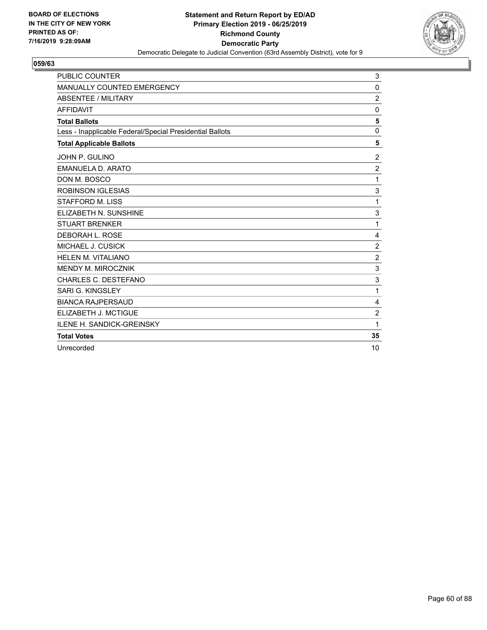

| PUBLIC COUNTER                                           | 3                |
|----------------------------------------------------------|------------------|
| MANUALLY COUNTED EMERGENCY                               | 0                |
| <b>ABSENTEE / MILITARY</b>                               | $\overline{c}$   |
| <b>AFFIDAVIT</b>                                         | 0                |
| <b>Total Ballots</b>                                     | 5                |
| Less - Inapplicable Federal/Special Presidential Ballots | $\mathbf 0$      |
| <b>Total Applicable Ballots</b>                          | 5                |
| JOHN P. GULINO                                           | $\boldsymbol{2}$ |
| EMANUELA D. ARATO                                        | $\overline{c}$   |
| DON M. BOSCO                                             | 1                |
| <b>ROBINSON IGLESIAS</b>                                 | 3                |
| <b>STAFFORD M. LISS</b>                                  | 1                |
| ELIZABETH N. SUNSHINE                                    | 3                |
| <b>STUART BRENKER</b>                                    | 1                |
| DEBORAH L. ROSE                                          | 4                |
| MICHAEL J. CUSICK                                        | $\overline{c}$   |
| HELEN M. VITALIANO                                       | $\overline{c}$   |
| MENDY M. MIROCZNIK                                       | 3                |
| CHARLES C. DESTEFANO                                     | 3                |
| SARI G. KINGSLEY                                         | 1                |
| <b>BIANCA RAJPERSAUD</b>                                 | $\overline{4}$   |
| ELIZABETH J. MCTIGUE                                     | $\overline{c}$   |
| <b>ILENE H. SANDICK-GREINSKY</b>                         | 1                |
| <b>Total Votes</b>                                       | 35               |
| Unrecorded                                               | 10               |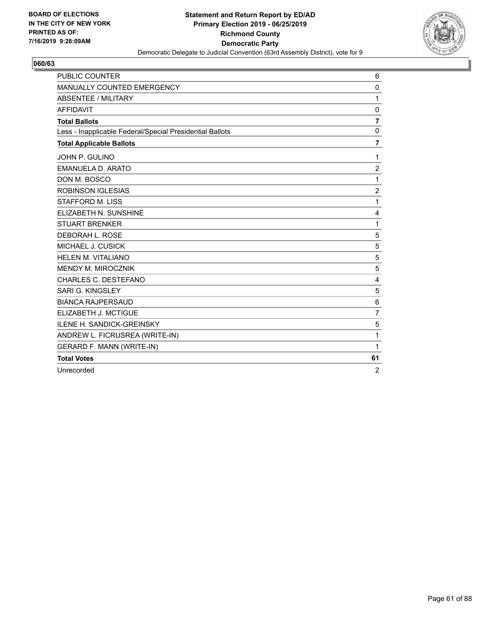

| <b>PUBLIC COUNTER</b>                                    | 6              |
|----------------------------------------------------------|----------------|
| MANUALLY COUNTED EMERGENCY                               | $\mathbf 0$    |
| ABSENTEE / MILITARY                                      | 1              |
| <b>AFFIDAVIT</b>                                         | $\Omega$       |
| <b>Total Ballots</b>                                     | $\overline{7}$ |
| Less - Inapplicable Federal/Special Presidential Ballots | $\mathbf 0$    |
| <b>Total Applicable Ballots</b>                          | $\overline{7}$ |
| JOHN P. GULINO                                           | 1              |
| EMANUELA D. ARATO                                        | $\overline{2}$ |
| DON M. BOSCO                                             | 1              |
| <b>ROBINSON IGLESIAS</b>                                 | $\overline{2}$ |
| <b>STAFFORD M. LISS</b>                                  | 1              |
| ELIZABETH N. SUNSHINE                                    | 4              |
| <b>STUART BRENKER</b>                                    | 1              |
| DEBORAH L. ROSE                                          | 5              |
| MICHAEL J. CUSICK                                        | 5              |
| <b>HELEN M. VITALIANO</b>                                | 5              |
| MENDY M. MIROCZNIK                                       | 5              |
| CHARLES C. DESTEFANO                                     | 4              |
| SARI G. KINGSLEY                                         | 5              |
| <b>BIANCA RAJPERSAUD</b>                                 | 6              |
| ELIZABETH J. MCTIGUE                                     | $\overline{7}$ |
| <b>ILENE H. SANDICK-GREINSKY</b>                         | 5              |
| ANDREW L. FICRUSREA (WRITE-IN)                           | 1              |
| GERARD F. MANN (WRITE-IN)                                | 1              |
| <b>Total Votes</b>                                       | 61             |
| Unrecorded                                               | $\overline{2}$ |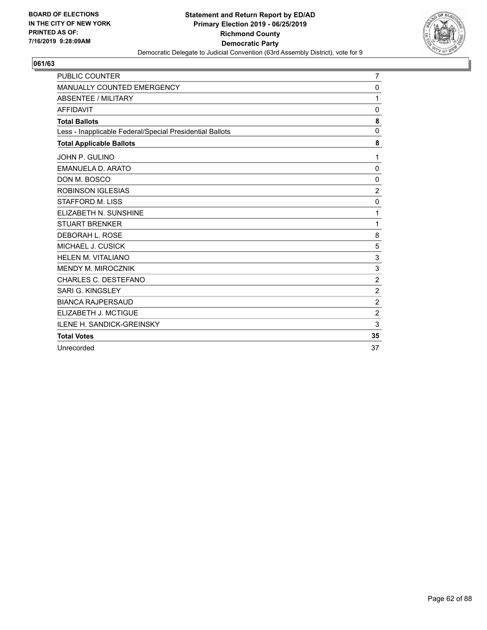

| <b>PUBLIC COUNTER</b>                                    | $\overline{7}$ |
|----------------------------------------------------------|----------------|
| MANUALLY COUNTED EMERGENCY                               | 0              |
| <b>ABSENTEE / MILITARY</b>                               | $\mathbf{1}$   |
| <b>AFFIDAVIT</b>                                         | 0              |
| <b>Total Ballots</b>                                     | 8              |
| Less - Inapplicable Federal/Special Presidential Ballots | $\mathbf 0$    |
| <b>Total Applicable Ballots</b>                          | 8              |
| JOHN P. GULINO                                           | 1              |
| <b>EMANUELA D. ARATO</b>                                 | $\mathbf 0$    |
| DON M. BOSCO                                             | $\mathbf 0$    |
| <b>ROBINSON IGLESIAS</b>                                 | $\overline{c}$ |
| STAFFORD M. LISS                                         | 0              |
| ELIZABETH N. SUNSHINE                                    | 1              |
| <b>STUART BRENKER</b>                                    | 1              |
| DEBORAH L. ROSE                                          | 8              |
| MICHAEL J. CUSICK                                        | 5              |
| <b>HELEN M. VITALIANO</b>                                | 3              |
| MENDY M. MIROCZNIK                                       | 3              |
| <b>CHARLES C. DESTEFANO</b>                              | $\overline{c}$ |
| SARI G. KINGSLEY                                         | $\overline{c}$ |
| <b>BIANCA RAJPERSAUD</b>                                 | $\overline{c}$ |
| ELIZABETH J. MCTIGUE                                     | $\overline{c}$ |
| <b>ILENE H. SANDICK-GREINSKY</b>                         | 3              |
| <b>Total Votes</b>                                       | 35             |
| Unrecorded                                               | 37             |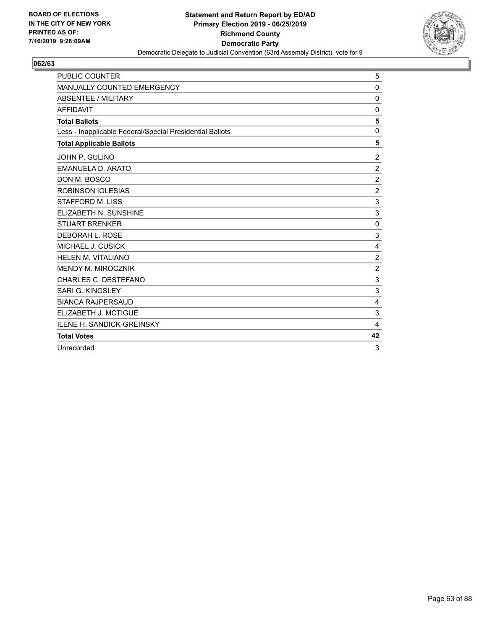

| PUBLIC COUNTER                                           | 5                         |
|----------------------------------------------------------|---------------------------|
| MANUALLY COUNTED EMERGENCY                               | 0                         |
| <b>ABSENTEE / MILITARY</b>                               | 0                         |
| <b>AFFIDAVIT</b>                                         | 0                         |
| <b>Total Ballots</b>                                     | 5                         |
| Less - Inapplicable Federal/Special Presidential Ballots | $\mathbf 0$               |
| <b>Total Applicable Ballots</b>                          | 5                         |
| JOHN P. GULINO                                           | $\overline{c}$            |
| <b>EMANUELA D. ARATO</b>                                 | $\overline{c}$            |
| DON M. BOSCO                                             | $\overline{2}$            |
| <b>ROBINSON IGLESIAS</b>                                 | $\overline{c}$            |
| <b>STAFFORD M. LISS</b>                                  | 3                         |
| ELIZABETH N. SUNSHINE                                    | $\ensuremath{\mathsf{3}}$ |
| <b>STUART BRENKER</b>                                    | 0                         |
| <b>DEBORAH L. ROSE</b>                                   | 3                         |
| MICHAEL J. CUSICK                                        | 4                         |
| HELEN M. VITALIANO                                       | $\boldsymbol{2}$          |
| <b>MENDY M. MIROCZNIK</b>                                | $\overline{2}$            |
| CHARLES C. DESTEFANO                                     | 3                         |
| SARI G. KINGSLEY                                         | 3                         |
| <b>BIANCA RAJPERSAUD</b>                                 | 4                         |
| ELIZABETH J. MCTIGUE                                     | 3                         |
| <b>ILENE H. SANDICK-GREINSKY</b>                         | 4                         |
| <b>Total Votes</b>                                       | 42                        |
| Unrecorded                                               | 3                         |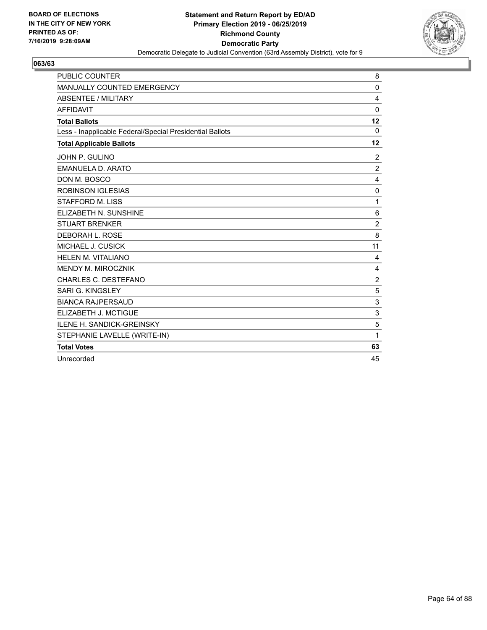

| <b>PUBLIC COUNTER</b>                                    | 8              |
|----------------------------------------------------------|----------------|
| MANUALLY COUNTED EMERGENCY                               | 0              |
| <b>ABSENTEE / MILITARY</b>                               | 4              |
| <b>AFFIDAVIT</b>                                         | $\mathbf{0}$   |
| <b>Total Ballots</b>                                     | 12             |
| Less - Inapplicable Federal/Special Presidential Ballots | $\mathbf{0}$   |
| <b>Total Applicable Ballots</b>                          | $12 \,$        |
| JOHN P. GULINO                                           | 2              |
| <b>EMANUELA D. ARATO</b>                                 | $\overline{2}$ |
| DON M. BOSCO                                             | 4              |
| <b>ROBINSON IGLESIAS</b>                                 | 0              |
| <b>STAFFORD M. LISS</b>                                  | 1              |
| ELIZABETH N. SUNSHINE                                    | 6              |
| <b>STUART BRENKER</b>                                    | $\overline{c}$ |
| DEBORAH L. ROSE                                          | 8              |
| MICHAEL J. CUSICK                                        | 11             |
| <b>HELEN M. VITALIANO</b>                                | 4              |
| MENDY M. MIROCZNIK                                       | 4              |
| CHARLES C. DESTEFANO                                     | $\overline{2}$ |
| <b>SARI G. KINGSLEY</b>                                  | 5              |
| <b>BIANCA RAJPERSAUD</b>                                 | 3              |
| ELIZABETH J. MCTIGUE                                     | 3              |
| <b>ILENE H. SANDICK-GREINSKY</b>                         | 5              |
| STEPHANIE LAVELLE (WRITE-IN)                             | 1              |
| <b>Total Votes</b>                                       | 63             |
| Unrecorded                                               | 45             |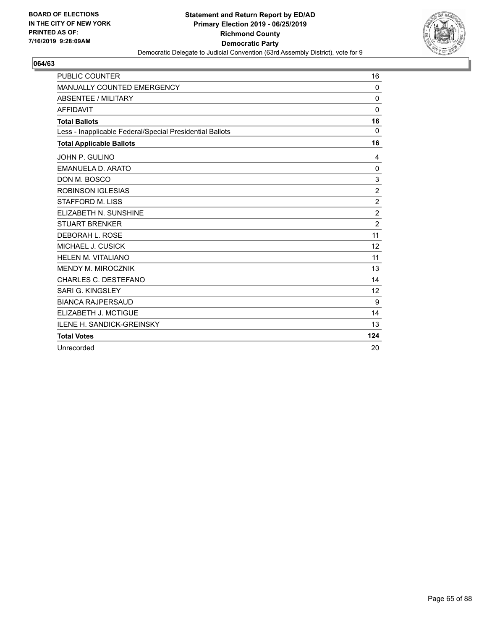

| <b>PUBLIC COUNTER</b>                                    | 16             |
|----------------------------------------------------------|----------------|
| MANUALLY COUNTED EMERGENCY                               | 0              |
| <b>ABSENTEE / MILITARY</b>                               | $\mathbf 0$    |
| <b>AFFIDAVIT</b>                                         | $\Omega$       |
| <b>Total Ballots</b>                                     | 16             |
| Less - Inapplicable Federal/Special Presidential Ballots | $\mathbf 0$    |
| <b>Total Applicable Ballots</b>                          | 16             |
| JOHN P. GULINO                                           | 4              |
| EMANUELA D. ARATO                                        | $\mathbf 0$    |
| DON M. BOSCO                                             | 3              |
| <b>ROBINSON IGLESIAS</b>                                 | $\overline{c}$ |
| <b>STAFFORD M. LISS</b>                                  | $\overline{c}$ |
| ELIZABETH N. SUNSHINE                                    | $\overline{c}$ |
| <b>STUART BRENKER</b>                                    | $\overline{2}$ |
| DEBORAH L. ROSE                                          | 11             |
| MICHAEL J. CUSICK                                        | 12             |
| <b>HELEN M. VITALIANO</b>                                | 11             |
| <b>MENDY M. MIROCZNIK</b>                                | 13             |
| CHARLES C. DESTEFANO                                     | 14             |
| SARI G. KINGSLEY                                         | 12             |
| <b>BIANCA RAJPERSAUD</b>                                 | 9              |
| ELIZABETH J. MCTIGUE                                     | 14             |
| ILENE H. SANDICK-GREINSKY                                | 13             |
| <b>Total Votes</b>                                       | 124            |
| Unrecorded                                               | 20             |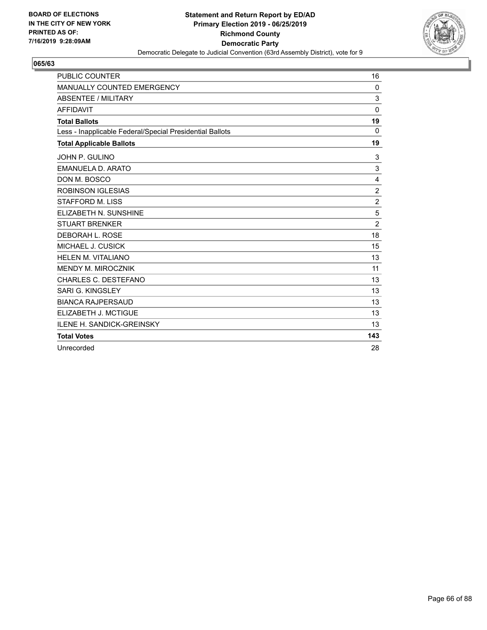

| <b>PUBLIC COUNTER</b>                                    | 16             |
|----------------------------------------------------------|----------------|
| MANUALLY COUNTED EMERGENCY                               | $\mathbf 0$    |
| <b>ABSENTEE / MILITARY</b>                               | 3              |
| <b>AFFIDAVIT</b>                                         | $\mathbf 0$    |
| <b>Total Ballots</b>                                     | 19             |
| Less - Inapplicable Federal/Special Presidential Ballots | $\Omega$       |
| <b>Total Applicable Ballots</b>                          | 19             |
| JOHN P. GULINO                                           | 3              |
| <b>EMANUELA D. ARATO</b>                                 | $\mathbf{3}$   |
| DON M. BOSCO                                             | $\overline{4}$ |
| <b>ROBINSON IGLESIAS</b>                                 | $\overline{c}$ |
| STAFFORD M. LISS                                         | $\overline{2}$ |
| ELIZABETH N. SUNSHINE                                    | 5              |
| <b>STUART BRENKER</b>                                    | $\overline{2}$ |
| DEBORAH L. ROSE                                          | 18             |
| MICHAEL J. CUSICK                                        | 15             |
| <b>HELEN M. VITALIANO</b>                                | 13             |
| MENDY M. MIROCZNIK                                       | 11             |
| <b>CHARLES C. DESTEFANO</b>                              | 13             |
| SARI G. KINGSLEY                                         | 13             |
| <b>BIANCA RAJPERSAUD</b>                                 | 13             |
| ELIZABETH J. MCTIGUE                                     | 13             |
| <b>ILENE H. SANDICK-GREINSKY</b>                         | 13             |
| <b>Total Votes</b>                                       | 143            |
| Unrecorded                                               | 28             |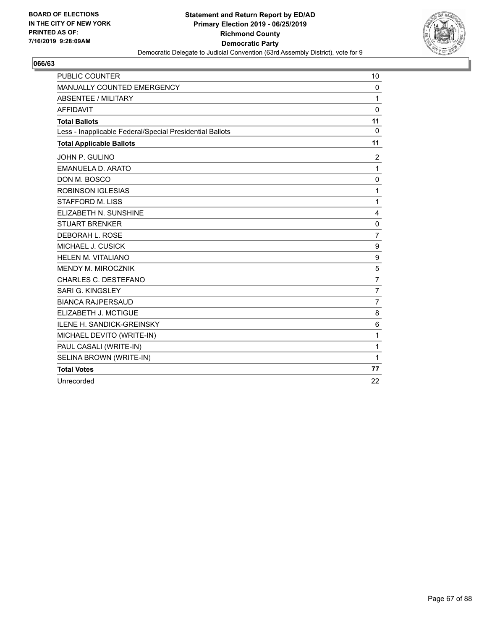

| <b>PUBLIC COUNTER</b>                                    | 10             |
|----------------------------------------------------------|----------------|
| MANUALLY COUNTED EMERGENCY                               | 0              |
| <b>ABSENTEE / MILITARY</b>                               | 1              |
| <b>AFFIDAVIT</b>                                         | $\mathbf 0$    |
| <b>Total Ballots</b>                                     | 11             |
| Less - Inapplicable Federal/Special Presidential Ballots | 0              |
| <b>Total Applicable Ballots</b>                          | 11             |
| JOHN P. GULINO                                           | $\overline{c}$ |
| <b>EMANUELA D. ARATO</b>                                 | $\mathbf{1}$   |
| DON M. BOSCO                                             | 0              |
| <b>ROBINSON IGLESIAS</b>                                 | 1              |
| STAFFORD M. LISS                                         | $\mathbf{1}$   |
| ELIZABETH N. SUNSHINE                                    | 4              |
| <b>STUART BRENKER</b>                                    | $\mathbf{0}$   |
| DEBORAH L. ROSE                                          | 7              |
| MICHAEL J. CUSICK                                        | 9              |
| <b>HELEN M. VITALIANO</b>                                | 9              |
| <b>MENDY M. MIROCZNIK</b>                                | 5              |
| CHARLES C. DESTEFANO                                     | $\overline{7}$ |
| SARI G. KINGSLEY                                         | 7              |
| <b>BIANCA RAJPERSAUD</b>                                 | 7              |
| ELIZABETH J. MCTIGUE                                     | 8              |
| ILENE H. SANDICK-GREINSKY                                | 6              |
| MICHAEL DEVITO (WRITE-IN)                                | 1              |
| PAUL CASALI (WRITE-IN)                                   | 1              |
| SELINA BROWN (WRITE-IN)                                  | 1              |
| <b>Total Votes</b>                                       | 77             |
| Unrecorded                                               | 22             |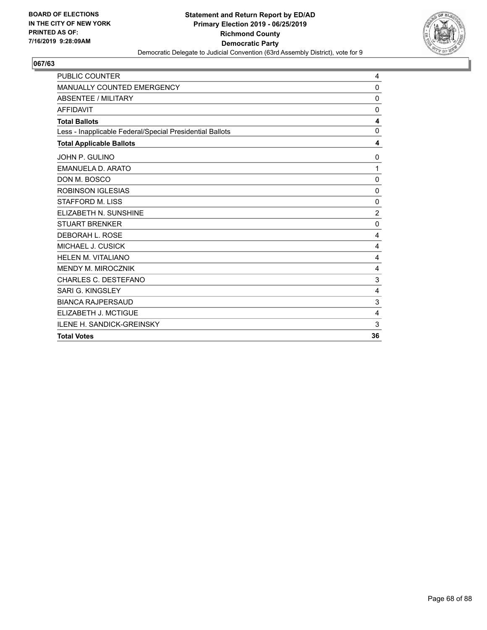

| <b>PUBLIC COUNTER</b>                                    | 4                       |
|----------------------------------------------------------|-------------------------|
| <b>MANUALLY COUNTED EMERGENCY</b>                        | $\Omega$                |
| <b>ABSENTEE / MILITARY</b>                               | 0                       |
| <b>AFFIDAVIT</b>                                         | 0                       |
| <b>Total Ballots</b>                                     | $\overline{\mathbf{4}}$ |
| Less - Inapplicable Federal/Special Presidential Ballots | 0                       |
| <b>Total Applicable Ballots</b>                          | 4                       |
| JOHN P. GULINO                                           | 0                       |
| <b>EMANUELA D. ARATO</b>                                 | 1                       |
| DON M. BOSCO                                             | 0                       |
| <b>ROBINSON IGLESIAS</b>                                 | 0                       |
| <b>STAFFORD M. LISS</b>                                  | 0                       |
| ELIZABETH N. SUNSHINE                                    | $\overline{2}$          |
| <b>STUART BRENKER</b>                                    | $\mathbf{0}$            |
| DEBORAH L. ROSE                                          | 4                       |
| MICHAEL J. CUSICK                                        | 4                       |
| <b>HELEN M. VITALIANO</b>                                | 4                       |
| MENDY M. MIROCZNIK                                       | 4                       |
| CHARLES C. DESTEFANO                                     | 3                       |
| <b>SARI G. KINGSLEY</b>                                  | 4                       |
| <b>BIANCA RAJPERSAUD</b>                                 | 3                       |
| ELIZABETH J. MCTIGUE                                     | 4                       |
| ILENE H. SANDICK-GREINSKY                                | 3                       |
| <b>Total Votes</b>                                       | 36                      |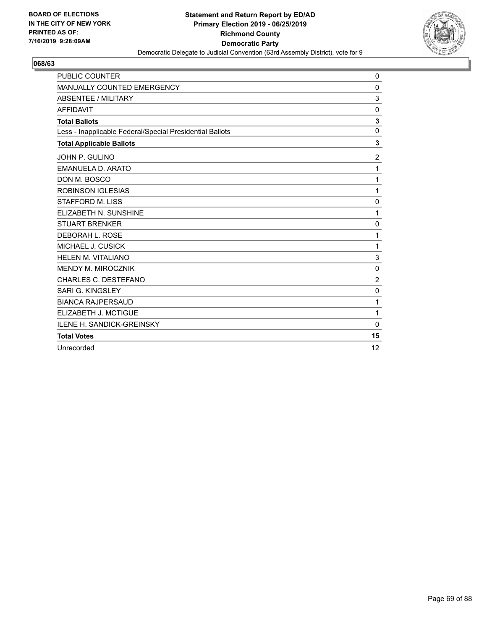

| PUBLIC COUNTER                                           | 0                |
|----------------------------------------------------------|------------------|
| MANUALLY COUNTED EMERGENCY                               | 0                |
| <b>ABSENTEE / MILITARY</b>                               | 3                |
| <b>AFFIDAVIT</b>                                         | 0                |
| <b>Total Ballots</b>                                     | 3                |
| Less - Inapplicable Federal/Special Presidential Ballots | $\mathbf 0$      |
| <b>Total Applicable Ballots</b>                          | 3                |
| JOHN P. GULINO                                           | $\boldsymbol{2}$ |
| EMANUELA D. ARATO                                        | 1                |
| DON M. BOSCO                                             | 1                |
| <b>ROBINSON IGLESIAS</b>                                 | 1                |
| <b>STAFFORD M. LISS</b>                                  | 0                |
| ELIZABETH N. SUNSHINE                                    | 1                |
| <b>STUART BRENKER</b>                                    | $\mathbf 0$      |
| DEBORAH L. ROSE                                          | 1                |
| MICHAEL J. CUSICK                                        | 1                |
| HELEN M. VITALIANO                                       | 3                |
| MENDY M. MIROCZNIK                                       | 0                |
| CHARLES C. DESTEFANO                                     | $\overline{c}$   |
| SARI G. KINGSLEY                                         | 0                |
| <b>BIANCA RAJPERSAUD</b>                                 | 1                |
| ELIZABETH J. MCTIGUE                                     | 1                |
| <b>ILENE H. SANDICK-GREINSKY</b>                         | 0                |
| <b>Total Votes</b>                                       | 15               |
| Unrecorded                                               | 12               |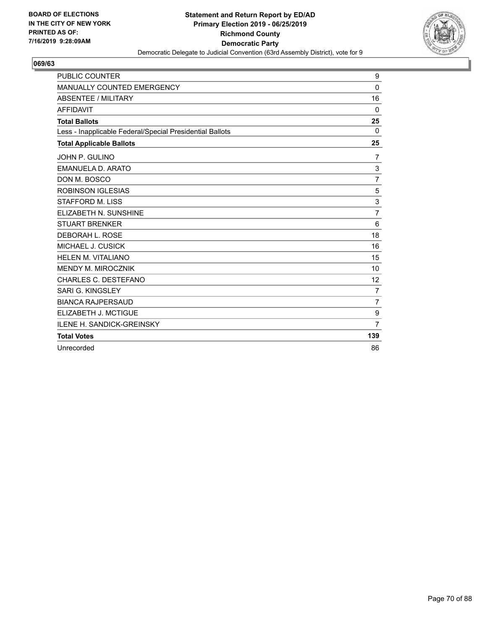

| <b>PUBLIC COUNTER</b>                                    | 9              |
|----------------------------------------------------------|----------------|
| MANUALLY COUNTED EMERGENCY                               | 0              |
| <b>ABSENTEE / MILITARY</b>                               | 16             |
| <b>AFFIDAVIT</b>                                         | $\Omega$       |
| <b>Total Ballots</b>                                     | 25             |
| Less - Inapplicable Federal/Special Presidential Ballots | $\Omega$       |
| <b>Total Applicable Ballots</b>                          | 25             |
| JOHN P. GULINO                                           | 7              |
| EMANUELA D. ARATO                                        | 3              |
| DON M. BOSCO                                             | 7              |
| <b>ROBINSON IGLESIAS</b>                                 | 5              |
| <b>STAFFORD M. LISS</b>                                  | 3              |
| ELIZABETH N. SUNSHINE                                    | $\overline{7}$ |
| <b>STUART BRENKER</b>                                    | 6              |
| DEBORAH L. ROSE                                          | 18             |
| MICHAEL J. CUSICK                                        | 16             |
| <b>HELEN M. VITALIANO</b>                                | 15             |
| <b>MENDY M. MIROCZNIK</b>                                | 10             |
| CHARLES C. DESTEFANO                                     | 12             |
| SARI G. KINGSLEY                                         | $\overline{7}$ |
| <b>BIANCA RAJPERSAUD</b>                                 | $\overline{7}$ |
| ELIZABETH J. MCTIGUE                                     | 9              |
| ILENE H. SANDICK-GREINSKY                                | $\overline{7}$ |
| <b>Total Votes</b>                                       | 139            |
| Unrecorded                                               | 86             |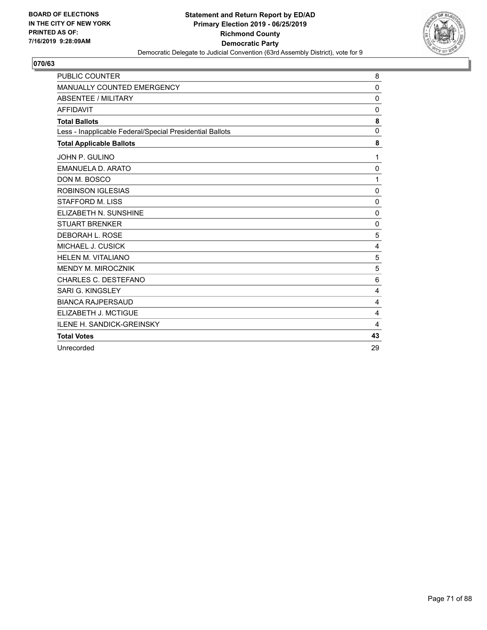

| <b>PUBLIC COUNTER</b>                                    | 8           |
|----------------------------------------------------------|-------------|
| <b>MANUALLY COUNTED EMERGENCY</b>                        | 0           |
| ABSENTEE / MILITARY                                      | 0           |
| <b>AFFIDAVIT</b>                                         | 0           |
| <b>Total Ballots</b>                                     | 8           |
| Less - Inapplicable Federal/Special Presidential Ballots | $\mathbf 0$ |
| <b>Total Applicable Ballots</b>                          | 8           |
| JOHN P. GULINO                                           | 1           |
| EMANUELA D. ARATO                                        | 0           |
| DON M. BOSCO                                             | 1           |
| <b>ROBINSON IGLESIAS</b>                                 | 0           |
| <b>STAFFORD M. LISS</b>                                  | $\mathbf 0$ |
| ELIZABETH N. SUNSHINE                                    | $\mathbf 0$ |
| <b>STUART BRENKER</b>                                    | $\mathbf 0$ |
| DEBORAH L. ROSE                                          | 5           |
| MICHAEL J. CUSICK                                        | 4           |
| <b>HELEN M. VITALIANO</b>                                | 5           |
| MENDY M. MIROCZNIK                                       | 5           |
| CHARLES C. DESTEFANO                                     | 6           |
| SARI G. KINGSLEY                                         | 4           |
| <b>BIANCA RAJPERSAUD</b>                                 | 4           |
| ELIZABETH J. MCTIGUE                                     | 4           |
| <b>ILENE H. SANDICK-GREINSKY</b>                         | 4           |
| <b>Total Votes</b>                                       | 43          |
| Unrecorded                                               | 29          |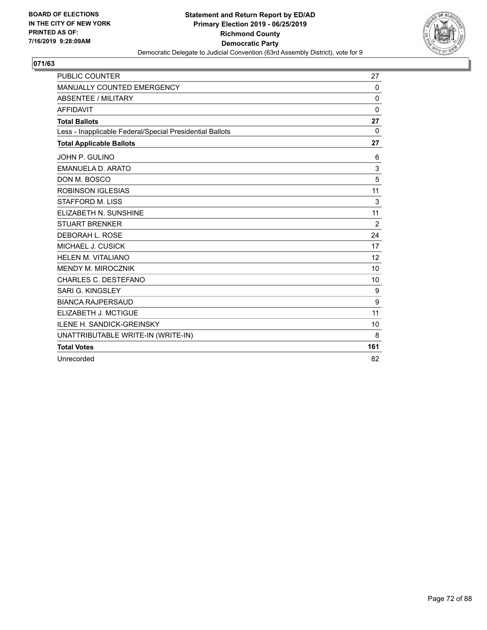

| <b>PUBLIC COUNTER</b>                                    | 27           |
|----------------------------------------------------------|--------------|
| <b>MANUALLY COUNTED EMERGENCY</b>                        | $\mathbf{0}$ |
| ABSENTEE / MILITARY                                      | 0            |
| <b>AFFIDAVIT</b>                                         | $\Omega$     |
| <b>Total Ballots</b>                                     | 27           |
| Less - Inapplicable Federal/Special Presidential Ballots | $\mathbf{0}$ |
| <b>Total Applicable Ballots</b>                          | 27           |
| JOHN P. GULINO                                           | 6            |
| <b>EMANUELA D. ARATO</b>                                 | 3            |
| DON M. BOSCO                                             | 5            |
| <b>ROBINSON IGLESIAS</b>                                 | 11           |
| STAFFORD M. LISS                                         | 3            |
| ELIZABETH N. SUNSHINE                                    | 11           |
| <b>STUART BRENKER</b>                                    | 2            |
| DEBORAH L. ROSE                                          | 24           |
| MICHAEL J. CUSICK                                        | 17           |
| HELEN M. VITALIANO                                       | 12           |
| <b>MENDY M. MIROCZNIK</b>                                | 10           |
| CHARLES C. DESTEFANO                                     | 10           |
| <b>SARI G. KINGSLEY</b>                                  | 9            |
| <b>BIANCA RAJPERSAUD</b>                                 | 9            |
| ELIZABETH J. MCTIGUE                                     | 11           |
| <b>ILENE H. SANDICK-GREINSKY</b>                         | 10           |
| UNATTRIBUTABLE WRITE-IN (WRITE-IN)                       | 8            |
| <b>Total Votes</b>                                       | 161          |
| Unrecorded                                               | 82           |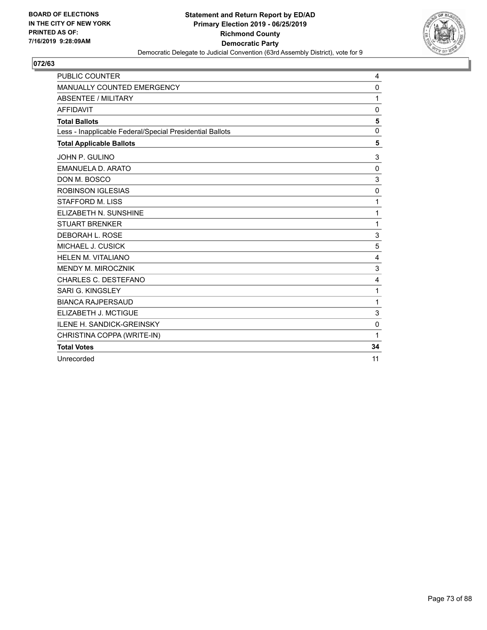

| <b>PUBLIC COUNTER</b>                                    | 4            |
|----------------------------------------------------------|--------------|
| MANUALLY COUNTED EMERGENCY                               | $\mathbf 0$  |
| <b>ABSENTEE / MILITARY</b>                               | 1            |
| <b>AFFIDAVIT</b>                                         | $\mathbf{0}$ |
| <b>Total Ballots</b>                                     | 5            |
| Less - Inapplicable Federal/Special Presidential Ballots | $\mathbf{0}$ |
| <b>Total Applicable Ballots</b>                          | 5            |
| JOHN P. GULINO                                           | 3            |
| <b>EMANUELA D. ARATO</b>                                 | $\mathbf{0}$ |
| DON M. BOSCO                                             | 3            |
| <b>ROBINSON IGLESIAS</b>                                 | 0            |
| <b>STAFFORD M. LISS</b>                                  | 1            |
| ELIZABETH N. SUNSHINE                                    | 1            |
| <b>STUART BRENKER</b>                                    | 1            |
| <b>DEBORAH L. ROSE</b>                                   | 3            |
| MICHAEL J. CUSICK                                        | 5            |
| <b>HELEN M. VITALIANO</b>                                | 4            |
| MENDY M. MIROCZNIK                                       | 3            |
| CHARLES C. DESTEFANO                                     | 4            |
| <b>SARI G. KINGSLEY</b>                                  | 1            |
| <b>BIANCA RAJPERSAUD</b>                                 | 1            |
| ELIZABETH J. MCTIGUE                                     | 3            |
| <b>ILENE H. SANDICK-GREINSKY</b>                         | $\Omega$     |
| CHRISTINA COPPA (WRITE-IN)                               | 1            |
| <b>Total Votes</b>                                       | 34           |
| Unrecorded                                               | 11           |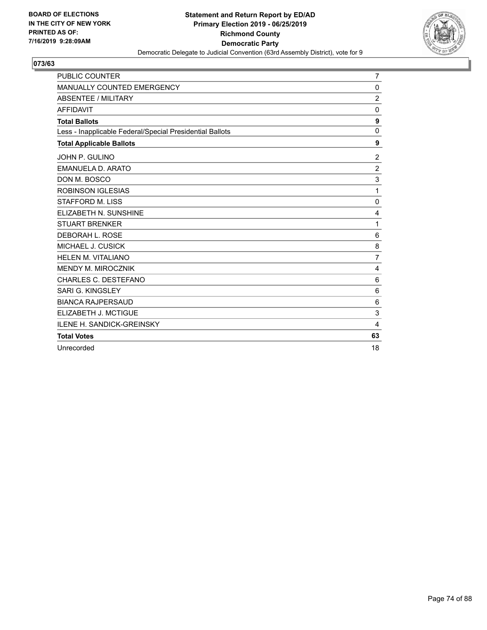

| PUBLIC COUNTER                                           | 7                |
|----------------------------------------------------------|------------------|
| MANUALLY COUNTED EMERGENCY                               | 0                |
| <b>ABSENTEE / MILITARY</b>                               | $\overline{c}$   |
| <b>AFFIDAVIT</b>                                         | 0                |
| <b>Total Ballots</b>                                     | $\boldsymbol{9}$ |
| Less - Inapplicable Federal/Special Presidential Ballots | $\mathbf 0$      |
| <b>Total Applicable Ballots</b>                          | 9                |
| JOHN P. GULINO                                           | $\boldsymbol{2}$ |
| EMANUELA D. ARATO                                        | $\overline{c}$   |
| DON M. BOSCO                                             | 3                |
| <b>ROBINSON IGLESIAS</b>                                 | 1                |
| <b>STAFFORD M. LISS</b>                                  | 0                |
| ELIZABETH N. SUNSHINE                                    | 4                |
| <b>STUART BRENKER</b>                                    | 1                |
| DEBORAH L. ROSE                                          | 6                |
| MICHAEL J. CUSICK                                        | 8                |
| HELEN M. VITALIANO                                       | $\overline{7}$   |
| MENDY M. MIROCZNIK                                       | 4                |
| CHARLES C. DESTEFANO                                     | 6                |
| SARI G. KINGSLEY                                         | 6                |
| <b>BIANCA RAJPERSAUD</b>                                 | 6                |
| ELIZABETH J. MCTIGUE                                     | 3                |
| <b>ILENE H. SANDICK-GREINSKY</b>                         | 4                |
| <b>Total Votes</b>                                       | 63               |
| Unrecorded                                               | 18               |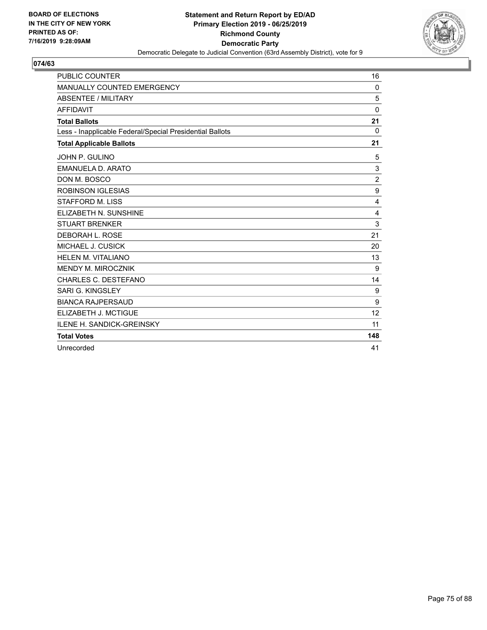

| <b>PUBLIC COUNTER</b>                                    | 16             |
|----------------------------------------------------------|----------------|
| <b>MANUALLY COUNTED EMERGENCY</b>                        | 0              |
| <b>ABSENTEE / MILITARY</b>                               | 5              |
| <b>AFFIDAVIT</b>                                         | $\mathbf 0$    |
| <b>Total Ballots</b>                                     | 21             |
| Less - Inapplicable Federal/Special Presidential Ballots | $\Omega$       |
| <b>Total Applicable Ballots</b>                          | 21             |
| JOHN P. GULINO                                           | 5              |
| <b>EMANUELA D. ARATO</b>                                 | 3              |
| DON M. BOSCO                                             | $\overline{2}$ |
| <b>ROBINSON IGLESIAS</b>                                 | 9              |
| <b>STAFFORD M. LISS</b>                                  | 4              |
| ELIZABETH N. SUNSHINE                                    | 4              |
| <b>STUART BRENKER</b>                                    | 3              |
| DEBORAH L. ROSE                                          | 21             |
| MICHAEL J. CUSICK                                        | 20             |
| <b>HELEN M. VITALIANO</b>                                | 13             |
| MENDY M. MIROCZNIK                                       | 9              |
| CHARLES C. DESTEFANO                                     | 14             |
| <b>SARI G. KINGSLEY</b>                                  | 9              |
| <b>BIANCA RAJPERSAUD</b>                                 | 9              |
| ELIZABETH J. MCTIGUE                                     | 12             |
| <b>ILENE H. SANDICK-GREINSKY</b>                         | 11             |
| <b>Total Votes</b>                                       | 148            |
| Unrecorded                                               | 41             |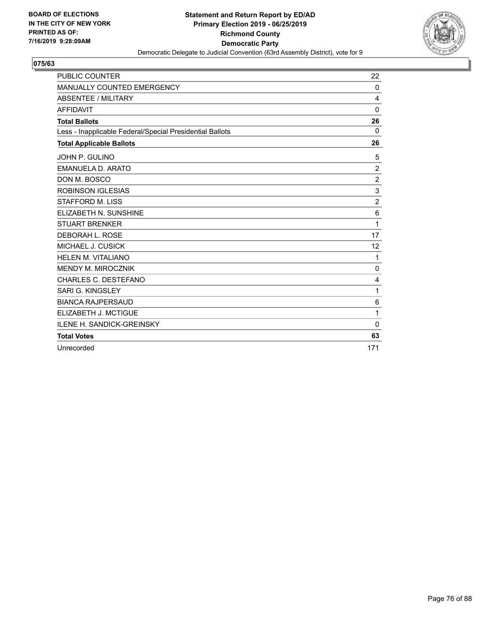

| <b>PUBLIC COUNTER</b>                                    | 22             |
|----------------------------------------------------------|----------------|
| MANUALLY COUNTED EMERGENCY                               | $\Omega$       |
| ABSENTEE / MILITARY                                      | 4              |
| <b>AFFIDAVIT</b>                                         | 0              |
| <b>Total Ballots</b>                                     | 26             |
| Less - Inapplicable Federal/Special Presidential Ballots | $\Omega$       |
| <b>Total Applicable Ballots</b>                          | 26             |
| JOHN P. GULINO                                           | 5              |
| EMANUELA D. ARATO                                        | $\overline{2}$ |
| DON M. BOSCO                                             | $\overline{c}$ |
| <b>ROBINSON IGLESIAS</b>                                 | 3              |
| <b>STAFFORD M. LISS</b>                                  | $\overline{2}$ |
| ELIZABETH N. SUNSHINE                                    | $\,6$          |
| <b>STUART BRENKER</b>                                    | 1              |
| DEBORAH L. ROSE                                          | 17             |
| MICHAEL J. CUSICK                                        | 12             |
| HELEN M. VITALIANO                                       | 1              |
| MENDY M. MIROCZNIK                                       | 0              |
| <b>CHARLES C. DESTEFANO</b>                              | 4              |
| SARI G. KINGSLEY                                         | 1              |
| <b>BIANCA RAJPERSAUD</b>                                 | 6              |
| ELIZABETH J. MCTIGUE                                     | 1              |
| <b>ILENE H. SANDICK-GREINSKY</b>                         | $\Omega$       |
| <b>Total Votes</b>                                       | 63             |
| Unrecorded                                               | 171            |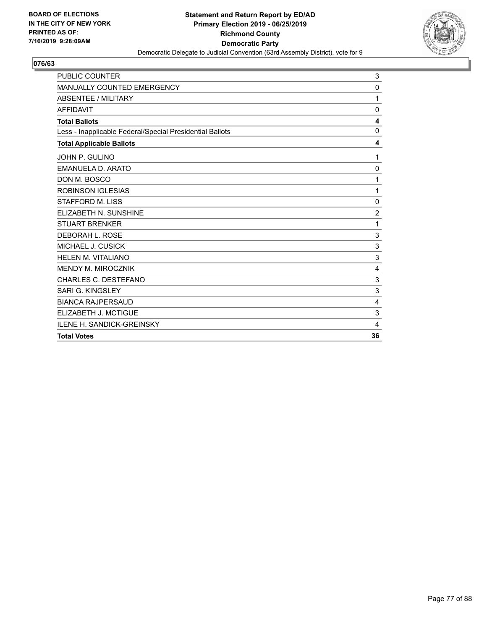

| PUBLIC COUNTER                                           | 3              |
|----------------------------------------------------------|----------------|
| MANUALLY COUNTED EMERGENCY                               | 0              |
| ABSENTEE / MILITARY                                      | 1              |
| <b>AFFIDAVIT</b>                                         | $\mathbf{0}$   |
| <b>Total Ballots</b>                                     | 4              |
| Less - Inapplicable Federal/Special Presidential Ballots | $\mathbf{0}$   |
| <b>Total Applicable Ballots</b>                          | 4              |
| JOHN P. GULINO                                           | 1              |
| <b>EMANUELA D. ARATO</b>                                 | $\mathbf 0$    |
| DON M. BOSCO                                             | 1              |
| <b>ROBINSON IGLESIAS</b>                                 | 1              |
| <b>STAFFORD M. LISS</b>                                  | 0              |
| ELIZABETH N. SUNSHINE                                    | $\overline{c}$ |
| <b>STUART BRENKER</b>                                    | 1              |
| DEBORAH L. ROSE                                          | 3              |
| MICHAEL J. CUSICK                                        | 3              |
| HELEN M. VITALIANO                                       | 3              |
| MENDY M. MIROCZNIK                                       | 4              |
| CHARLES C. DESTEFANO                                     | 3              |
| <b>SARI G. KINGSLEY</b>                                  | 3              |
| <b>BIANCA RAJPERSAUD</b>                                 | 4              |
| ELIZABETH J. MCTIGUE                                     | 3              |
| <b>ILENE H. SANDICK-GREINSKY</b>                         | 4              |
| <b>Total Votes</b>                                       | 36             |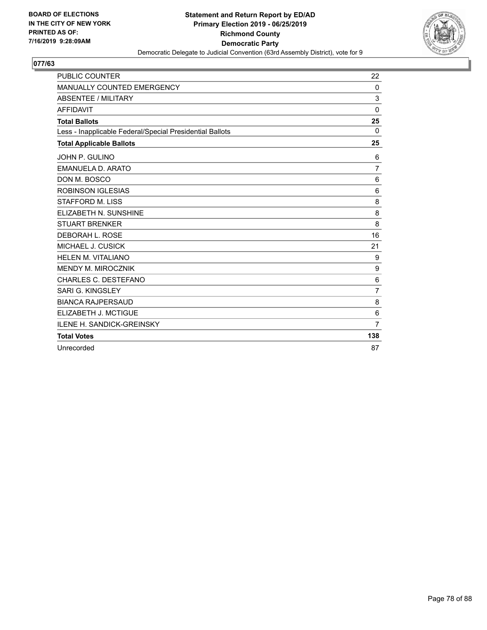

| <b>PUBLIC COUNTER</b>                                    | 22             |
|----------------------------------------------------------|----------------|
| MANUALLY COUNTED EMERGENCY                               | 0              |
| <b>ABSENTEE / MILITARY</b>                               | 3              |
| <b>AFFIDAVIT</b>                                         | $\mathbf 0$    |
| <b>Total Ballots</b>                                     | 25             |
| Less - Inapplicable Federal/Special Presidential Ballots | $\Omega$       |
| <b>Total Applicable Ballots</b>                          | 25             |
| JOHN P. GULINO                                           | 6              |
| EMANUELA D. ARATO                                        | $\overline{7}$ |
| DON M. BOSCO                                             | 6              |
| <b>ROBINSON IGLESIAS</b>                                 | 6              |
| <b>STAFFORD M. LISS</b>                                  | 8              |
| ELIZABETH N. SUNSHINE                                    | 8              |
| <b>STUART BRENKER</b>                                    | 8              |
| DEBORAH L. ROSE                                          | 16             |
| MICHAEL J. CUSICK                                        | 21             |
| <b>HELEN M. VITALIANO</b>                                | 9              |
| <b>MENDY M. MIROCZNIK</b>                                | 9              |
| CHARLES C. DESTEFANO                                     | 6              |
| SARI G. KINGSLEY                                         | $\overline{7}$ |
| <b>BIANCA RAJPERSAUD</b>                                 | 8              |
| ELIZABETH J. MCTIGUE                                     | 6              |
| <b>ILENE H. SANDICK-GREINSKY</b>                         | $\overline{7}$ |
| <b>Total Votes</b>                                       | 138            |
| Unrecorded                                               | 87             |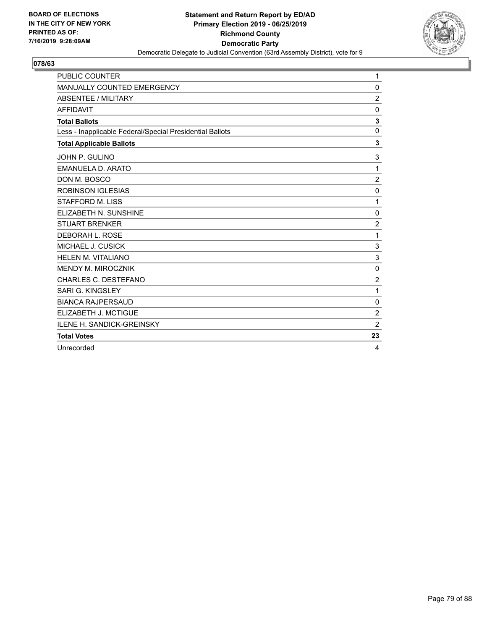

| <b>PUBLIC COUNTER</b>                                    | 1              |
|----------------------------------------------------------|----------------|
| <b>MANUALLY COUNTED EMERGENCY</b>                        | 0              |
| ABSENTEE / MILITARY                                      | $\overline{2}$ |
| <b>AFFIDAVIT</b>                                         | 0              |
| <b>Total Ballots</b>                                     | 3              |
| Less - Inapplicable Federal/Special Presidential Ballots | $\mathbf 0$    |
| <b>Total Applicable Ballots</b>                          | 3              |
| JOHN P. GULINO                                           | 3              |
| EMANUELA D. ARATO                                        | 1              |
| DON M. BOSCO                                             | $\overline{2}$ |
| <b>ROBINSON IGLESIAS</b>                                 | 0              |
| <b>STAFFORD M. LISS</b>                                  | 1              |
| ELIZABETH N. SUNSHINE                                    | $\mathbf 0$    |
| <b>STUART BRENKER</b>                                    | $\overline{2}$ |
| DEBORAH L. ROSE                                          | 1              |
| MICHAEL J. CUSICK                                        | 3              |
| <b>HELEN M. VITALIANO</b>                                | 3              |
| MENDY M. MIROCZNIK                                       | $\mathbf 0$    |
| CHARLES C. DESTEFANO                                     | $\overline{2}$ |
| SARI G. KINGSLEY                                         | 1              |
| <b>BIANCA RAJPERSAUD</b>                                 | $\mathbf 0$    |
| ELIZABETH J. MCTIGUE                                     | $\overline{2}$ |
| <b>ILENE H. SANDICK-GREINSKY</b>                         | $\overline{2}$ |
| <b>Total Votes</b>                                       | 23             |
| Unrecorded                                               | 4              |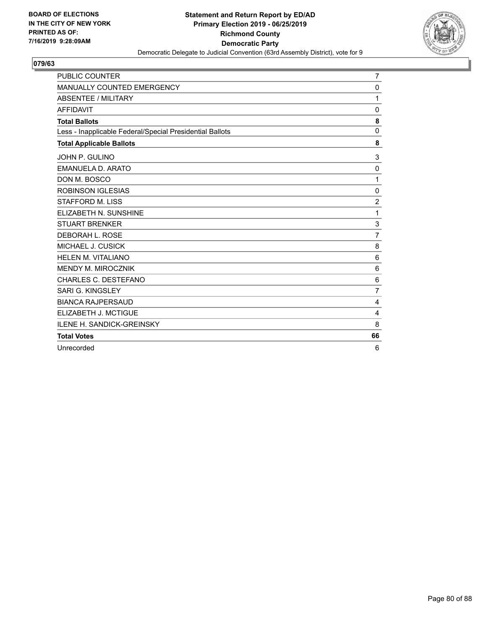

| <b>PUBLIC COUNTER</b>                                    | $\overline{7}$ |
|----------------------------------------------------------|----------------|
| <b>MANUALLY COUNTED EMERGENCY</b>                        | $\mathbf 0$    |
| ABSENTEE / MILITARY                                      | 1              |
| <b>AFFIDAVIT</b>                                         | 0              |
| <b>Total Ballots</b>                                     | 8              |
| Less - Inapplicable Federal/Special Presidential Ballots | $\mathbf 0$    |
| <b>Total Applicable Ballots</b>                          | 8              |
| JOHN P. GULINO                                           | 3              |
| EMANUELA D. ARATO                                        | 0              |
| DON M. BOSCO                                             | 1              |
| <b>ROBINSON IGLESIAS</b>                                 | 0              |
| <b>STAFFORD M. LISS</b>                                  | $\overline{c}$ |
| ELIZABETH N. SUNSHINE                                    | 1              |
| <b>STUART BRENKER</b>                                    | $\mathbf{3}$   |
| DEBORAH L. ROSE                                          | $\overline{7}$ |
| MICHAEL J. CUSICK                                        | 8              |
| <b>HELEN M. VITALIANO</b>                                | 6              |
| MENDY M. MIROCZNIK                                       | 6              |
| CHARLES C. DESTEFANO                                     | 6              |
| SARI G. KINGSLEY                                         | $\overline{7}$ |
| <b>BIANCA RAJPERSAUD</b>                                 | 4              |
| ELIZABETH J. MCTIGUE                                     | 4              |
| <b>ILENE H. SANDICK-GREINSKY</b>                         | 8              |
| <b>Total Votes</b>                                       | 66             |
| Unrecorded                                               | 6              |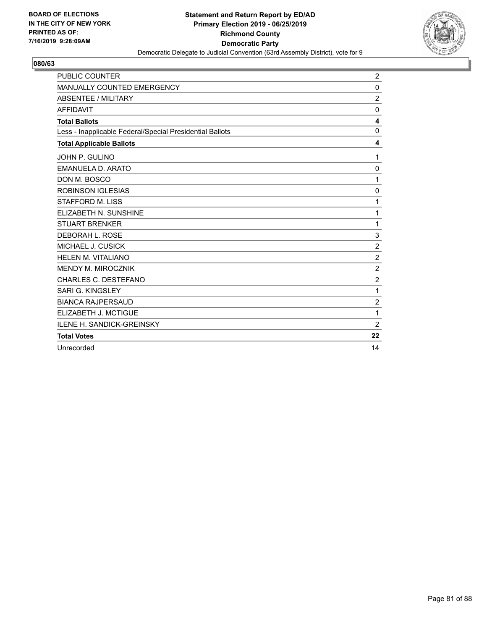

| <b>PUBLIC COUNTER</b>                                    | 2                |
|----------------------------------------------------------|------------------|
| <b>MANUALLY COUNTED EMERGENCY</b>                        | $\mathbf 0$      |
| ABSENTEE / MILITARY                                      | $\overline{2}$   |
| <b>AFFIDAVIT</b>                                         | 0                |
| <b>Total Ballots</b>                                     | 4                |
| Less - Inapplicable Federal/Special Presidential Ballots | $\mathbf 0$      |
| <b>Total Applicable Ballots</b>                          | 4                |
| JOHN P. GULINO                                           | 1                |
| EMANUELA D. ARATO                                        | 0                |
| DON M. BOSCO                                             | 1                |
| <b>ROBINSON IGLESIAS</b>                                 | 0                |
| <b>STAFFORD M. LISS</b>                                  | 1                |
| ELIZABETH N. SUNSHINE                                    | 1                |
| <b>STUART BRENKER</b>                                    | 1                |
| DEBORAH L. ROSE                                          | 3                |
| MICHAEL J. CUSICK                                        | $\overline{2}$   |
| <b>HELEN M. VITALIANO</b>                                | $\overline{2}$   |
| MENDY M. MIROCZNIK                                       | $\overline{c}$   |
| CHARLES C. DESTEFANO                                     | $\overline{2}$   |
| SARI G. KINGSLEY                                         | 1                |
| <b>BIANCA RAJPERSAUD</b>                                 | $\boldsymbol{2}$ |
| ELIZABETH J. MCTIGUE                                     | 1                |
| <b>ILENE H. SANDICK-GREINSKY</b>                         | $\overline{2}$   |
| <b>Total Votes</b>                                       | 22               |
| Unrecorded                                               | 14               |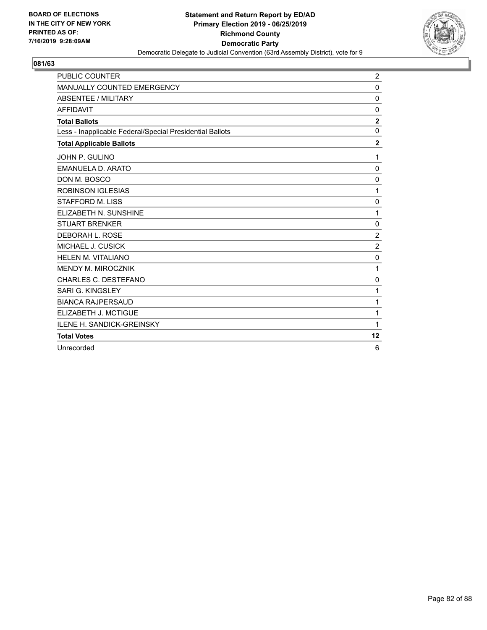

| <b>PUBLIC COUNTER</b>                                    | $\overline{c}$ |
|----------------------------------------------------------|----------------|
| MANUALLY COUNTED EMERGENCY                               | 0              |
| <b>ABSENTEE / MILITARY</b>                               | $\mathbf 0$    |
| <b>AFFIDAVIT</b>                                         | 0              |
| <b>Total Ballots</b>                                     | $\overline{2}$ |
| Less - Inapplicable Federal/Special Presidential Ballots | $\mathbf 0$    |
| <b>Total Applicable Ballots</b>                          | $\mathbf{2}$   |
| JOHN P. GULINO                                           | 1              |
| <b>EMANUELA D. ARATO</b>                                 | 0              |
| DON M. BOSCO                                             | 0              |
| <b>ROBINSON IGLESIAS</b>                                 | 1              |
| <b>STAFFORD M. LISS</b>                                  | $\mathbf 0$    |
| ELIZABETH N. SUNSHINE                                    | 1              |
| <b>STUART BRENKER</b>                                    | $\mathbf 0$    |
| DEBORAH L. ROSE                                          | $\overline{2}$ |
| MICHAEL J. CUSICK                                        | $\overline{c}$ |
| HELEN M. VITALIANO                                       | $\mathbf 0$    |
| <b>MENDY M. MIROCZNIK</b>                                | 1              |
| CHARLES C. DESTEFANO                                     | 0              |
| <b>SARI G. KINGSLEY</b>                                  | 1              |
| <b>BIANCA RAJPERSAUD</b>                                 | 1              |
| ELIZABETH J. MCTIGUE                                     | 1              |
| <b>ILENE H. SANDICK-GREINSKY</b>                         | 1              |
| <b>Total Votes</b>                                       | 12             |
| Unrecorded                                               | 6              |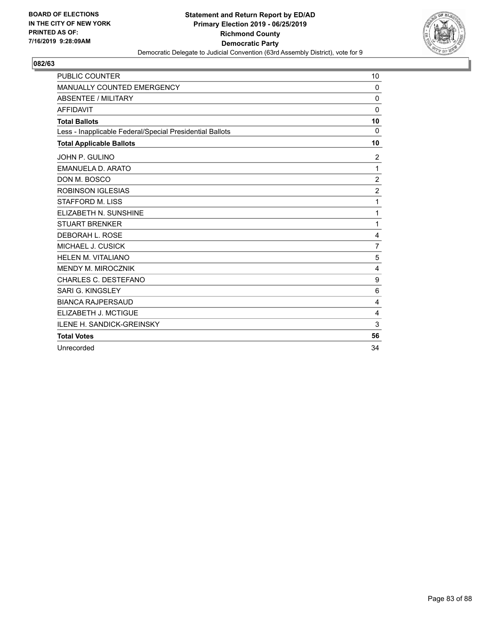

| <b>PUBLIC COUNTER</b>                                    | 10             |
|----------------------------------------------------------|----------------|
| MANUALLY COUNTED EMERGENCY                               | 0              |
| ABSENTEE / MILITARY                                      | 0              |
| <b>AFFIDAVIT</b>                                         | $\mathbf 0$    |
| <b>Total Ballots</b>                                     | 10             |
| Less - Inapplicable Federal/Special Presidential Ballots | $\Omega$       |
| <b>Total Applicable Ballots</b>                          | 10             |
| JOHN P. GULINO                                           | $\overline{2}$ |
| EMANUELA D. ARATO                                        | 1              |
| DON M. BOSCO                                             | $\overline{c}$ |
| <b>ROBINSON IGLESIAS</b>                                 | $\overline{2}$ |
| <b>STAFFORD M. LISS</b>                                  | 1              |
| ELIZABETH N. SUNSHINE                                    | 1              |
| <b>STUART BRENKER</b>                                    | 1              |
| DEBORAH L. ROSE                                          | 4              |
| MICHAEL J. CUSICK                                        | $\overline{7}$ |
| HELEN M. VITALIANO                                       | 5              |
| MENDY M. MIROCZNIK                                       | 4              |
| <b>CHARLES C. DESTEFANO</b>                              | 9              |
| SARI G. KINGSLEY                                         | 6              |
| <b>BIANCA RAJPERSAUD</b>                                 | 4              |
| ELIZABETH J. MCTIGUE                                     | 4              |
| <b>ILENE H. SANDICK-GREINSKY</b>                         | 3              |
| <b>Total Votes</b>                                       | 56             |
| Unrecorded                                               | 34             |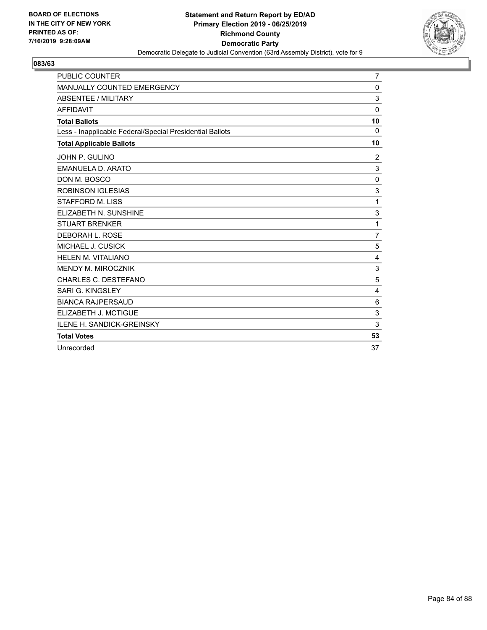

| PUBLIC COUNTER                                           | 7                |
|----------------------------------------------------------|------------------|
| MANUALLY COUNTED EMERGENCY                               | 0                |
| <b>ABSENTEE / MILITARY</b>                               | 3                |
| <b>AFFIDAVIT</b>                                         | 0                |
| <b>Total Ballots</b>                                     | 10               |
| Less - Inapplicable Federal/Special Presidential Ballots | $\Omega$         |
| <b>Total Applicable Ballots</b>                          | 10               |
| JOHN P. GULINO                                           | $\boldsymbol{2}$ |
| EMANUELA D. ARATO                                        | 3                |
| DON M. BOSCO                                             | $\mathbf 0$      |
| <b>ROBINSON IGLESIAS</b>                                 | 3                |
| <b>STAFFORD M. LISS</b>                                  | 1                |
| ELIZABETH N. SUNSHINE                                    | $\mathsf 3$      |
| <b>STUART BRENKER</b>                                    | 1                |
| DEBORAH L. ROSE                                          | $\overline{7}$   |
| MICHAEL J. CUSICK                                        | 5                |
| HELEN M. VITALIANO                                       | 4                |
| <b>MENDY M. MIROCZNIK</b>                                | 3                |
| CHARLES C. DESTEFANO                                     | 5                |
| SARI G. KINGSLEY                                         | 4                |
| <b>BIANCA RAJPERSAUD</b>                                 | 6                |
| ELIZABETH J. MCTIGUE                                     | 3                |
| <b>ILENE H. SANDICK-GREINSKY</b>                         | 3                |
| <b>Total Votes</b>                                       | 53               |
| Unrecorded                                               | 37               |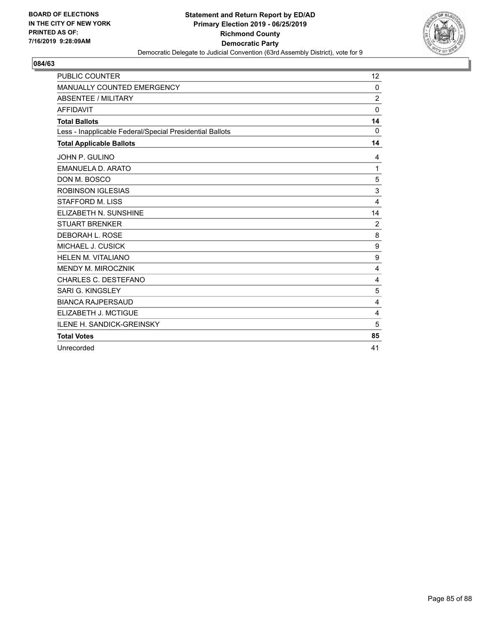

| PUBLIC COUNTER                                           | 12             |
|----------------------------------------------------------|----------------|
| MANUALLY COUNTED EMERGENCY                               | 0              |
| ABSENTEE / MILITARY                                      | $\overline{c}$ |
| <b>AFFIDAVIT</b>                                         | $\mathbf 0$    |
| <b>Total Ballots</b>                                     | 14             |
| Less - Inapplicable Federal/Special Presidential Ballots | $\Omega$       |
| <b>Total Applicable Ballots</b>                          | 14             |
| JOHN P. GULINO                                           | 4              |
| EMANUELA D. ARATO                                        | $\mathbf{1}$   |
| DON M. BOSCO                                             | 5              |
| <b>ROBINSON IGLESIAS</b>                                 | 3              |
| <b>STAFFORD M. LISS</b>                                  | 4              |
| ELIZABETH N. SUNSHINE                                    | 14             |
| <b>STUART BRENKER</b>                                    | $\overline{2}$ |
| DEBORAH L. ROSE                                          | 8              |
| MICHAEL J. CUSICK                                        | 9              |
| HELEN M. VITALIANO                                       | 9              |
| <b>MENDY M. MIROCZNIK</b>                                | 4              |
| CHARLES C. DESTEFANO                                     | 4              |
| SARI G. KINGSLEY                                         | 5              |
| <b>BIANCA RAJPERSAUD</b>                                 | 4              |
| ELIZABETH J. MCTIGUE                                     | 4              |
| <b>ILENE H. SANDICK-GREINSKY</b>                         | 5              |
| <b>Total Votes</b>                                       | 85             |
| Unrecorded                                               | 41             |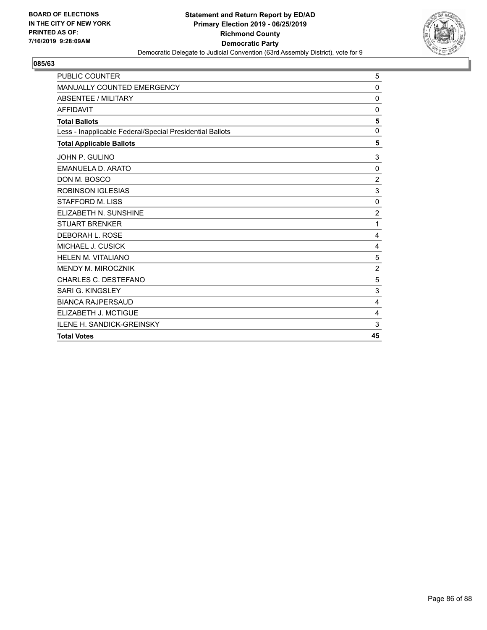

| <b>PUBLIC COUNTER</b>                                    | 5              |
|----------------------------------------------------------|----------------|
| MANUALLY COUNTED EMERGENCY                               | $\Omega$       |
| <b>ABSENTEE / MILITARY</b>                               | 0              |
| <b>AFFIDAVIT</b>                                         | 0              |
| <b>Total Ballots</b>                                     | 5              |
| Less - Inapplicable Federal/Special Presidential Ballots | $\mathbf 0$    |
| <b>Total Applicable Ballots</b>                          | 5              |
| JOHN P. GULINO                                           | 3              |
| <b>EMANUELA D. ARATO</b>                                 | $\mathbf{0}$   |
| DON M. BOSCO                                             | $\overline{c}$ |
| <b>ROBINSON IGLESIAS</b>                                 | 3              |
| <b>STAFFORD M. LISS</b>                                  | $\mathbf 0$    |
| ELIZABETH N. SUNSHINE                                    | $\overline{2}$ |
| <b>STUART BRENKER</b>                                    | 1              |
| DEBORAH L. ROSE                                          | 4              |
| MICHAEL J. CUSICK                                        | 4              |
| <b>HELEN M. VITALIANO</b>                                | 5              |
| <b>MENDY M. MIROCZNIK</b>                                | $\overline{2}$ |
| CHARLES C. DESTEFANO                                     | 5              |
| <b>SARI G. KINGSLEY</b>                                  | 3              |
| <b>BIANCA RAJPERSAUD</b>                                 | 4              |
| ELIZABETH J. MCTIGUE                                     | 4              |
| ILENE H. SANDICK-GREINSKY                                | 3              |
| <b>Total Votes</b>                                       | 45             |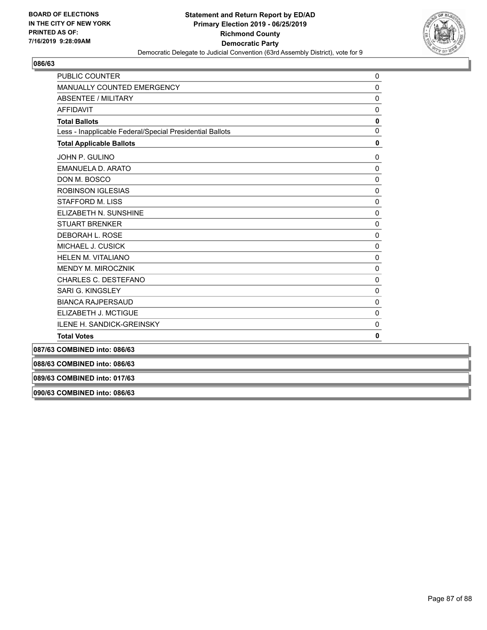

| <b>PUBLIC COUNTER</b>                                    | 0            |
|----------------------------------------------------------|--------------|
| MANUALLY COUNTED EMERGENCY                               | 0            |
| <b>ABSENTEE / MILITARY</b>                               | 0            |
| <b>AFFIDAVIT</b>                                         | 0            |
| <b>Total Ballots</b>                                     | $\mathbf 0$  |
| Less - Inapplicable Federal/Special Presidential Ballots | 0            |
| <b>Total Applicable Ballots</b>                          | $\mathbf 0$  |
| JOHN P. GULINO                                           | 0            |
| EMANUELA D. ARATO                                        | 0            |
| DON M. BOSCO                                             | 0            |
| <b>ROBINSON IGLESIAS</b>                                 | 0            |
| <b>STAFFORD M. LISS</b>                                  | $\mathbf{0}$ |
| ELIZABETH N. SUNSHINE                                    | 0            |
| <b>STUART BRENKER</b>                                    | 0            |
| DEBORAH L. ROSE                                          | $\mathbf{0}$ |
| MICHAEL J. CUSICK                                        | 0            |
| <b>HELEN M. VITALIANO</b>                                | 0            |
| MENDY M. MIROCZNIK                                       | 0            |
| CHARLES C. DESTEFANO                                     | 0            |
| <b>SARI G. KINGSLEY</b>                                  | $\Omega$     |
| <b>BIANCA RAJPERSAUD</b>                                 | 0            |
| ELIZABETH J. MCTIGUE                                     | 0            |
| <b>ILENE H. SANDICK-GREINSKY</b>                         | $\Omega$     |
| <b>Total Votes</b>                                       | 0            |
| 087/63 COMBINED into: 086/63                             |              |
| 088/63 COMBINED into: 086/63                             |              |
| 089/63 COMBINED into: 017/63                             |              |

**090/63 COMBINED into: 086/63**